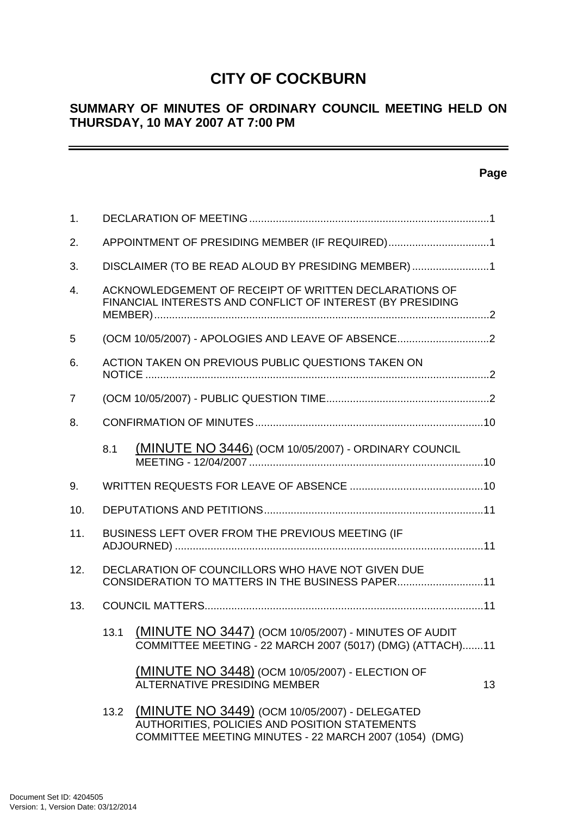# **CITY OF COCKBURN**

# **SUMMARY OF MINUTES OF ORDINARY COUNCIL MEETING HELD ON THURSDAY, 10 MAY 2007 AT 7:00 PM**

### **Page**

| $\mathbf{1}$ .   |      |                                                                                                                                                          |                 |
|------------------|------|----------------------------------------------------------------------------------------------------------------------------------------------------------|-----------------|
| 2.               |      | APPOINTMENT OF PRESIDING MEMBER (IF REQUIRED)1                                                                                                           |                 |
| 3.               |      | DISCLAIMER (TO BE READ ALOUD BY PRESIDING MEMBER)1                                                                                                       |                 |
| $\overline{4}$ . |      | ACKNOWLEDGEMENT OF RECEIPT OF WRITTEN DECLARATIONS OF<br>FINANCIAL INTERESTS AND CONFLICT OF INTEREST (BY PRESIDING                                      |                 |
| 5                |      | (OCM 10/05/2007) - APOLOGIES AND LEAVE OF ABSENCE2                                                                                                       |                 |
| 6.               |      | ACTION TAKEN ON PREVIOUS PUBLIC QUESTIONS TAKEN ON                                                                                                       |                 |
| 7                |      |                                                                                                                                                          |                 |
| 8.               |      |                                                                                                                                                          |                 |
|                  | 8.1  | (MINUTE NO 3446) (OCM 10/05/2007) - ORDINARY COUNCIL                                                                                                     |                 |
| 9.               |      |                                                                                                                                                          |                 |
| 10.              |      |                                                                                                                                                          |                 |
| 11.              |      | BUSINESS LEFT OVER FROM THE PREVIOUS MEETING (IF                                                                                                         |                 |
| 12.              |      | DECLARATION OF COUNCILLORS WHO HAVE NOT GIVEN DUE<br>CONSIDERATION TO MATTERS IN THE BUSINESS PAPER11                                                    |                 |
| 13.              |      |                                                                                                                                                          |                 |
|                  | 13.1 | (MINUTE NO 3447) (OCM 10/05/2007) - MINUTES OF AUDIT<br>COMMITTEE MEETING - 22 MARCH 2007 (5017) (DMG) (ATTACH)11                                        |                 |
|                  |      | <b>(MINUTE NO 3448) (OCM 10/05/2007) - ELECTION OF</b><br><b>ALTERNATIVE PRESIDING MEMBER</b>                                                            | 13 <sup>°</sup> |
|                  | 13.2 | (MINUTE NO 3449) (OCM 10/05/2007) - DELEGATED<br>AUTHORITIES, POLICIES AND POSITION STATEMENTS<br>COMMITTEE MEETING MINUTES - 22 MARCH 2007 (1054) (DMG) |                 |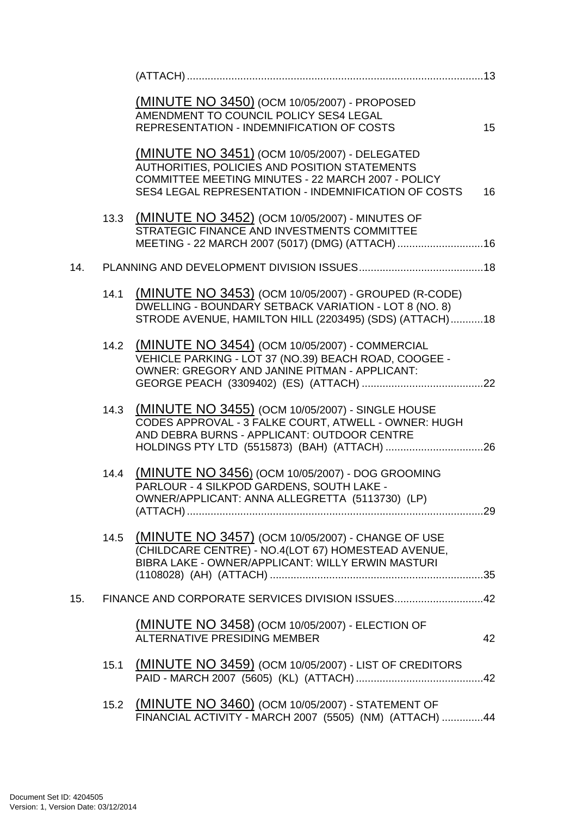|     |      | (MINUTE NO 3450) (OCM 10/05/2007) - PROPOSED<br>AMENDMENT TO COUNCIL POLICY SES4 LEGAL<br><b>REPRESENTATION - INDEMNIFICATION OF COSTS</b>                                                                          | 15 |
|-----|------|---------------------------------------------------------------------------------------------------------------------------------------------------------------------------------------------------------------------|----|
|     |      | <b>(MINUTE NO 3451) (OCM 10/05/2007) - DELEGATED</b><br>AUTHORITIES, POLICIES AND POSITION STATEMENTS<br>COMMITTEE MEETING MINUTES - 22 MARCH 2007 - POLICY<br>SES4 LEGAL REPRESENTATION - INDEMNIFICATION OF COSTS | 16 |
|     |      | 13.3 (MINUTE NO 3452) (OCM 10/05/2007) - MINUTES OF<br>STRATEGIC FINANCE AND INVESTMENTS COMMITTEE<br>MEETING - 22 MARCH 2007 (5017) (DMG) (ATTACH) 16                                                              |    |
| 14. |      |                                                                                                                                                                                                                     |    |
|     | 14.1 | (MINUTE NO 3453) (OCM 10/05/2007) - GROUPED (R-CODE)<br>DWELLING - BOUNDARY SETBACK VARIATION - LOT 8 (NO. 8)<br>STRODE AVENUE, HAMILTON HILL (2203495) (SDS) (ATTACH)18                                            |    |
|     | 14.2 | (MINUTE NO 3454) (OCM 10/05/2007) - COMMERCIAL<br>VEHICLE PARKING - LOT 37 (NO.39) BEACH ROAD, COOGEE -<br>OWNER: GREGORY AND JANINE PITMAN - APPLICANT:                                                            |    |
|     | 14.3 | (MINUTE NO 3455) (OCM 10/05/2007) - SINGLE HOUSE<br>CODES APPROVAL - 3 FALKE COURT, ATWELL - OWNER: HUGH<br>AND DEBRA BURNS - APPLICANT: OUTDOOR CENTRE                                                             |    |
|     | 14.4 | (MINUTE NO 3456) (OCM 10/05/2007) - DOG GROOMING<br>PARLOUR - 4 SILKPOD GARDENS, SOUTH LAKE -<br>OWNER/APPLICANT: ANNA ALLEGRETTA (5113730) (LP)                                                                    |    |
|     |      | 14.5 (MINUTE NO 3457) (OCM 10/05/2007) - CHANGE OF USE<br>(CHILDCARE CENTRE) - NO.4(LOT 67) HOMESTEAD AVENUE,<br>BIBRA LAKE - OWNER/APPLICANT: WILLY ERWIN MASTURI                                                  |    |
| 15. |      | FINANCE AND CORPORATE SERVICES DIVISION ISSUES42                                                                                                                                                                    |    |
|     |      | <b>(MINUTE NO 3458)</b> (OCM 10/05/2007) - ELECTION OF<br><b>ALTERNATIVE PRESIDING MEMBER</b>                                                                                                                       | 42 |
|     | 15.1 | (MINUTE NO 3459) (OCM 10/05/2007) - LIST OF CREDITORS                                                                                                                                                               |    |
|     |      | 15.2 (MINUTE NO 3460) (OCM 10/05/2007) - STATEMENT OF<br>FINANCIAL ACTIVITY - MARCH 2007 (5505) (NM) (ATTACH) 44                                                                                                    |    |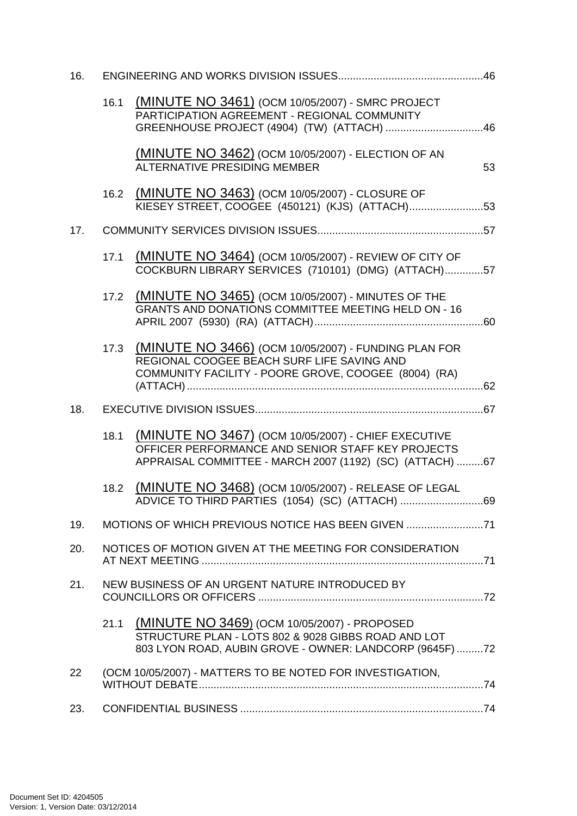| 16. |      |                                                                                                                                                                      |    |
|-----|------|----------------------------------------------------------------------------------------------------------------------------------------------------------------------|----|
|     | 16.1 | (MINUTE NO 3461) (OCM 10/05/2007) - SMRC PROJECT<br>PARTICIPATION AGREEMENT - REGIONAL COMMUNITY<br>GREENHOUSE PROJECT (4904) (TW) (ATTACH) 46                       |    |
|     |      | (MINUTE NO 3462) (OCM 10/05/2007) - ELECTION OF AN<br>ALTERNATIVE PRESIDING MEMBER                                                                                   | 53 |
|     | 16.2 | (MINUTE NO 3463) (OCM 10/05/2007) - CLOSURE OF<br>KIESEY STREET, COOGEE (450121) (KJS) (ATTACH)53                                                                    |    |
| 17. |      |                                                                                                                                                                      |    |
|     | 17.1 | (MINUTE NO 3464) (OCM 10/05/2007) - REVIEW OF CITY OF<br>COCKBURN LIBRARY SERVICES (710101) (DMG) (ATTACH)57                                                         |    |
|     | 17.2 | (MINUTE NO 3465) (OCM 10/05/2007) - MINUTES OF THE<br><b>GRANTS AND DONATIONS COMMITTEE MEETING HELD ON - 16</b>                                                     |    |
|     | 17.3 | (MINUTE NO 3466) (OCM 10/05/2007) - FUNDING PLAN FOR<br>REGIONAL COOGEE BEACH SURF LIFE SAVING AND<br>COMMUNITY FACILITY - POORE GROVE, COOGEE (8004) (RA)           |    |
| 18. |      |                                                                                                                                                                      |    |
|     | 18.1 | (MINUTE NO 3467) (OCM 10/05/2007) - CHIEF EXECUTIVE<br>OFFICER PERFORMANCE AND SENIOR STAFF KEY PROJECTS<br>APPRAISAL COMMITTEE - MARCH 2007 (1192) (SC) (ATTACH) 67 |    |
|     | 18.2 | (MINUTE NO 3468) (OCM 10/05/2007) - RELEASE OF LEGAL<br>ADVICE TO THIRD PARTIES (1054) (SC) (ATTACH) 69                                                              |    |
| 19. |      | MOTIONS OF WHICH PREVIOUS NOTICE HAS BEEN GIVEN 71                                                                                                                   |    |
| 20. |      | NOTICES OF MOTION GIVEN AT THE MEETING FOR CONSIDERATION                                                                                                             |    |
| 21. |      | NEW BUSINESS OF AN URGENT NATURE INTRODUCED BY                                                                                                                       |    |
|     | 21.1 | (MINUTE NO 3469) (OCM 10/05/2007) - PROPOSED<br>STRUCTURE PLAN - LOTS 802 & 9028 GIBBS ROAD AND LOT<br>803 LYON ROAD, AUBIN GROVE - OWNER: LANDCORP (9645F)72        |    |
| 22  |      | (OCM 10/05/2007) - MATTERS TO BE NOTED FOR INVESTIGATION,                                                                                                            |    |
| 23. |      |                                                                                                                                                                      |    |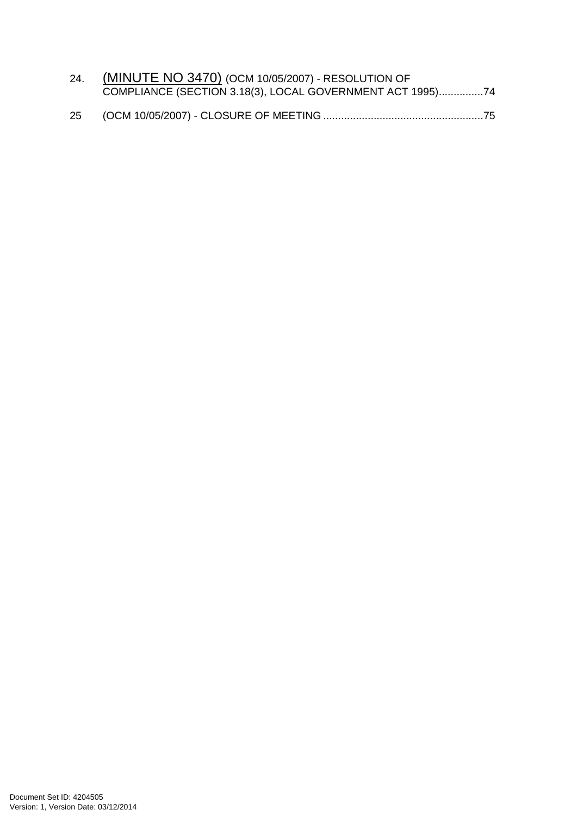|    | 24. (MINUTE NO 3470) (OCM 10/05/2007) - RESOLUTION OF     |  |
|----|-----------------------------------------------------------|--|
|    | COMPLIANCE (SECTION 3.18(3), LOCAL GOVERNMENT ACT 1995)74 |  |
| 25 |                                                           |  |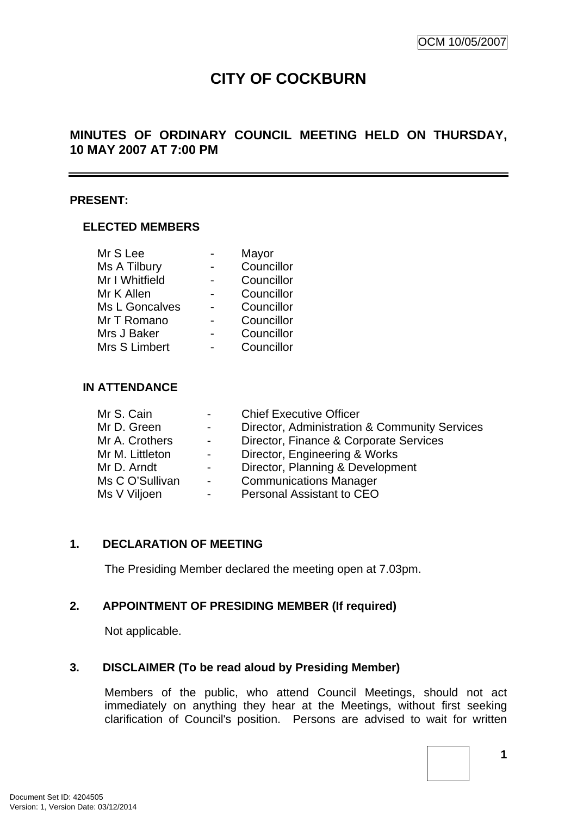# **CITY OF COCKBURN**

### <span id="page-4-0"></span>**MINUTES OF ORDINARY COUNCIL MEETING HELD ON THURSDAY, 10 MAY 2007 AT 7:00 PM**

#### **PRESENT:**

#### **ELECTED MEMBERS**

| Mr S Lee       | Mayor      |
|----------------|------------|
| Ms A Tilbury   | Councillor |
| Mr I Whitfield | Councillor |
| Mr K Allen     | Councillor |
| Ms L Goncalves | Councillor |
| Mr T Romano    | Councillor |
| Mrs J Baker    | Councillor |
| Mrs S Limbert  | Councillor |

#### **IN ATTENDANCE**

| $\sim 100$       | <b>Chief Executive Officer</b>                |
|------------------|-----------------------------------------------|
| $\sim$ 100 $\mu$ | Director, Administration & Community Services |
| $\sim 100$       | Director, Finance & Corporate Services        |
| $\sim 100$       | Director, Engineering & Works                 |
| $\sim 100$       | Director, Planning & Development              |
| $\sim$ $-$       | <b>Communications Manager</b>                 |
| $\sim 100$       | <b>Personal Assistant to CEO</b>              |
|                  |                                               |

#### **1. DECLARATION OF MEETING**

The Presiding Member declared the meeting open at 7.03pm.

#### **2. APPOINTMENT OF PRESIDING MEMBER (If required)**

Not applicable.

#### **3. DISCLAIMER (To be read aloud by Presiding Member)**

Members of the public, who attend Council Meetings, should not act immediately on anything they hear at the Meetings, without first seeking clarification of Council's position. Persons are advised to wait for written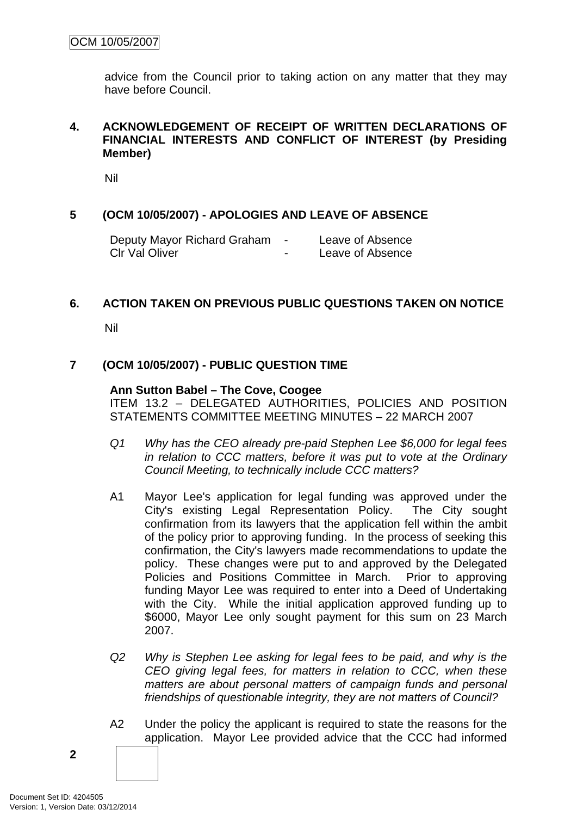<span id="page-5-0"></span>advice from the Council prior to taking action on any matter that they may have before Council.

#### **4. ACKNOWLEDGEMENT OF RECEIPT OF WRITTEN DECLARATIONS OF FINANCIAL INTERESTS AND CONFLICT OF INTEREST (by Presiding Member)**

Nil

### **5 (OCM 10/05/2007) - APOLOGIES AND LEAVE OF ABSENCE**

| Deputy Mayor Richard Graham |   | Leave of Absence |
|-----------------------------|---|------------------|
| CIr Val Oliver              | - | Leave of Absence |

#### **6. ACTION TAKEN ON PREVIOUS PUBLIC QUESTIONS TAKEN ON NOTICE**

Nil

### **7 (OCM 10/05/2007) - PUBLIC QUESTION TIME**

#### **Ann Sutton Babel – The Cove, Coogee**

ITEM 13.2 – DELEGATED AUTHORITIES, POLICIES AND POSITION STATEMENTS COMMITTEE MEETING MINUTES – 22 MARCH 2007

- *Q1 Why has the CEO already pre-paid Stephen Lee \$6,000 for legal fees in relation to CCC matters, before it was put to vote at the Ordinary Council Meeting, to technically include CCC matters?*
- A1 Mayor Lee's application for legal funding was approved under the City's existing Legal Representation Policy. The City sought confirmation from its lawyers that the application fell within the ambit of the policy prior to approving funding. In the process of seeking this confirmation, the City's lawyers made recommendations to update the policy. These changes were put to and approved by the Delegated Policies and Positions Committee in March. Prior to approving funding Mayor Lee was required to enter into a Deed of Undertaking with the City. While the initial application approved funding up to \$6000, Mayor Lee only sought payment for this sum on 23 March 2007.
- *Q2 Why is Stephen Lee asking for legal fees to be paid, and why is the CEO giving legal fees, for matters in relation to CCC, when these matters are about personal matters of campaign funds and personal friendships of questionable integrity, they are not matters of Council?*
- A2 Under the policy the applicant is required to state the reasons for the application. Mayor Lee provided advice that the CCC had informed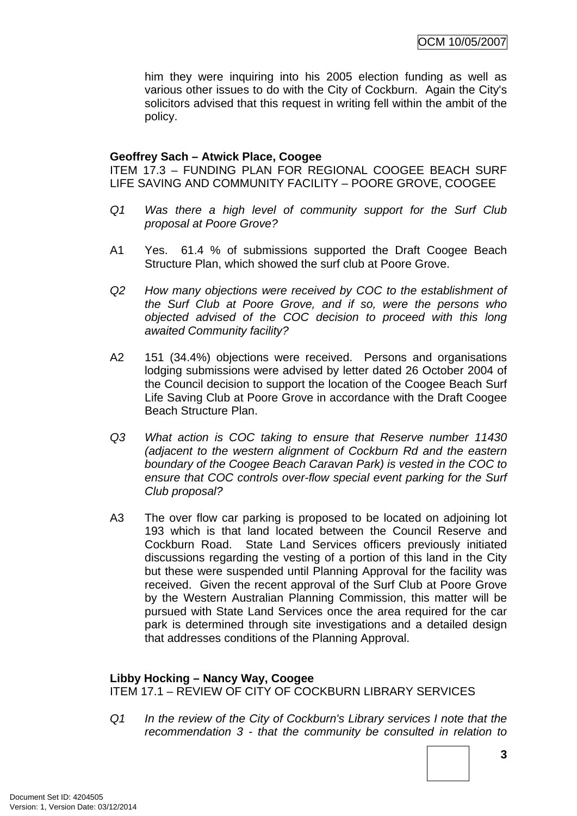him they were inquiring into his 2005 election funding as well as various other issues to do with the City of Cockburn. Again the City's solicitors advised that this request in writing fell within the ambit of the policy.

#### **Geoffrey Sach – Atwick Place, Coogee**

ITEM 17.3 – FUNDING PLAN FOR REGIONAL COOGEE BEACH SURF LIFE SAVING AND COMMUNITY FACILITY – POORE GROVE, COOGEE

- *Q1 Was there a high level of community support for the Surf Club proposal at Poore Grove?*
- A1 Yes. 61.4 % of submissions supported the Draft Coogee Beach Structure Plan, which showed the surf club at Poore Grove.
- *Q2 How many objections were received by COC to the establishment of the Surf Club at Poore Grove, and if so, were the persons who objected advised of the COC decision to proceed with this long awaited Community facility?*
- A2 151 (34.4%) objections were received. Persons and organisations lodging submissions were advised by letter dated 26 October 2004 of the Council decision to support the location of the Coogee Beach Surf Life Saving Club at Poore Grove in accordance with the Draft Coogee Beach Structure Plan.
- *Q3 What action is COC taking to ensure that Reserve number 11430 (adjacent to the western alignment of Cockburn Rd and the eastern boundary of the Coogee Beach Caravan Park) is vested in the COC to ensure that COC controls over-flow special event parking for the Surf Club proposal?*
- A3 The over flow car parking is proposed to be located on adjoining lot 193 which is that land located between the Council Reserve and Cockburn Road. State Land Services officers previously initiated discussions regarding the vesting of a portion of this land in the City but these were suspended until Planning Approval for the facility was received. Given the recent approval of the Surf Club at Poore Grove by the Western Australian Planning Commission, this matter will be pursued with State Land Services once the area required for the car park is determined through site investigations and a detailed design that addresses conditions of the Planning Approval.

#### **Libby Hocking – Nancy Way, Coogee**

ITEM 17.1 – REVIEW OF CITY OF COCKBURN LIBRARY SERVICES

*Q1 In the review of the City of Cockburn's Library services I note that the recommendation 3 - that the community be consulted in relation to*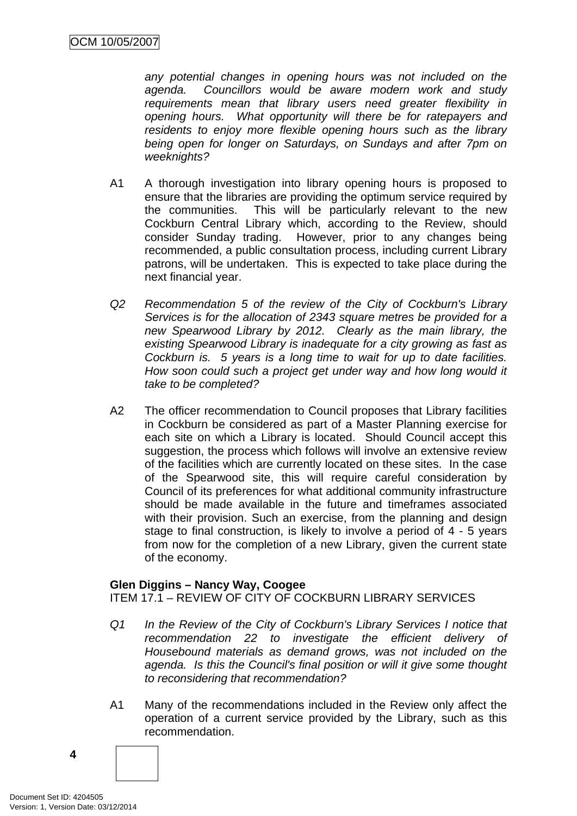*any potential changes in opening hours was not included on the agenda. Councillors would be aware modern work and study requirements mean that library users need greater flexibility in opening hours. What opportunity will there be for ratepayers and residents to enjoy more flexible opening hours such as the library being open for longer on Saturdays, on Sundays and after 7pm on weeknights?*

- A1 A thorough investigation into library opening hours is proposed to ensure that the libraries are providing the optimum service required by the communities. This will be particularly relevant to the new Cockburn Central Library which, according to the Review, should consider Sunday trading. However, prior to any changes being recommended, a public consultation process, including current Library patrons, will be undertaken. This is expected to take place during the next financial year.
- *Q2 Recommendation 5 of the review of the City of Cockburn's Library Services is for the allocation of 2343 square metres be provided for a new Spearwood Library by 2012. Clearly as the main library, the existing Spearwood Library is inadequate for a city growing as fast as Cockburn is. 5 years is a long time to wait for up to date facilities. How soon could such a project get under way and how long would it take to be completed?*
- A2 The officer recommendation to Council proposes that Library facilities in Cockburn be considered as part of a Master Planning exercise for each site on which a Library is located. Should Council accept this suggestion, the process which follows will involve an extensive review of the facilities which are currently located on these sites. In the case of the Spearwood site, this will require careful consideration by Council of its preferences for what additional community infrastructure should be made available in the future and timeframes associated with their provision. Such an exercise, from the planning and design stage to final construction, is likely to involve a period of 4 - 5 years from now for the completion of a new Library, given the current state of the economy.

#### **Glen Diggins – Nancy Way, Coogee**

ITEM 17.1 – REVIEW OF CITY OF COCKBURN LIBRARY SERVICES

- *Q1 In the Review of the City of Cockburn's Library Services I notice that recommendation 22 to investigate the efficient delivery of Housebound materials as demand grows, was not included on the agenda. Is this the Council's final position or will it give some thought to reconsidering that recommendation?*
- A1 Many of the recommendations included in the Review only affect the operation of a current service provided by the Library, such as this recommendation.

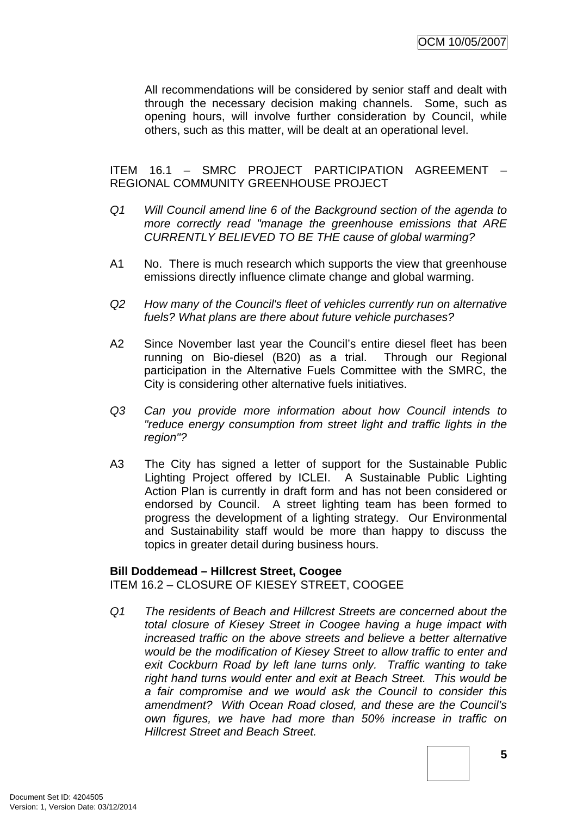All recommendations will be considered by senior staff and dealt with through the necessary decision making channels. Some, such as opening hours, will involve further consideration by Council, while others, such as this matter, will be dealt at an operational level.

ITEM 16.1 – SMRC PROJECT PARTICIPATION AGREEMENT – REGIONAL COMMUNITY GREENHOUSE PROJECT

- *Q1 Will Council amend line 6 of the Background section of the agenda to more correctly read "manage the greenhouse emissions that ARE CURRENTLY BELIEVED TO BE THE cause of global warming?*
- A1 No. There is much research which supports the view that greenhouse emissions directly influence climate change and global warming.
- *Q2 How many of the Council's fleet of vehicles currently run on alternative fuels? What plans are there about future vehicle purchases?*
- A2 Since November last year the Council's entire diesel fleet has been running on Bio-diesel (B20) as a trial. Through our Regional participation in the Alternative Fuels Committee with the SMRC, the City is considering other alternative fuels initiatives.
- *Q3 Can you provide more information about how Council intends to "reduce energy consumption from street light and traffic lights in the region"?*
- A3 The City has signed a letter of support for the Sustainable Public Lighting Project offered by ICLEI. A Sustainable Public Lighting Action Plan is currently in draft form and has not been considered or endorsed by Council. A street lighting team has been formed to progress the development of a lighting strategy. Our Environmental and Sustainability staff would be more than happy to discuss the topics in greater detail during business hours.

#### **Bill Doddemead – Hillcrest Street, Coogee**

ITEM 16.2 – CLOSURE OF KIESEY STREET, COOGEE

*Q1 The residents of Beach and Hillcrest Streets are concerned about the total closure of Kiesey Street in Coogee having a huge impact with increased traffic on the above streets and believe a better alternative would be the modification of Kiesey Street to allow traffic to enter and exit Cockburn Road by left lane turns only. Traffic wanting to take right hand turns would enter and exit at Beach Street. This would be a fair compromise and we would ask the Council to consider this amendment? With Ocean Road closed, and these are the Council's own figures, we have had more than 50% increase in traffic on Hillcrest Street and Beach Street.*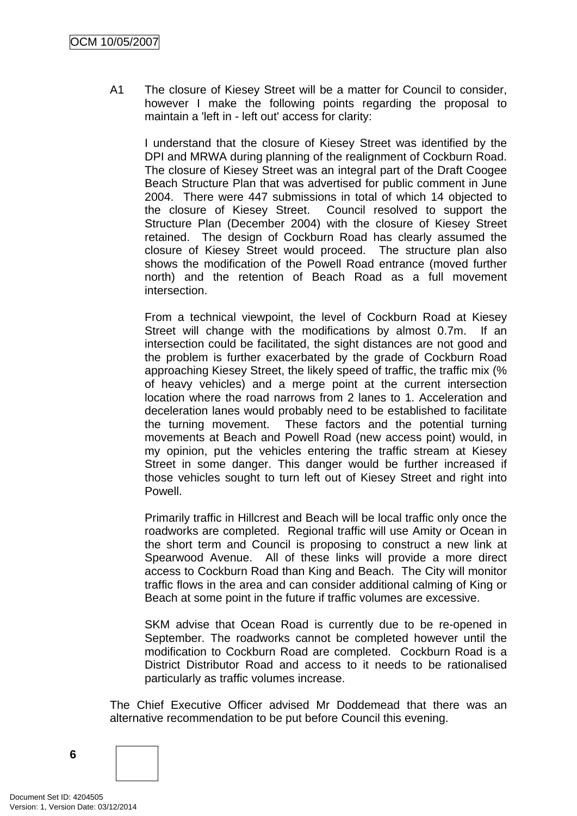A1 The closure of Kiesey Street will be a matter for Council to consider, however I make the following points regarding the proposal to maintain a 'left in - left out' access for clarity:

I understand that the closure of Kiesey Street was identified by the DPI and MRWA during planning of the realignment of Cockburn Road. The closure of Kiesey Street was an integral part of the Draft Coogee Beach Structure Plan that was advertised for public comment in June 2004. There were 447 submissions in total of which 14 objected to the closure of Kiesey Street. Council resolved to support the Structure Plan (December 2004) with the closure of Kiesey Street retained. The design of Cockburn Road has clearly assumed the closure of Kiesey Street would proceed. The structure plan also shows the modification of the Powell Road entrance (moved further north) and the retention of Beach Road as a full movement intersection.

From a technical viewpoint, the level of Cockburn Road at Kiesey Street will change with the modifications by almost 0.7m. If an intersection could be facilitated, the sight distances are not good and the problem is further exacerbated by the grade of Cockburn Road approaching Kiesey Street, the likely speed of traffic, the traffic mix (% of heavy vehicles) and a merge point at the current intersection location where the road narrows from 2 lanes to 1. Acceleration and deceleration lanes would probably need to be established to facilitate the turning movement. These factors and the potential turning movements at Beach and Powell Road (new access point) would, in my opinion, put the vehicles entering the traffic stream at Kiesey Street in some danger. This danger would be further increased if those vehicles sought to turn left out of Kiesey Street and right into Powell.

Primarily traffic in Hillcrest and Beach will be local traffic only once the roadworks are completed. Regional traffic will use Amity or Ocean in the short term and Council is proposing to construct a new link at Spearwood Avenue. All of these links will provide a more direct access to Cockburn Road than King and Beach. The City will monitor traffic flows in the area and can consider additional calming of King or Beach at some point in the future if traffic volumes are excessive.

SKM advise that Ocean Road is currently due to be re-opened in September. The roadworks cannot be completed however until the modification to Cockburn Road are completed. Cockburn Road is a District Distributor Road and access to it needs to be rationalised particularly as traffic volumes increase.

The Chief Executive Officer advised Mr Doddemead that there was an alternative recommendation to be put before Council this evening.

**6**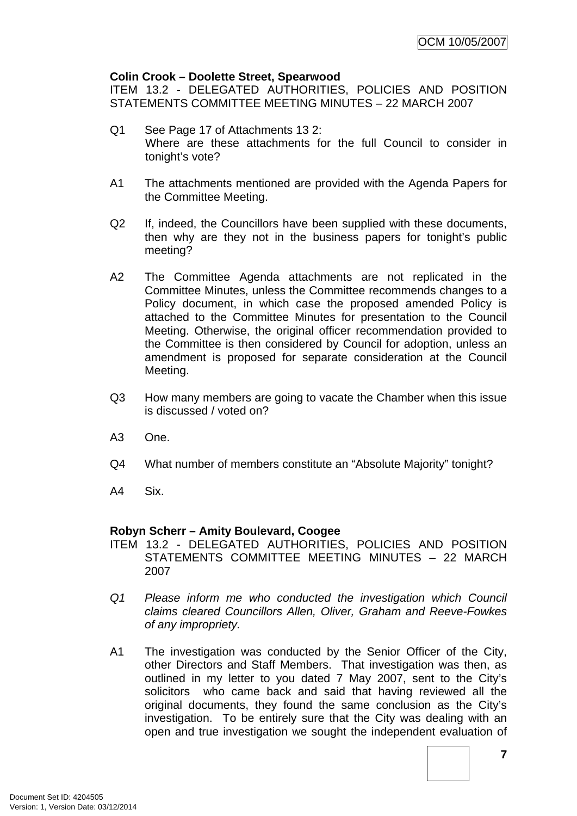#### **Colin Crook – Doolette Street, Spearwood**

ITEM 13.2 - DELEGATED AUTHORITIES, POLICIES AND POSITION STATEMENTS COMMITTEE MEETING MINUTES – 22 MARCH 2007

- Q1 See Page 17 of Attachments 13 2: Where are these attachments for the full Council to consider in tonight's vote?
- A1 The attachments mentioned are provided with the Agenda Papers for the Committee Meeting.
- Q2 If, indeed, the Councillors have been supplied with these documents, then why are they not in the business papers for tonight's public meeting?
- A2 The Committee Agenda attachments are not replicated in the Committee Minutes, unless the Committee recommends changes to a Policy document, in which case the proposed amended Policy is attached to the Committee Minutes for presentation to the Council Meeting. Otherwise, the original officer recommendation provided to the Committee is then considered by Council for adoption, unless an amendment is proposed for separate consideration at the Council Meeting.
- Q3 How many members are going to vacate the Chamber when this issue is discussed / voted on?
- A3 One.
- Q4 What number of members constitute an "Absolute Majority" tonight?
- A4 Six.

#### **Robyn Scherr – Amity Boulevard, Coogee**

- ITEM 13.2 DELEGATED AUTHORITIES, POLICIES AND POSITION STATEMENTS COMMITTEE MEETING MINUTES – 22 MARCH 2007
- *Q1 Please inform me who conducted the investigation which Council claims cleared Councillors Allen, Oliver, Graham and Reeve-Fowkes of any impropriety.*
- A1 The investigation was conducted by the Senior Officer of the City, other Directors and Staff Members. That investigation was then, as outlined in my letter to you dated 7 May 2007, sent to the City's solicitors who came back and said that having reviewed all the original documents, they found the same conclusion as the City's investigation. To be entirely sure that the City was dealing with an open and true investigation we sought the independent evaluation of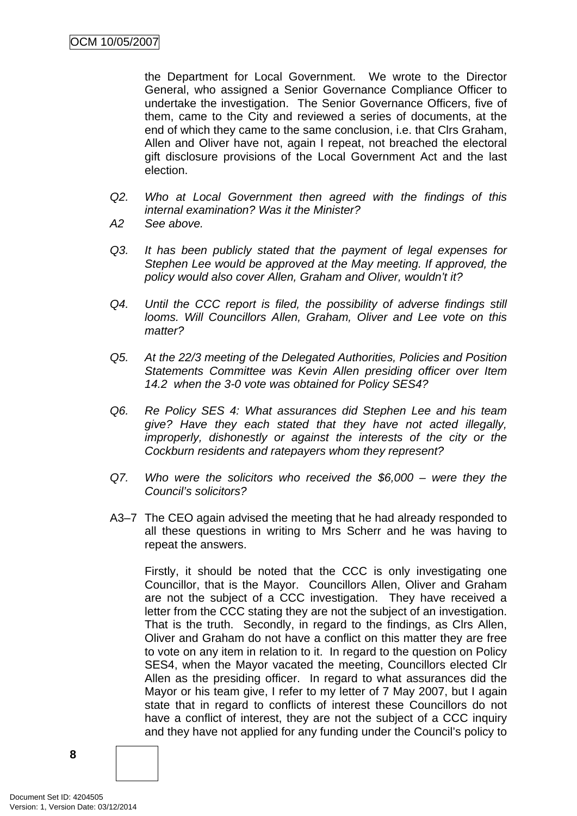the Department for Local Government. We wrote to the Director General, who assigned a Senior Governance Compliance Officer to undertake the investigation. The Senior Governance Officers, five of them, came to the City and reviewed a series of documents, at the end of which they came to the same conclusion, i.e. that Clrs Graham, Allen and Oliver have not, again I repeat, not breached the electoral gift disclosure provisions of the Local Government Act and the last election.

- *Q2. Who at Local Government then agreed with the findings of this internal examination? Was it the Minister?*
- *A2 See above.*
- *Q3. It has been publicly stated that the payment of legal expenses for Stephen Lee would be approved at the May meeting. If approved, the policy would also cover Allen, Graham and Oliver, wouldn't it?*
- *Q4. Until the CCC report is filed, the possibility of adverse findings still looms. Will Councillors Allen, Graham, Oliver and Lee vote on this matter?*
- *Q5. At the 22/3 meeting of the Delegated Authorities, Policies and Position Statements Committee was Kevin Allen presiding officer over Item 14.2 when the 3-0 vote was obtained for Policy SES4?*
- *Q6. Re Policy SES 4: What assurances did Stephen Lee and his team give? Have they each stated that they have not acted illegally, improperly, dishonestly or against the interests of the city or the Cockburn residents and ratepayers whom they represent?*
- *Q7. Who were the solicitors who received the \$6,000 were they the Council's solicitors?*
- A3–7 The CEO again advised the meeting that he had already responded to all these questions in writing to Mrs Scherr and he was having to repeat the answers.

 Firstly, it should be noted that the CCC is only investigating one Councillor, that is the Mayor. Councillors Allen, Oliver and Graham are not the subject of a CCC investigation. They have received a letter from the CCC stating they are not the subject of an investigation. That is the truth. Secondly, in regard to the findings, as Clrs Allen, Oliver and Graham do not have a conflict on this matter they are free to vote on any item in relation to it. In regard to the question on Policy SES4, when the Mayor vacated the meeting, Councillors elected Clr Allen as the presiding officer. In regard to what assurances did the Mayor or his team give, I refer to my letter of 7 May 2007, but I again state that in regard to conflicts of interest these Councillors do not have a conflict of interest, they are not the subject of a CCC inquiry and they have not applied for any funding under the Council's policy to

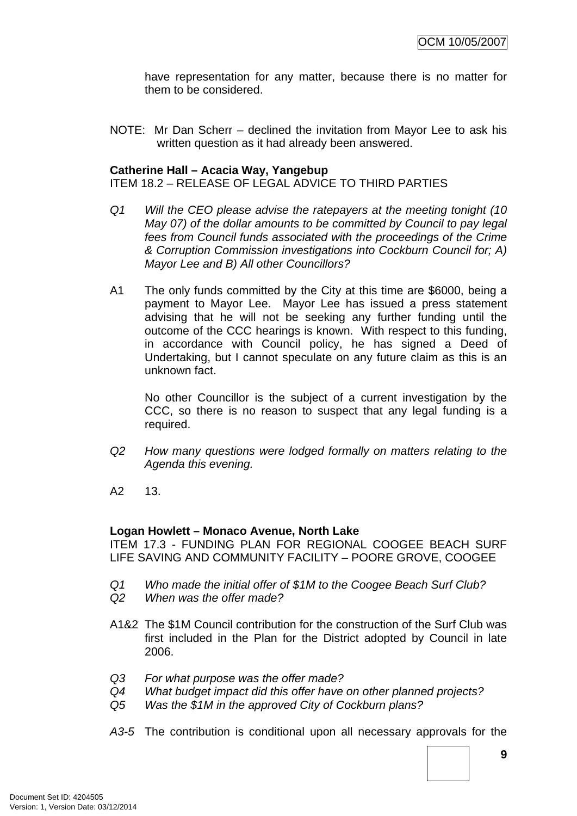have representation for any matter, because there is no matter for them to be considered.

NOTE: Mr Dan Scherr – declined the invitation from Mayor Lee to ask his written question as it had already been answered.

#### **Catherine Hall – Acacia Way, Yangebup**

ITEM 18.2 – RELEASE OF LEGAL ADVICE TO THIRD PARTIES

- *Q1 Will the CEO please advise the ratepayers at the meeting tonight (10 May 07) of the dollar amounts to be committed by Council to pay legal fees from Council funds associated with the proceedings of the Crime & Corruption Commission investigations into Cockburn Council for; A) Mayor Lee and B) All other Councillors?*
- A1 The only funds committed by the City at this time are \$6000, being a payment to Mayor Lee. Mayor Lee has issued a press statement advising that he will not be seeking any further funding until the outcome of the CCC hearings is known. With respect to this funding, in accordance with Council policy, he has signed a Deed of Undertaking, but I cannot speculate on any future claim as this is an unknown fact.

No other Councillor is the subject of a current investigation by the CCC, so there is no reason to suspect that any legal funding is a required.

- *Q2 How many questions were lodged formally on matters relating to the Agenda this evening.*
- A2 13.

#### **Logan Howlett – Monaco Avenue, North Lake**

ITEM 17.3 - FUNDING PLAN FOR REGIONAL COOGEE BEACH SURF LIFE SAVING AND COMMUNITY FACILITY – POORE GROVE, COOGEE

- *Q1 Who made the initial offer of \$1M to the Coogee Beach Surf Club?*
- *Q2 When was the offer made?*
- A1&2 The \$1M Council contribution for the construction of the Surf Club was first included in the Plan for the District adopted by Council in late 2006.
- *Q3 For what purpose was the offer made?*
- *Q4 What budget impact did this offer have on other planned projects?*
- *Q5 Was the \$1M in the approved City of Cockburn plans?*
- *A3-5* The contribution is conditional upon all necessary approvals for the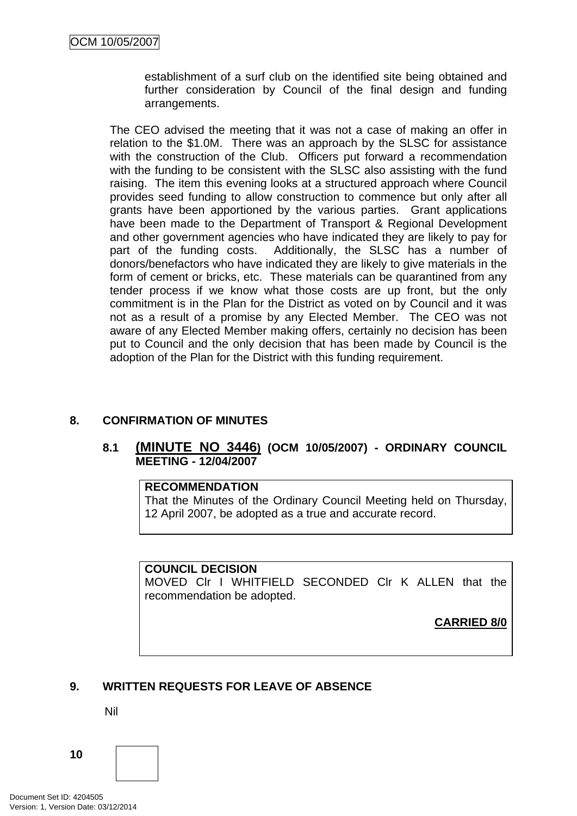<span id="page-13-0"></span>establishment of a surf club on the identified site being obtained and further consideration by Council of the final design and funding arrangements.

The CEO advised the meeting that it was not a case of making an offer in relation to the \$1.0M. There was an approach by the SLSC for assistance with the construction of the Club. Officers put forward a recommendation with the funding to be consistent with the SLSC also assisting with the fund raising. The item this evening looks at a structured approach where Council provides seed funding to allow construction to commence but only after all grants have been apportioned by the various parties. Grant applications have been made to the Department of Transport & Regional Development and other government agencies who have indicated they are likely to pay for part of the funding costs. Additionally, the SLSC has a number of donors/benefactors who have indicated they are likely to give materials in the form of cement or bricks, etc. These materials can be quarantined from any tender process if we know what those costs are up front, but the only commitment is in the Plan for the District as voted on by Council and it was not as a result of a promise by any Elected Member. The CEO was not aware of any Elected Member making offers, certainly no decision has been put to Council and the only decision that has been made by Council is the adoption of the Plan for the District with this funding requirement.

### **8. CONFIRMATION OF MINUTES**

### **8.1 (MINUTE NO 3446) (OCM 10/05/2007) - ORDINARY COUNCIL MEETING - 12/04/2007**

#### **RECOMMENDATION**

That the Minutes of the Ordinary Council Meeting held on Thursday, 12 April 2007, be adopted as a true and accurate record.

#### **COUNCIL DECISION**

MOVED Clr I WHITFIELD SECONDED Clr K ALLEN that the recommendation be adopted.

**CARRIED 8/0**

#### **9. WRITTEN REQUESTS FOR LEAVE OF ABSENCE**

Nil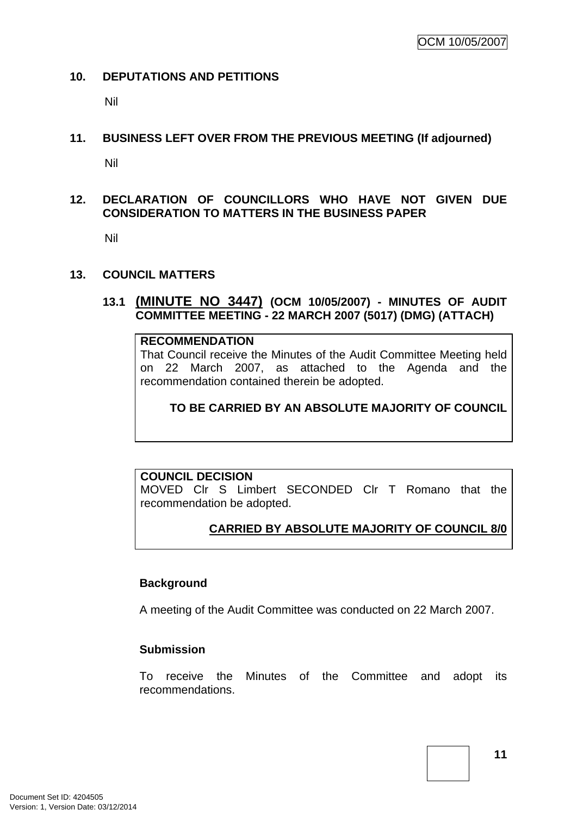#### <span id="page-14-0"></span>**10. DEPUTATIONS AND PETITIONS**

Nil

#### **11. BUSINESS LEFT OVER FROM THE PREVIOUS MEETING (If adjourned)**

Nil

### **12. DECLARATION OF COUNCILLORS WHO HAVE NOT GIVEN DUE CONSIDERATION TO MATTERS IN THE BUSINESS PAPER**

Nil

### **13. COUNCIL MATTERS**

### **13.1 (MINUTE NO 3447) (OCM 10/05/2007) - MINUTES OF AUDIT COMMITTEE MEETING - 22 MARCH 2007 (5017) (DMG) (ATTACH)**

#### **RECOMMENDATION**

That Council receive the Minutes of the Audit Committee Meeting held on 22 March 2007, as attached to the Agenda and the recommendation contained therein be adopted.

### **TO BE CARRIED BY AN ABSOLUTE MAJORITY OF COUNCIL**

### **COUNCIL DECISION**

MOVED Clr S Limbert SECONDED Clr T Romano that the recommendation be adopted.

### **CARRIED BY ABSOLUTE MAJORITY OF COUNCIL 8/0**

#### **Background**

A meeting of the Audit Committee was conducted on 22 March 2007.

#### **Submission**

To receive the Minutes of the Committee and adopt its recommendations.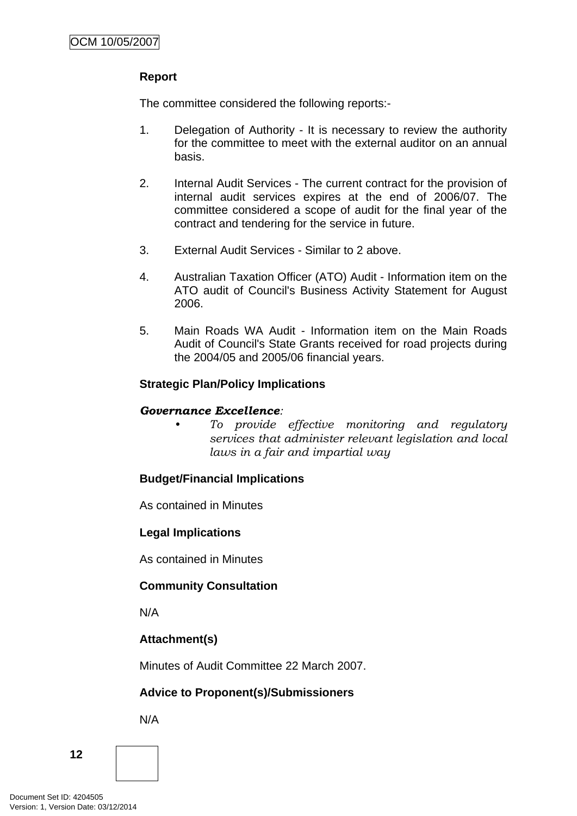### **Report**

The committee considered the following reports:-

- 1. Delegation of Authority It is necessary to review the authority for the committee to meet with the external auditor on an annual basis.
- 2. Internal Audit Services The current contract for the provision of internal audit services expires at the end of 2006/07. The committee considered a scope of audit for the final year of the contract and tendering for the service in future.
- 3. External Audit Services Similar to 2 above.
- 4. Australian Taxation Officer (ATO) Audit Information item on the ATO audit of Council's Business Activity Statement for August 2006.
- 5. Main Roads WA Audit Information item on the Main Roads Audit of Council's State Grants received for road projects during the 2004/05 and 2005/06 financial years.

### **Strategic Plan/Policy Implications**

#### *Governance Excellence:*

*• To provide effective monitoring and regulatory services that administer relevant legislation and local laws in a fair and impartial way* 

### **Budget/Financial Implications**

As contained in Minutes

#### **Legal Implications**

As contained in Minutes

### **Community Consultation**

N/A

### **Attachment(s)**

Minutes of Audit Committee 22 March 2007.

# **Advice to Proponent(s)/Submissioners**

N/A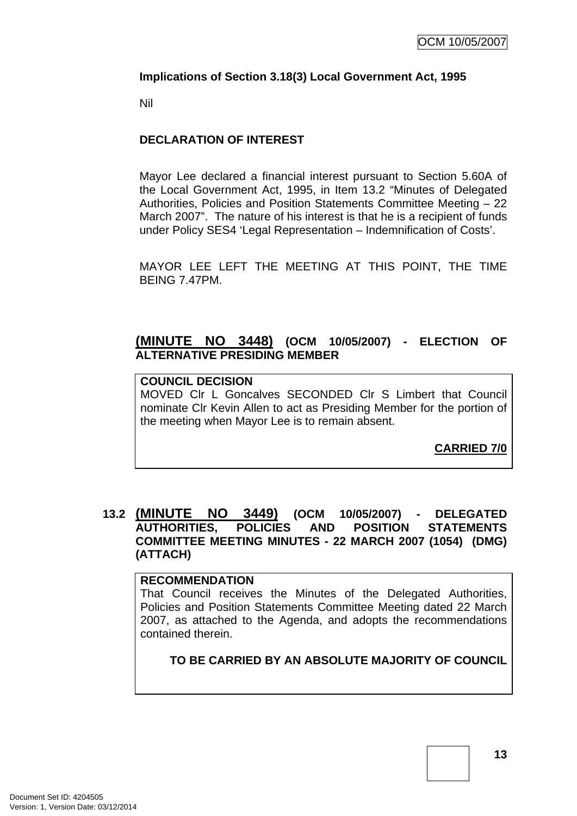#### <span id="page-16-0"></span>**Implications of Section 3.18(3) Local Government Act, 1995**

Nil

### **DECLARATION OF INTEREST**

Mayor Lee declared a financial interest pursuant to Section 5.60A of the Local Government Act, 1995, in Item 13.2 "Minutes of Delegated Authorities, Policies and Position Statements Committee Meeting – 22 March 2007". The nature of his interest is that he is a recipient of funds under Policy SES4 'Legal Representation – Indemnification of Costs'.

MAYOR LEE LEFT THE MEETING AT THIS POINT, THE TIME BEING 7.47PM.

### **(MINUTE NO 3448) (OCM 10/05/2007) - ELECTION OF ALTERNATIVE PRESIDING MEMBER**

# **COUNCIL DECISION**

MOVED Clr L Goncalves SECONDED Clr S Limbert that Council nominate Clr Kevin Allen to act as Presiding Member for the portion of the meeting when Mayor Lee is to remain absent.

**CARRIED 7/0**

### **13.2 (MINUTE NO 3449) (OCM 10/05/2007) - DELEGATED AUTHORITIES, POLICIES AND POSITION STATEMENTS COMMITTEE MEETING MINUTES - 22 MARCH 2007 (1054) (DMG) (ATTACH)**

#### **RECOMMENDATION**

That Council receives the Minutes of the Delegated Authorities, Policies and Position Statements Committee Meeting dated 22 March 2007, as attached to the Agenda, and adopts the recommendations contained therein.

### **TO BE CARRIED BY AN ABSOLUTE MAJORITY OF COUNCIL**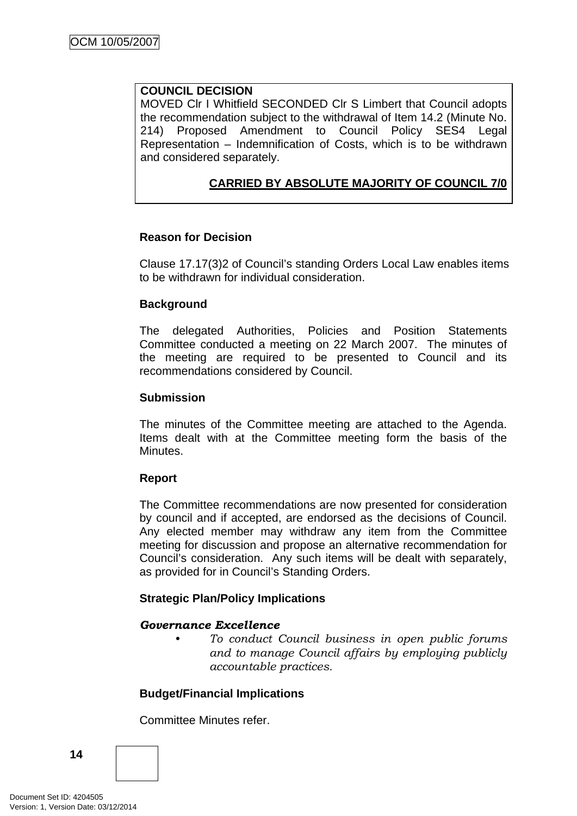#### **COUNCIL DECISION**

MOVED Clr I Whitfield SECONDED Clr S Limbert that Council adopts the recommendation subject to the withdrawal of Item 14.2 (Minute No. 214) Proposed Amendment to Council Policy SES4 Legal Representation – Indemnification of Costs, which is to be withdrawn and considered separately.

### **CARRIED BY ABSOLUTE MAJORITY OF COUNCIL 7/0**

### **Reason for Decision**

Clause 17.17(3)2 of Council's standing Orders Local Law enables items to be withdrawn for individual consideration.

### **Background**

The delegated Authorities, Policies and Position Statements Committee conducted a meeting on 22 March 2007. The minutes of the meeting are required to be presented to Council and its recommendations considered by Council.

#### **Submission**

The minutes of the Committee meeting are attached to the Agenda. Items dealt with at the Committee meeting form the basis of the Minutes.

#### **Report**

The Committee recommendations are now presented for consideration by council and if accepted, are endorsed as the decisions of Council. Any elected member may withdraw any item from the Committee meeting for discussion and propose an alternative recommendation for Council's consideration. Any such items will be dealt with separately, as provided for in Council's Standing Orders.

### **Strategic Plan/Policy Implications**

#### *Governance Excellence*

*• To conduct Council business in open public forums and to manage Council affairs by employing publicly accountable practices.* 

### **Budget/Financial Implications**

Committee Minutes refer.

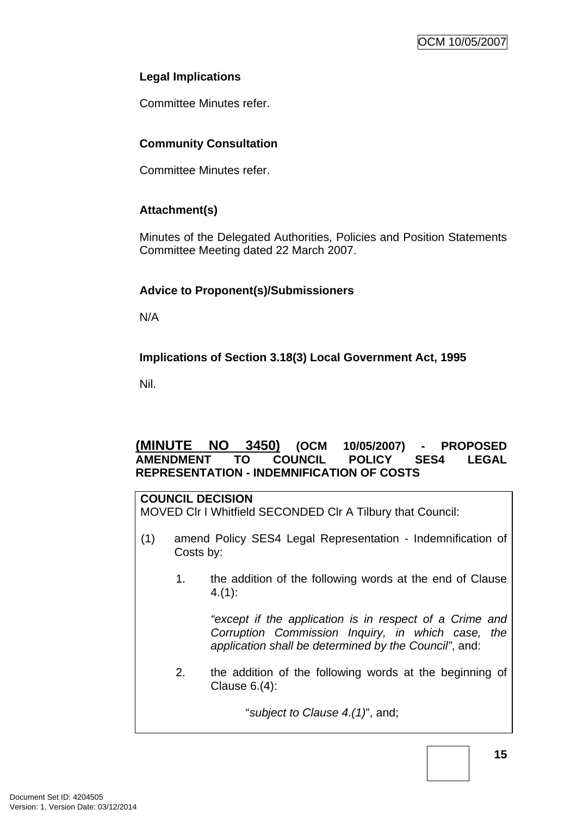### <span id="page-18-0"></span>**Legal Implications**

Committee Minutes refer.

### **Community Consultation**

Committee Minutes refer.

### **Attachment(s)**

Minutes of the Delegated Authorities, Policies and Position Statements Committee Meeting dated 22 March 2007.

### **Advice to Proponent(s)/Submissioners**

N/A

### **Implications of Section 3.18(3) Local Government Act, 1995**

Nil.

### **(MINUTE NO 3450) (OCM 10/05/2007) - PROPOSED AMENDMENT TO COUNCIL POLICY SES4 LEGAL REPRESENTATION - INDEMNIFICATION OF COSTS**

#### **COUNCIL DECISION**

MOVED Clr I Whitfield SECONDED Clr A Tilbury that Council:

- (1) amend Policy SES4 Legal Representation Indemnification of Costs by:
	- 1. the addition of the following words at the end of Clause 4.(1):

*"except if the application is in respect of a Crime and Corruption Commission Inquiry, in which case, the application shall be determined by the Council"*, and:

2. the addition of the following words at the beginning of Clause 6.(4):

"*subject to Clause 4.(1)*", and;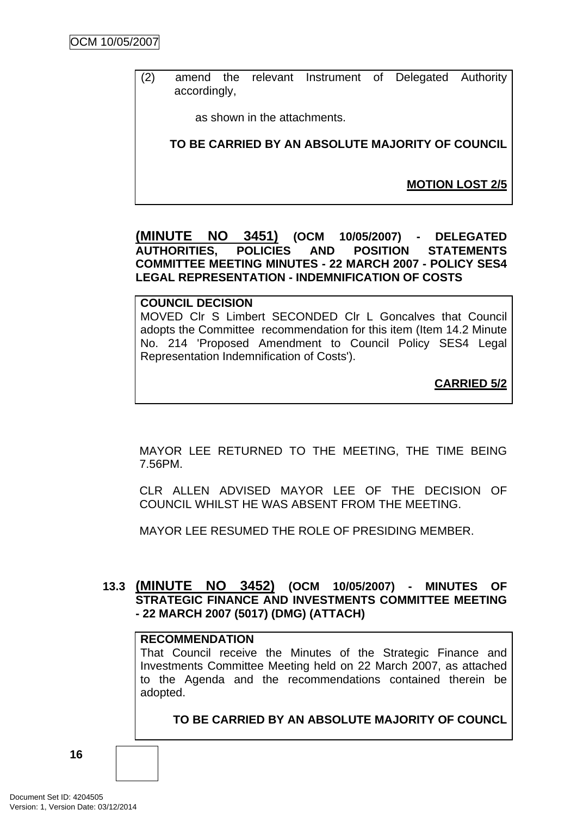<span id="page-19-0"></span>(2) amend the relevant Instrument of Delegated Authority accordingly,

as shown in the attachments.

**TO BE CARRIED BY AN ABSOLUTE MAJORITY OF COUNCIL**

**MOTION LOST 2/5**

#### **(MINUTE NO 3451) (OCM 10/05/2007) - DELEGATED AUTHORITIES, POLICIES AND POSITION STATEMENTS COMMITTEE MEETING MINUTES - 22 MARCH 2007 - POLICY SES4 LEGAL REPRESENTATION - INDEMNIFICATION OF COSTS**

#### **COUNCIL DECISION**

MOVED Clr S Limbert SECONDED Clr L Goncalves that Council adopts the Committee recommendation for this item (Item 14.2 Minute No. 214 'Proposed Amendment to Council Policy SES4 Legal Representation Indemnification of Costs').

**CARRIED 5/2**

MAYOR LEE RETURNED TO THE MEETING, THE TIME BEING 7.56PM.

CLR ALLEN ADVISED MAYOR LEE OF THE DECISION OF COUNCIL WHILST HE WAS ABSENT FROM THE MEETING.

MAYOR LEE RESUMED THE ROLE OF PRESIDING MEMBER.

### **13.3 (MINUTE NO 3452) (OCM 10/05/2007) - MINUTES OF STRATEGIC FINANCE AND INVESTMENTS COMMITTEE MEETING - 22 MARCH 2007 (5017) (DMG) (ATTACH)**

#### **RECOMMENDATION**

That Council receive the Minutes of the Strategic Finance and Investments Committee Meeting held on 22 March 2007, as attached to the Agenda and the recommendations contained therein be adopted.

**TO BE CARRIED BY AN ABSOLUTE MAJORITY OF COUNCL**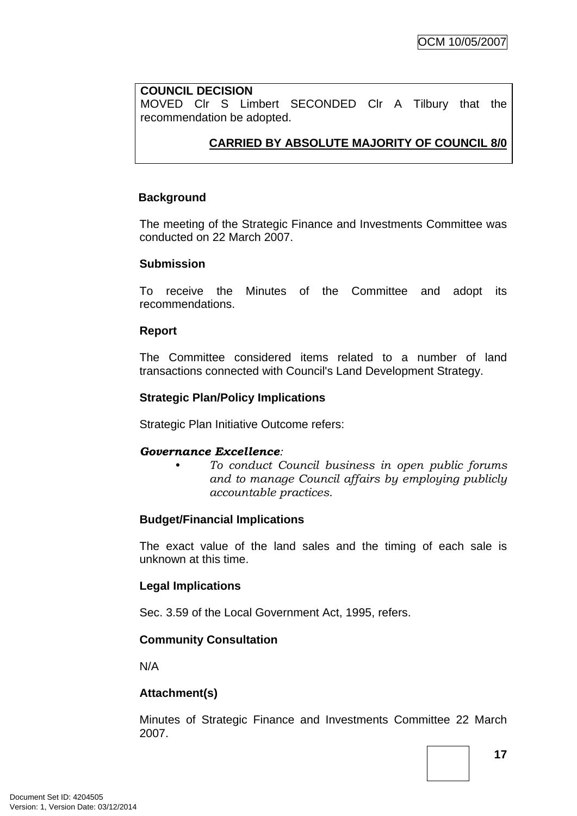#### **COUNCIL DECISION**

MOVED Clr S Limbert SECONDED Clr A Tilbury that the recommendation be adopted.

### **CARRIED BY ABSOLUTE MAJORITY OF COUNCIL 8/0**

#### **Background**

The meeting of the Strategic Finance and Investments Committee was conducted on 22 March 2007.

#### **Submission**

To receive the Minutes of the Committee and adopt its recommendations.

#### **Report**

The Committee considered items related to a number of land transactions connected with Council's Land Development Strategy.

#### **Strategic Plan/Policy Implications**

Strategic Plan Initiative Outcome refers:

#### *Governance Excellence:*

*• To conduct Council business in open public forums and to manage Council affairs by employing publicly accountable practices.* 

#### **Budget/Financial Implications**

The exact value of the land sales and the timing of each sale is unknown at this time.

#### **Legal Implications**

Sec. 3.59 of the Local Government Act, 1995, refers.

#### **Community Consultation**

N/A

#### **Attachment(s)**

Minutes of Strategic Finance and Investments Committee 22 March 2007.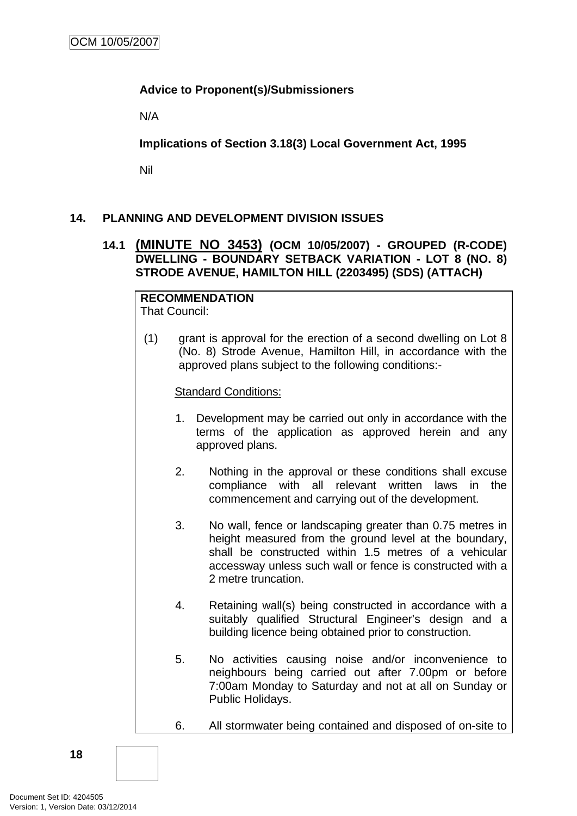### <span id="page-21-0"></span>**Advice to Proponent(s)/Submissioners**

N/A

**Implications of Section 3.18(3) Local Government Act, 1995**

Nil

### **14. PLANNING AND DEVELOPMENT DIVISION ISSUES**

### **14.1 (MINUTE NO 3453) (OCM 10/05/2007) - GROUPED (R-CODE) DWELLING - BOUNDARY SETBACK VARIATION - LOT 8 (NO. 8) STRODE AVENUE, HAMILTON HILL (2203495) (SDS) (ATTACH)**

#### **RECOMMENDATION** That Council:

(1) grant is approval for the erection of a second dwelling on Lot 8 (No. 8) Strode Avenue, Hamilton Hill, in accordance with the approved plans subject to the following conditions:-

### Standard Conditions:

- 1. Development may be carried out only in accordance with the terms of the application as approved herein and any approved plans.
- 2. Nothing in the approval or these conditions shall excuse compliance with all relevant written laws in the commencement and carrying out of the development.
- 3. No wall, fence or landscaping greater than 0.75 metres in height measured from the ground level at the boundary, shall be constructed within 1.5 metres of a vehicular accessway unless such wall or fence is constructed with a 2 metre truncation.
- 4. Retaining wall(s) being constructed in accordance with a suitably qualified Structural Engineer's design and a building licence being obtained prior to construction.
- 5. No activities causing noise and/or inconvenience to neighbours being carried out after 7.00pm or before 7:00am Monday to Saturday and not at all on Sunday or Public Holidays.
- 6. All stormwater being contained and disposed of on-site to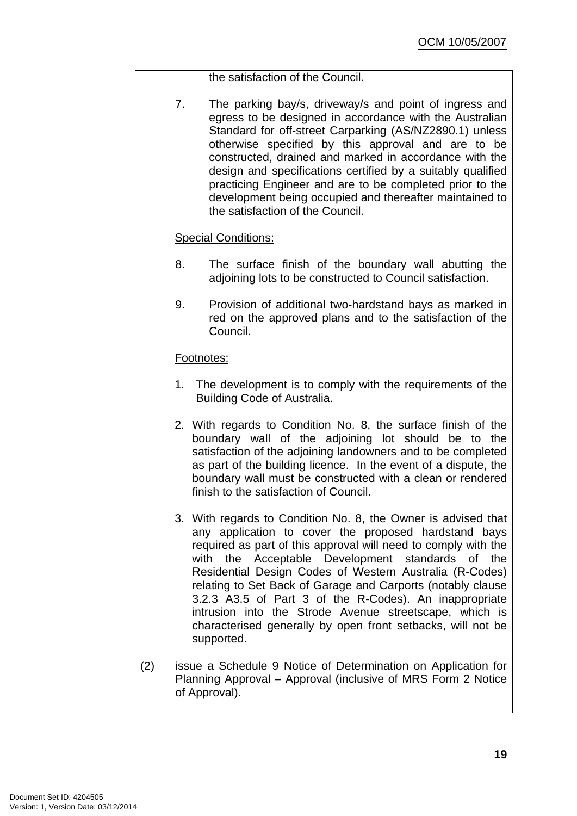the satisfaction of the Council.

7. The parking bay/s, driveway/s and point of ingress and egress to be designed in accordance with the Australian Standard for off-street Carparking (AS/NZ2890.1) unless otherwise specified by this approval and are to be constructed, drained and marked in accordance with the design and specifications certified by a suitably qualified practicing Engineer and are to be completed prior to the development being occupied and thereafter maintained to the satisfaction of the Council.

### Special Conditions:

- 8. The surface finish of the boundary wall abutting the adjoining lots to be constructed to Council satisfaction.
- 9. Provision of additional two-hardstand bays as marked in red on the approved plans and to the satisfaction of the Council.

### Footnotes:

- 1. The development is to comply with the requirements of the Building Code of Australia.
- 2. With regards to Condition No. 8, the surface finish of the boundary wall of the adjoining lot should be to the satisfaction of the adjoining landowners and to be completed as part of the building licence. In the event of a dispute, the boundary wall must be constructed with a clean or rendered finish to the satisfaction of Council.
- 3. With regards to Condition No. 8, the Owner is advised that any application to cover the proposed hardstand bays required as part of this approval will need to comply with the with the Acceptable Development standards of the Residential Design Codes of Western Australia (R-Codes) relating to Set Back of Garage and Carports (notably clause 3.2.3 A3.5 of Part 3 of the R-Codes). An inappropriate intrusion into the Strode Avenue streetscape, which is characterised generally by open front setbacks, will not be supported.
- (2) issue a Schedule 9 Notice of Determination on Application for Planning Approval – Approval (inclusive of MRS Form 2 Notice of Approval).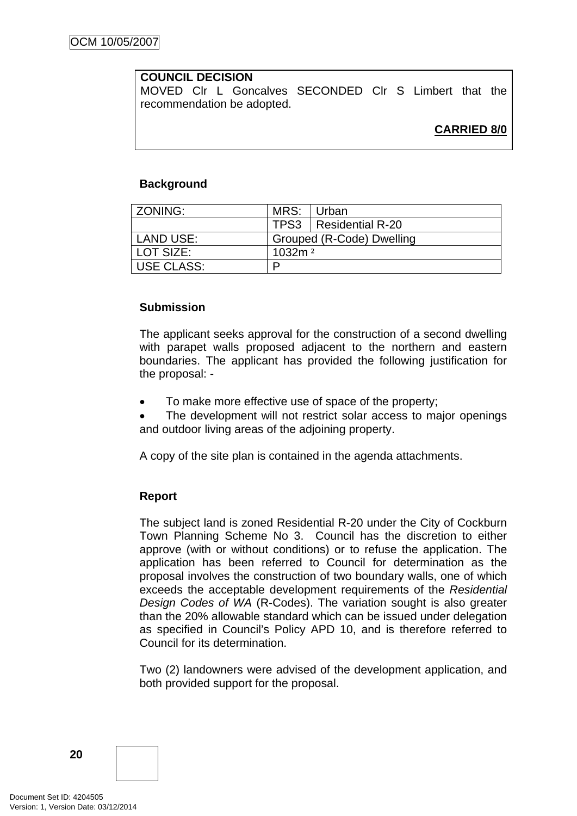### **COUNCIL DECISION**

MOVED Clr L Goncalves SECONDED Clr S Limbert that the recommendation be adopted.

### **CARRIED 8/0**

#### **Background**

| ZONING:           | MRS:               | l Urban                   |
|-------------------|--------------------|---------------------------|
|                   |                    | TPS3   Residential R-20   |
| LAND USE:         |                    | Grouped (R-Code) Dwelling |
| LOT SIZE:         | 1032m <sup>2</sup> |                           |
| <b>USE CLASS:</b> | ם                  |                           |

#### **Submission**

The applicant seeks approval for the construction of a second dwelling with parapet walls proposed adjacent to the northern and eastern boundaries. The applicant has provided the following justification for the proposal: -

• To make more effective use of space of the property;

The development will not restrict solar access to major openings and outdoor living areas of the adjoining property.

A copy of the site plan is contained in the agenda attachments.

#### **Report**

The subject land is zoned Residential R-20 under the City of Cockburn Town Planning Scheme No 3. Council has the discretion to either approve (with or without conditions) or to refuse the application. The application has been referred to Council for determination as the proposal involves the construction of two boundary walls, one of which exceeds the acceptable development requirements of the *Residential Design Codes of WA* (R-Codes). The variation sought is also greater than the 20% allowable standard which can be issued under delegation as specified in Council's Policy APD 10, and is therefore referred to Council for its determination.

Two (2) landowners were advised of the development application, and both provided support for the proposal.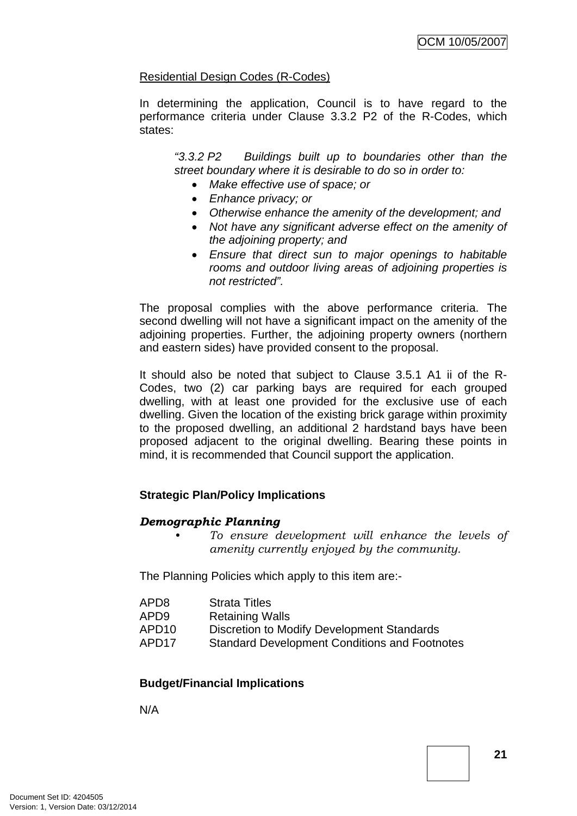### Residential Design Codes (R-Codes)

In determining the application, Council is to have regard to the performance criteria under Clause 3.3.2 P2 of the R-Codes, which states:

*"3.3.2 P2 Buildings built up to boundaries other than the street boundary where it is desirable to do so in order to:* 

- *Make effective use of space; or*
- *Enhance privacy; or*
- *Otherwise enhance the amenity of the development; and*
- *Not have any significant adverse effect on the amenity of the adjoining property; and*
- *Ensure that direct sun to major openings to habitable rooms and outdoor living areas of adjoining properties is not restricted".*

The proposal complies with the above performance criteria. The second dwelling will not have a significant impact on the amenity of the adjoining properties. Further, the adjoining property owners (northern and eastern sides) have provided consent to the proposal.

It should also be noted that subject to Clause 3.5.1 A1 ii of the R-Codes, two (2) car parking bays are required for each grouped dwelling, with at least one provided for the exclusive use of each dwelling. Given the location of the existing brick garage within proximity to the proposed dwelling, an additional 2 hardstand bays have been proposed adjacent to the original dwelling. Bearing these points in mind, it is recommended that Council support the application.

### **Strategic Plan/Policy Implications**

#### *Demographic Planning*

*• To ensure development will enhance the levels of amenity currently enjoyed by the community.*

The Planning Policies which apply to this item are:-

| <b>Strata Titles</b><br>APD <sub>8</sub> |
|------------------------------------------|
|------------------------------------------|

- APD9 Retaining Walls
- APD10 Discretion to Modify Development Standards
- APD17 Standard Development Conditions and Footnotes

### **Budget/Financial Implications**

N/A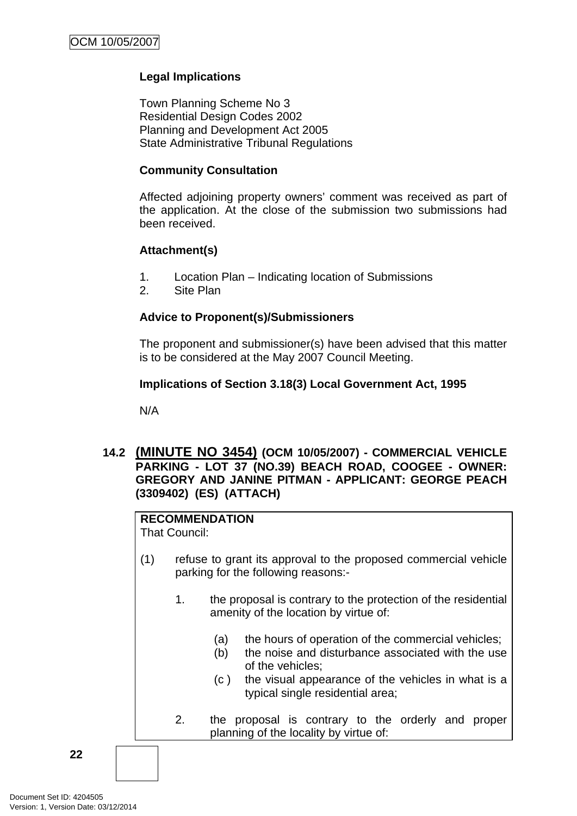### <span id="page-25-0"></span>**Legal Implications**

Town Planning Scheme No 3 Residential Design Codes 2002 Planning and Development Act 2005 State Administrative Tribunal Regulations

#### **Community Consultation**

Affected adjoining property owners' comment was received as part of the application. At the close of the submission two submissions had been received.

### **Attachment(s)**

- 1. Location Plan Indicating location of Submissions
- 2. Site Plan

#### **Advice to Proponent(s)/Submissioners**

The proponent and submissioner(s) have been advised that this matter is to be considered at the May 2007 Council Meeting.

#### **Implications of Section 3.18(3) Local Government Act, 1995**

N/A

#### **14.2 (MINUTE NO 3454) (OCM 10/05/2007) - COMMERCIAL VEHICLE PARKING - LOT 37 (NO.39) BEACH ROAD, COOGEE - OWNER: GREGORY AND JANINE PITMAN - APPLICANT: GEORGE PEACH (3309402) (ES) (ATTACH)**

#### **RECOMMENDATION**

That Council:

- (1) refuse to grant its approval to the proposed commercial vehicle parking for the following reasons:-
	- 1. the proposal is contrary to the protection of the residential amenity of the location by virtue of:
		- (a) the hours of operation of the commercial vehicles;
		- (b) the noise and disturbance associated with the use of the vehicles;
		- (c ) the visual appearance of the vehicles in what is a typical single residential area;
	- 2. the proposal is contrary to the orderly and proper planning of the locality by virtue of: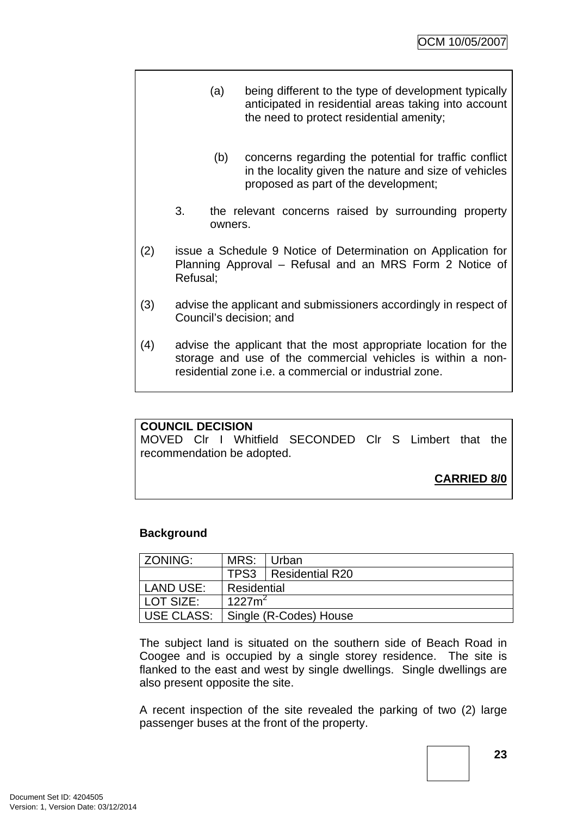- (a) being different to the type of development typically anticipated in residential areas taking into account the need to protect residential amenity;
	- (b) concerns regarding the potential for traffic conflict in the locality given the nature and size of vehicles proposed as part of the development;
- 3. the relevant concerns raised by surrounding property owners.
- (2) issue a Schedule 9 Notice of Determination on Application for Planning Approval – Refusal and an MRS Form 2 Notice of Refusal;
- (3) advise the applicant and submissioners accordingly in respect of Council's decision; and
- (4) advise the applicant that the most appropriate location for the storage and use of the commercial vehicles is within a nonresidential zone i.e. a commercial or industrial zone.

#### **COUNCIL DECISION**

MOVED Clr I Whitfield SECONDED Clr S Limbert that the recommendation be adopted.

### **CARRIED 8/0**

#### **Background**

| l ZONING:   | MRS:        | ⊺Urban                 |
|-------------|-------------|------------------------|
|             |             | TPS3   Residential R20 |
| LAND USE:   | Residential |                        |
| l LOT SIZE: | $1227m^2$   |                        |
| USE CLASS:  |             | Single (R-Codes) House |

The subject land is situated on the southern side of Beach Road in Coogee and is occupied by a single storey residence. The site is flanked to the east and west by single dwellings. Single dwellings are also present opposite the site.

A recent inspection of the site revealed the parking of two (2) large passenger buses at the front of the property.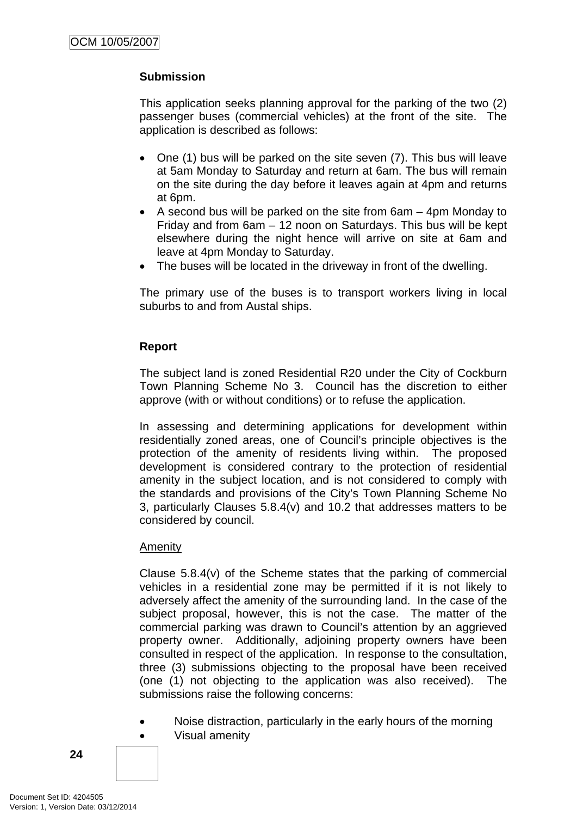### **Submission**

This application seeks planning approval for the parking of the two (2) passenger buses (commercial vehicles) at the front of the site. The application is described as follows:

- One (1) bus will be parked on the site seven (7). This bus will leave at 5am Monday to Saturday and return at 6am. The bus will remain on the site during the day before it leaves again at 4pm and returns at 6pm.
- A second bus will be parked on the site from 6am 4pm Monday to Friday and from 6am – 12 noon on Saturdays. This bus will be kept elsewhere during the night hence will arrive on site at 6am and leave at 4pm Monday to Saturday.
- The buses will be located in the driveway in front of the dwelling.

The primary use of the buses is to transport workers living in local suburbs to and from Austal ships.

### **Report**

The subject land is zoned Residential R20 under the City of Cockburn Town Planning Scheme No 3. Council has the discretion to either approve (with or without conditions) or to refuse the application.

In assessing and determining applications for development within residentially zoned areas, one of Council's principle objectives is the protection of the amenity of residents living within. The proposed development is considered contrary to the protection of residential amenity in the subject location, and is not considered to comply with the standards and provisions of the City's Town Planning Scheme No 3, particularly Clauses 5.8.4(v) and 10.2 that addresses matters to be considered by council.

#### Amenity

Clause 5.8.4(v) of the Scheme states that the parking of commercial vehicles in a residential zone may be permitted if it is not likely to adversely affect the amenity of the surrounding land. In the case of the subject proposal, however, this is not the case. The matter of the commercial parking was drawn to Council's attention by an aggrieved property owner. Additionally, adjoining property owners have been consulted in respect of the application. In response to the consultation, three (3) submissions objecting to the proposal have been received (one (1) not objecting to the application was also received). The submissions raise the following concerns:

• Noise distraction, particularly in the early hours of the morning • Visual amenity

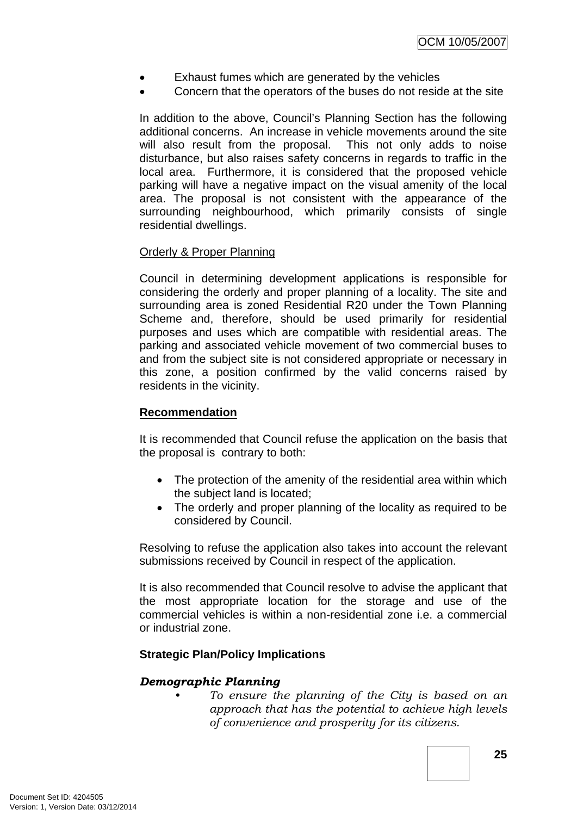- Exhaust fumes which are generated by the vehicles
- Concern that the operators of the buses do not reside at the site

In addition to the above, Council's Planning Section has the following additional concerns. An increase in vehicle movements around the site will also result from the proposal. This not only adds to noise disturbance, but also raises safety concerns in regards to traffic in the local area. Furthermore, it is considered that the proposed vehicle parking will have a negative impact on the visual amenity of the local area. The proposal is not consistent with the appearance of the surrounding neighbourhood, which primarily consists of single residential dwellings.

#### Orderly & Proper Planning

Council in determining development applications is responsible for considering the orderly and proper planning of a locality. The site and surrounding area is zoned Residential R20 under the Town Planning Scheme and, therefore, should be used primarily for residential purposes and uses which are compatible with residential areas. The parking and associated vehicle movement of two commercial buses to and from the subject site is not considered appropriate or necessary in this zone, a position confirmed by the valid concerns raised by residents in the vicinity.

#### **Recommendation**

It is recommended that Council refuse the application on the basis that the proposal is contrary to both:

- The protection of the amenity of the residential area within which the subject land is located;
- The orderly and proper planning of the locality as required to be considered by Council.

Resolving to refuse the application also takes into account the relevant submissions received by Council in respect of the application.

It is also recommended that Council resolve to advise the applicant that the most appropriate location for the storage and use of the commercial vehicles is within a non-residential zone i.e. a commercial or industrial zone.

#### **Strategic Plan/Policy Implications**

#### *Demographic Planning*

*• To ensure the planning of the City is based on an approach that has the potential to achieve high levels of convenience and prosperity for its citizens.*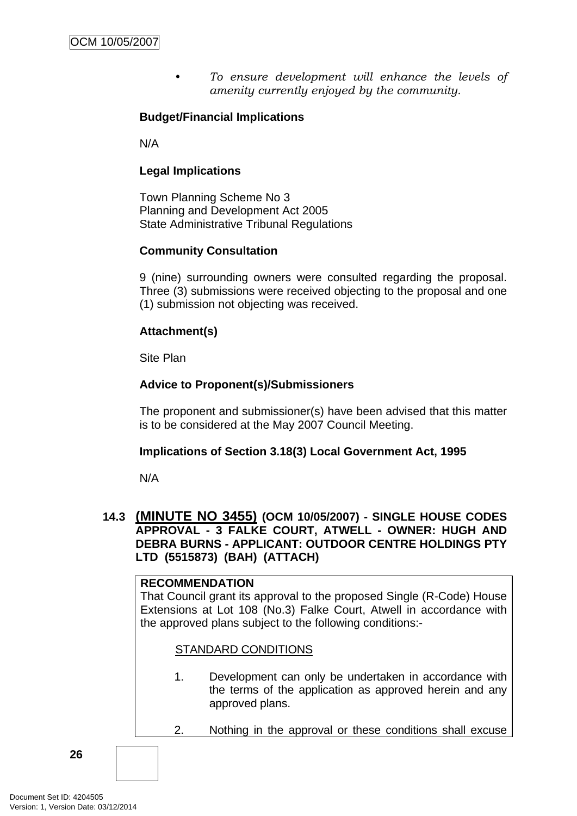*• To ensure development will enhance the levels of amenity currently enjoyed by the community.*

### <span id="page-29-0"></span>**Budget/Financial Implications**

N/A

#### **Legal Implications**

Town Planning Scheme No 3 Planning and Development Act 2005 State Administrative Tribunal Regulations

### **Community Consultation**

9 (nine) surrounding owners were consulted regarding the proposal. Three (3) submissions were received objecting to the proposal and one (1) submission not objecting was received.

### **Attachment(s)**

Site Plan

### **Advice to Proponent(s)/Submissioners**

The proponent and submissioner(s) have been advised that this matter is to be considered at the May 2007 Council Meeting.

#### **Implications of Section 3.18(3) Local Government Act, 1995**

N/A

#### **14.3 (MINUTE NO 3455) (OCM 10/05/2007) - SINGLE HOUSE CODES APPROVAL - 3 FALKE COURT, ATWELL - OWNER: HUGH AND DEBRA BURNS - APPLICANT: OUTDOOR CENTRE HOLDINGS PTY LTD (5515873) (BAH) (ATTACH)**

#### **RECOMMENDATION**

That Council grant its approval to the proposed Single (R-Code) House Extensions at Lot 108 (No.3) Falke Court, Atwell in accordance with the approved plans subject to the following conditions:-

#### STANDARD CONDITIONS

- 1. Development can only be undertaken in accordance with the terms of the application as approved herein and any approved plans.
- 2. Nothing in the approval or these conditions shall excuse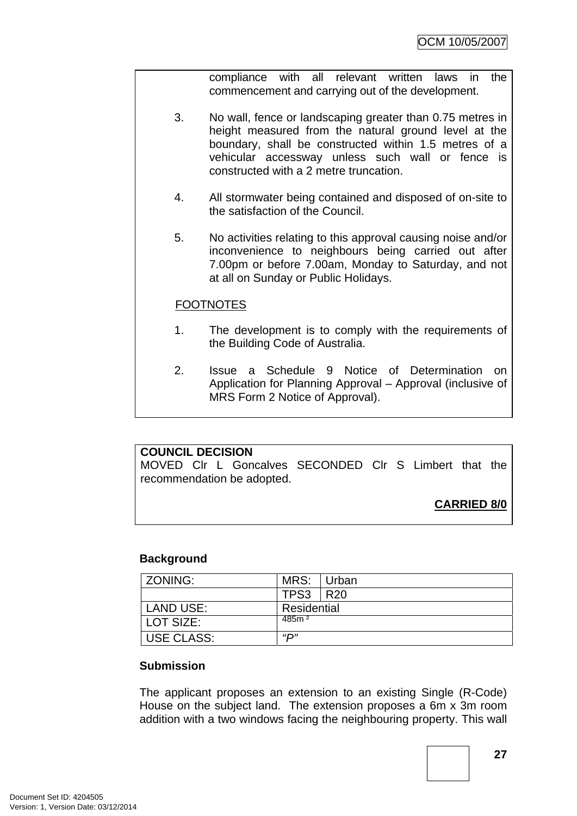compliance with all relevant written laws in the commencement and carrying out of the development.

- 3. No wall, fence or landscaping greater than 0.75 metres in height measured from the natural ground level at the boundary, shall be constructed within 1.5 metres of a vehicular accessway unless such wall or fence is constructed with a 2 metre truncation.
- 4. All stormwater being contained and disposed of on-site to the satisfaction of the Council.
- 5. No activities relating to this approval causing noise and/or inconvenience to neighbours being carried out after 7.00pm or before 7.00am, Monday to Saturday, and not at all on Sunday or Public Holidays.

### **FOOTNOTES**

- 1. The development is to comply with the requirements of the Building Code of Australia.
- 2. Issue a Schedule 9 Notice of Determination on Application for Planning Approval – Approval (inclusive of MRS Form 2 Notice of Approval).

### **COUNCIL DECISION**

MOVED Clr L Goncalves SECONDED Clr S Limbert that the recommendation be adopted.

# **CARRIED 8/0**

#### **Background**

| l ZONING:         | MRS:              | Urban |
|-------------------|-------------------|-------|
|                   | <b>TPS3   R20</b> |       |
| LAND USE:         | Residential       |       |
| l LOT SIZE:       | 485m <sup>2</sup> |       |
| <b>USE CLASS:</b> | <i>יים</i> "      |       |

#### **Submission**

The applicant proposes an extension to an existing Single (R-Code) House on the subject land. The extension proposes a 6m x 3m room addition with a two windows facing the neighbouring property. This wall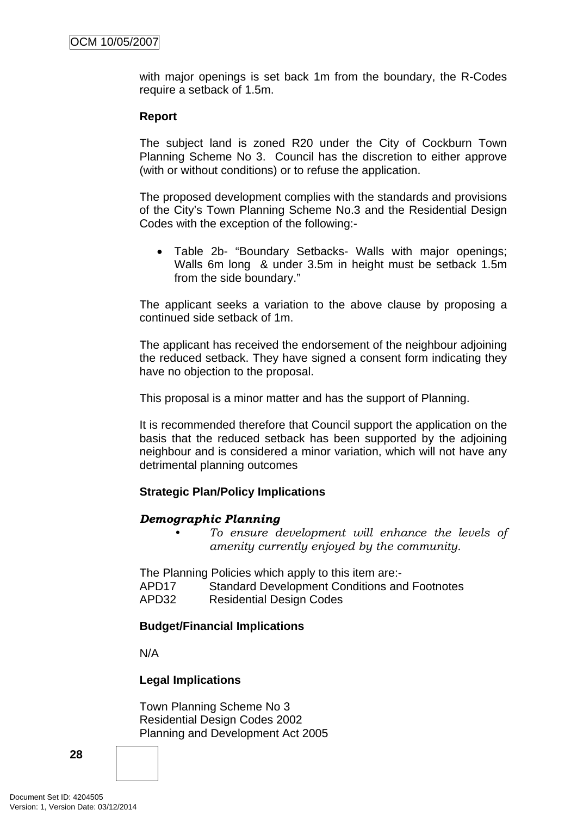with major openings is set back 1m from the boundary, the R-Codes require a setback of 1.5m.

#### **Report**

The subject land is zoned R20 under the City of Cockburn Town Planning Scheme No 3. Council has the discretion to either approve (with or without conditions) or to refuse the application.

The proposed development complies with the standards and provisions of the City's Town Planning Scheme No.3 and the Residential Design Codes with the exception of the following:-

• Table 2b- "Boundary Setbacks- Walls with major openings; Walls 6m long & under 3.5m in height must be setback 1.5m from the side boundary."

The applicant seeks a variation to the above clause by proposing a continued side setback of 1m.

The applicant has received the endorsement of the neighbour adjoining the reduced setback. They have signed a consent form indicating they have no objection to the proposal.

This proposal is a minor matter and has the support of Planning.

It is recommended therefore that Council support the application on the basis that the reduced setback has been supported by the adjoining neighbour and is considered a minor variation, which will not have any detrimental planning outcomes

### **Strategic Plan/Policy Implications**

#### *Demographic Planning*

*• To ensure development will enhance the levels of amenity currently enjoyed by the community.*

The Planning Policies which apply to this item are:-

APD17 Standard Development Conditions and Footnotes

APD32 Residential Design Codes

### **Budget/Financial Implications**

N/A

### **Legal Implications**

Town Planning Scheme No 3 Residential Design Codes 2002 Planning and Development Act 2005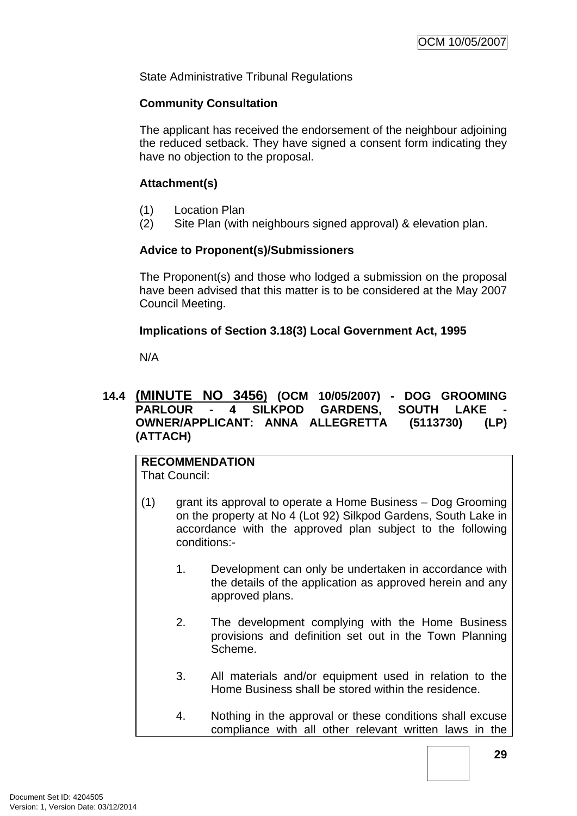<span id="page-32-0"></span>State Administrative Tribunal Regulations

#### **Community Consultation**

The applicant has received the endorsement of the neighbour adjoining the reduced setback. They have signed a consent form indicating they have no objection to the proposal.

### **Attachment(s)**

- (1) Location Plan
- (2) Site Plan (with neighbours signed approval) & elevation plan.

### **Advice to Proponent(s)/Submissioners**

The Proponent(s) and those who lodged a submission on the proposal have been advised that this matter is to be considered at the May 2007 Council Meeting.

### **Implications of Section 3.18(3) Local Government Act, 1995**

N/A

#### **14.4 (MINUTE NO 3456) (OCM 10/05/2007) - DOG GROOMING PARLOUR - 4 SILKPOD GARDENS, SOUTH LAKE OWNER/APPLICANT: ANNA ALLEGRETTA (5113730) (LP) (ATTACH)**

**RECOMMENDATION** That Council:

- (1) grant its approval to operate a Home Business Dog Grooming on the property at No 4 (Lot 92) Silkpod Gardens, South Lake in accordance with the approved plan subject to the following conditions:-
	- 1. Development can only be undertaken in accordance with the details of the application as approved herein and any approved plans.
	- 2. The development complying with the Home Business provisions and definition set out in the Town Planning Scheme.
	- 3. All materials and/or equipment used in relation to the Home Business shall be stored within the residence.
	- 4. Nothing in the approval or these conditions shall excuse compliance with all other relevant written laws in the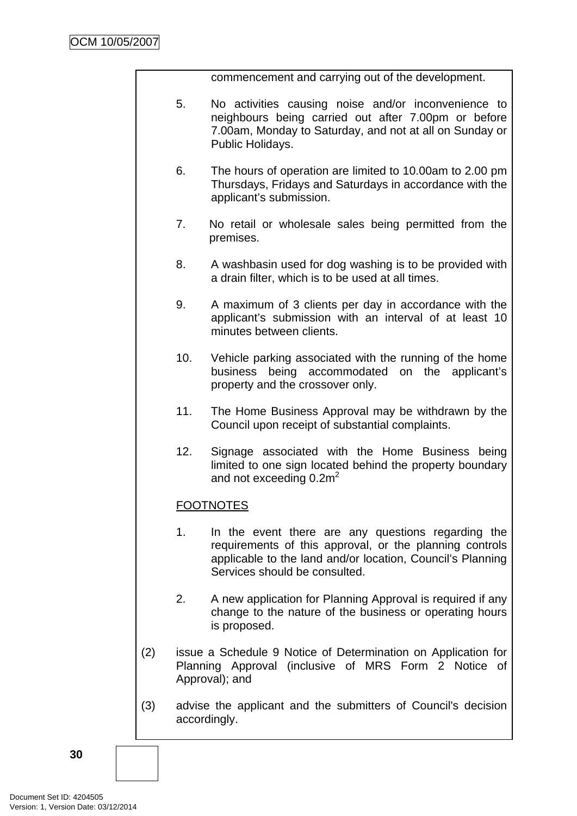commencement and carrying out of the development.

- 5. No activities causing noise and/or inconvenience to neighbours being carried out after 7.00pm or before 7.00am, Monday to Saturday, and not at all on Sunday or Public Holidays.
- 6. The hours of operation are limited to 10.00am to 2.00 pm Thursdays, Fridays and Saturdays in accordance with the applicant's submission.
- 7. No retail or wholesale sales being permitted from the premises.
- 8. A washbasin used for dog washing is to be provided with a drain filter, which is to be used at all times.
- 9. A maximum of 3 clients per day in accordance with the applicant's submission with an interval of at least 10 minutes between clients.
- 10. Vehicle parking associated with the running of the home business being accommodated on the applicant's property and the crossover only.
- 11. The Home Business Approval may be withdrawn by the Council upon receipt of substantial complaints.
- 12. Signage associated with the Home Business being limited to one sign located behind the property boundary and not exceeding  $0.2m<sup>2</sup>$

# FOOTNOTES

- 1. In the event there are any questions regarding the requirements of this approval, or the planning controls applicable to the land and/or location, Council's Planning Services should be consulted.
- 2. A new application for Planning Approval is required if any change to the nature of the business or operating hours is proposed.
- (2) issue a Schedule 9 Notice of Determination on Application for Planning Approval (inclusive of MRS Form 2 Notice of Approval); and
- (3) advise the applicant and the submitters of Council's decision accordingly.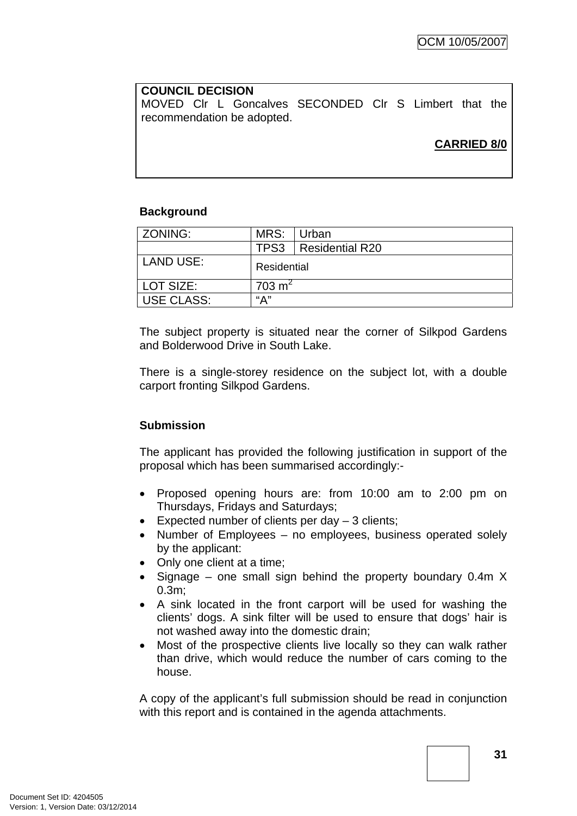# **COUNCIL DECISION**  MOVED Clr L Goncalves SECONDED Clr S Limbert that the recommendation be adopted.

# **CARRIED 8/0**

### **Background**

| ZONING:           | MRS:               | Urban           |
|-------------------|--------------------|-----------------|
|                   | TPS3               | Residential R20 |
| LAND USE:         | Residential        |                 |
| l LOT SIZE:       | 703 m <sup>2</sup> |                 |
| <b>USE CLASS:</b> | "А"                |                 |

The subject property is situated near the corner of Silkpod Gardens and Bolderwood Drive in South Lake.

There is a single-storey residence on the subject lot, with a double carport fronting Silkpod Gardens.

### **Submission**

The applicant has provided the following justification in support of the proposal which has been summarised accordingly:-

- Proposed opening hours are: from 10:00 am to 2:00 pm on Thursdays, Fridays and Saturdays;
- Expected number of clients per day 3 clients;
- Number of Employees no employees, business operated solely by the applicant:
- Only one client at a time;
- Signage one small sign behind the property boundary 0.4m X 0.3m;
- A sink located in the front carport will be used for washing the clients' dogs. A sink filter will be used to ensure that dogs' hair is not washed away into the domestic drain;
- Most of the prospective clients live locally so they can walk rather than drive, which would reduce the number of cars coming to the house.

A copy of the applicant's full submission should be read in conjunction with this report and is contained in the agenda attachments.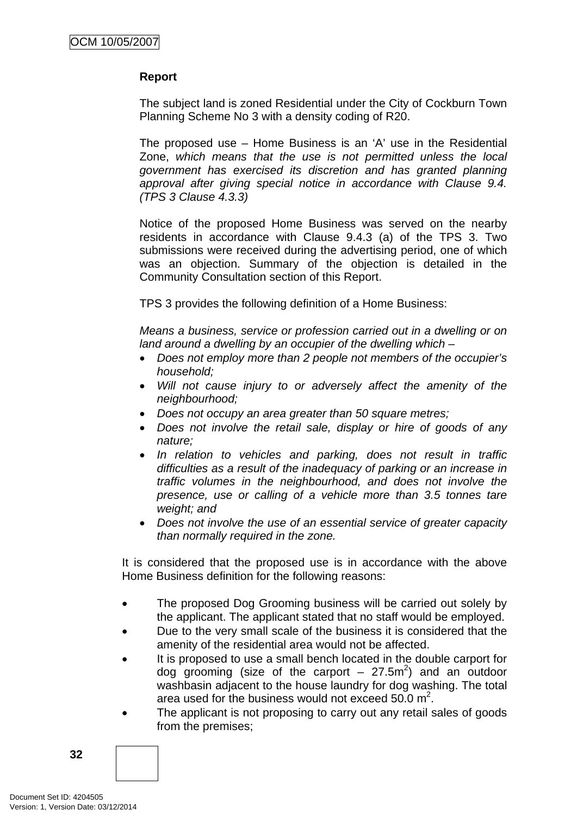### **Report**

The subject land is zoned Residential under the City of Cockburn Town Planning Scheme No 3 with a density coding of R20.

The proposed use – Home Business is an 'A' use in the Residential Zone, *which means that the use is not permitted unless the local government has exercised its discretion and has granted planning approval after giving special notice in accordance with Clause 9.4. (TPS 3 Clause 4.3.3)* 

Notice of the proposed Home Business was served on the nearby residents in accordance with Clause 9.4.3 (a) of the TPS 3. Two submissions were received during the advertising period, one of which was an objection. Summary of the objection is detailed in the Community Consultation section of this Report.

TPS 3 provides the following definition of a Home Business:

*Means a business, service or profession carried out in a dwelling or on land around a dwelling by an occupier of the dwelling which –* 

- *Does not employ more than 2 people not members of the occupier's household;*
- *Will not cause injury to or adversely affect the amenity of the neighbourhood;*
- *Does not occupy an area greater than 50 square metres;*
- *Does not involve the retail sale, display or hire of goods of any nature;*
- *In relation to vehicles and parking, does not result in traffic difficulties as a result of the inadequacy of parking or an increase in traffic volumes in the neighbourhood, and does not involve the presence, use or calling of a vehicle more than 3.5 tonnes tare weight; and*
- *Does not involve the use of an essential service of greater capacity than normally required in the zone.*

It is considered that the proposed use is in accordance with the above Home Business definition for the following reasons:

- The proposed Dog Grooming business will be carried out solely by the applicant. The applicant stated that no staff would be employed.
- Due to the very small scale of the business it is considered that the amenity of the residential area would not be affected.
- It is proposed to use a small bench located in the double carport for dog grooming (size of the carport  $-27.5m^2$ ) and an outdoor washbasin adjacent to the house laundry for dog washing. The total area used for the business would not exceed  $50.0 \text{ m}^2$ .
- The applicant is not proposing to carry out any retail sales of goods from the premises;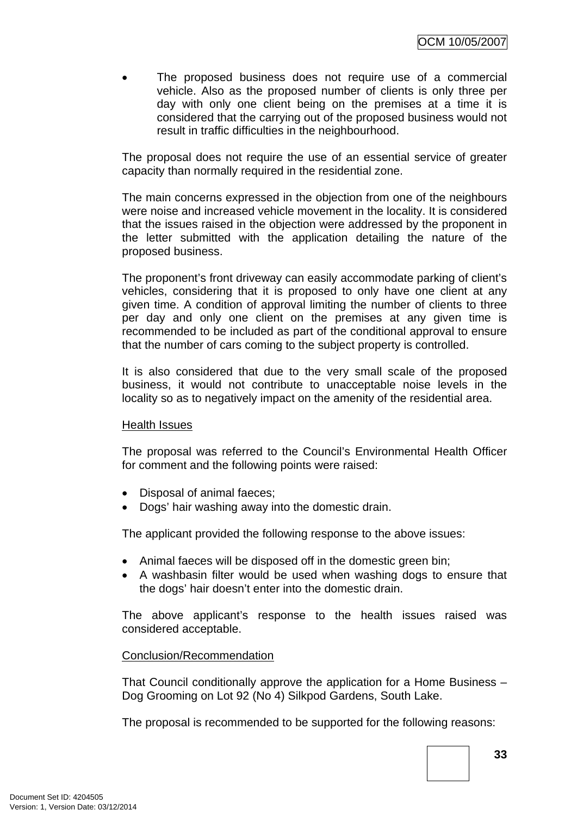The proposed business does not require use of a commercial vehicle. Also as the proposed number of clients is only three per day with only one client being on the premises at a time it is considered that the carrying out of the proposed business would not result in traffic difficulties in the neighbourhood.

The proposal does not require the use of an essential service of greater capacity than normally required in the residential zone.

The main concerns expressed in the objection from one of the neighbours were noise and increased vehicle movement in the locality. It is considered that the issues raised in the objection were addressed by the proponent in the letter submitted with the application detailing the nature of the proposed business.

The proponent's front driveway can easily accommodate parking of client's vehicles, considering that it is proposed to only have one client at any given time. A condition of approval limiting the number of clients to three per day and only one client on the premises at any given time is recommended to be included as part of the conditional approval to ensure that the number of cars coming to the subject property is controlled.

It is also considered that due to the very small scale of the proposed business, it would not contribute to unacceptable noise levels in the locality so as to negatively impact on the amenity of the residential area.

#### Health Issues

The proposal was referred to the Council's Environmental Health Officer for comment and the following points were raised:

- Disposal of animal faeces;
- Dogs' hair washing away into the domestic drain.

The applicant provided the following response to the above issues:

- Animal faeces will be disposed off in the domestic green bin;
- A washbasin filter would be used when washing dogs to ensure that the dogs' hair doesn't enter into the domestic drain.

The above applicant's response to the health issues raised was considered acceptable.

#### Conclusion/Recommendation

That Council conditionally approve the application for a Home Business – Dog Grooming on Lot 92 (No 4) Silkpod Gardens, South Lake.

The proposal is recommended to be supported for the following reasons: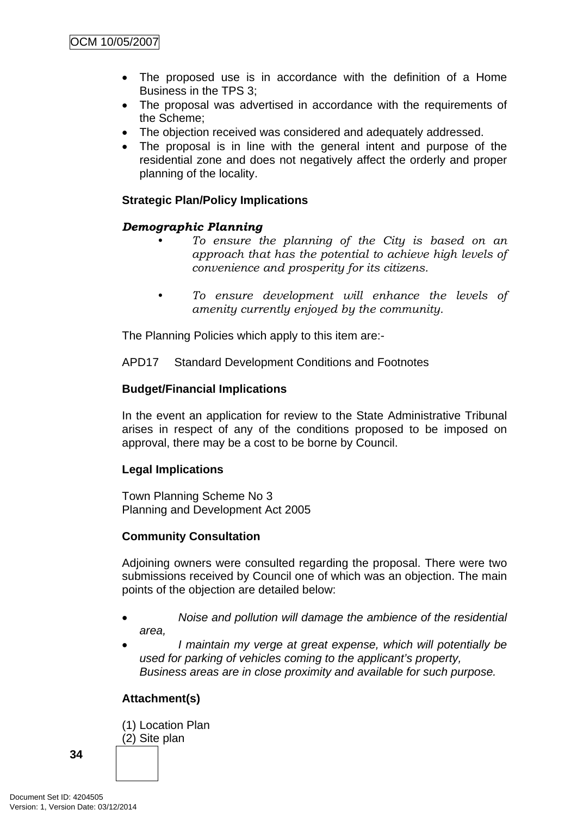- The proposed use is in accordance with the definition of a Home Business in the TPS 3;
- The proposal was advertised in accordance with the requirements of the Scheme;
- The objection received was considered and adequately addressed.
- The proposal is in line with the general intent and purpose of the residential zone and does not negatively affect the orderly and proper planning of the locality.

## **Strategic Plan/Policy Implications**

## *Demographic Planning*

- *To ensure the planning of the City is based on an approach that has the potential to achieve high levels of convenience and prosperity for its citizens.*
- *To ensure development will enhance the levels of amenity currently enjoyed by the community.*

The Planning Policies which apply to this item are:-

APD17 Standard Development Conditions and Footnotes

## **Budget/Financial Implications**

In the event an application for review to the State Administrative Tribunal arises in respect of any of the conditions proposed to be imposed on approval, there may be a cost to be borne by Council.

## **Legal Implications**

Town Planning Scheme No 3 Planning and Development Act 2005

## **Community Consultation**

Adjoining owners were consulted regarding the proposal. There were two submissions received by Council one of which was an objection. The main points of the objection are detailed below:

- *Noise and pollution will damage the ambience of the residential area,*
- *I maintain my verge at great expense, which will potentially be used for parking of vehicles coming to the applicant's property, Business areas are in close proximity and available for such purpose.*

## **Attachment(s)**

(1) Location Plan (2) Site plan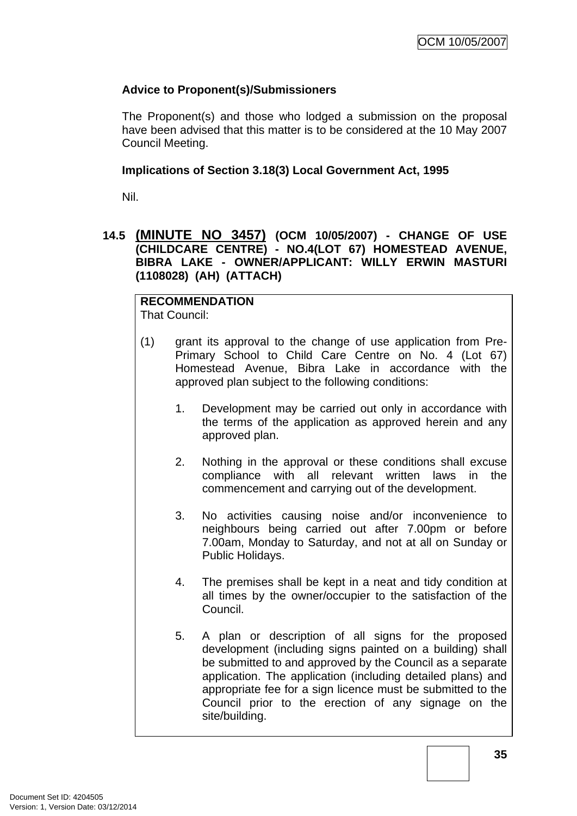### **Advice to Proponent(s)/Submissioners**

The Proponent(s) and those who lodged a submission on the proposal have been advised that this matter is to be considered at the 10 May 2007 Council Meeting.

#### **Implications of Section 3.18(3) Local Government Act, 1995**

Nil.

### **14.5 (MINUTE NO 3457) (OCM 10/05/2007) - CHANGE OF USE (CHILDCARE CENTRE) - NO.4(LOT 67) HOMESTEAD AVENUE, BIBRA LAKE - OWNER/APPLICANT: WILLY ERWIN MASTURI (1108028) (AH) (ATTACH)**

# **RECOMMENDATION**

That Council:

- (1) grant its approval to the change of use application from Pre-Primary School to Child Care Centre on No. 4 (Lot 67) Homestead Avenue, Bibra Lake in accordance with the approved plan subject to the following conditions:
	- 1. Development may be carried out only in accordance with the terms of the application as approved herein and any approved plan.
	- 2. Nothing in the approval or these conditions shall excuse compliance with all relevant written laws in the commencement and carrying out of the development.
	- 3. No activities causing noise and/or inconvenience to neighbours being carried out after 7.00pm or before 7.00am, Monday to Saturday, and not at all on Sunday or Public Holidays.
	- 4. The premises shall be kept in a neat and tidy condition at all times by the owner/occupier to the satisfaction of the Council.
	- 5. A plan or description of all signs for the proposed development (including signs painted on a building) shall be submitted to and approved by the Council as a separate application. The application (including detailed plans) and appropriate fee for a sign licence must be submitted to the Council prior to the erection of any signage on the site/building.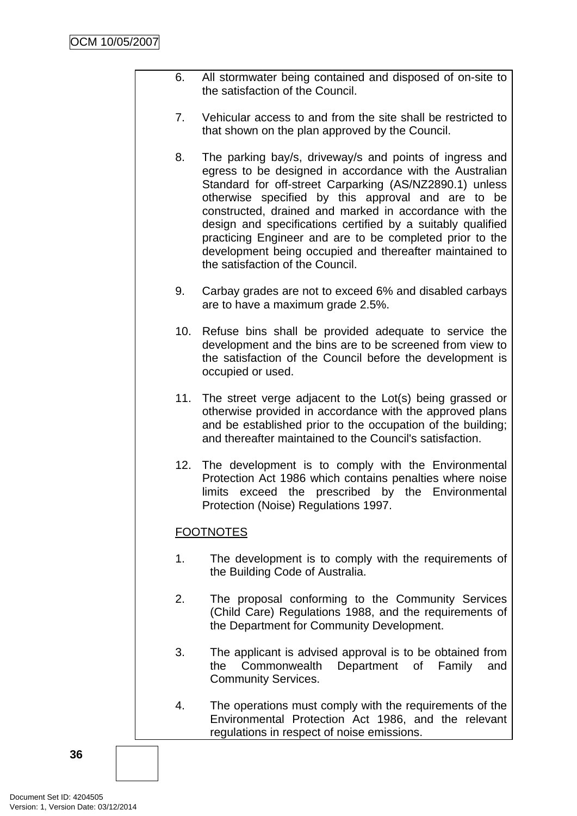- 6. All stormwater being contained and disposed of on-site to the satisfaction of the Council.
- 7. Vehicular access to and from the site shall be restricted to that shown on the plan approved by the Council.
- 8. The parking bay/s, driveway/s and points of ingress and egress to be designed in accordance with the Australian Standard for off-street Carparking (AS/NZ2890.1) unless otherwise specified by this approval and are to be constructed, drained and marked in accordance with the design and specifications certified by a suitably qualified practicing Engineer and are to be completed prior to the development being occupied and thereafter maintained to the satisfaction of the Council.
- 9. Carbay grades are not to exceed 6% and disabled carbays are to have a maximum grade 2.5%.
- 10. Refuse bins shall be provided adequate to service the development and the bins are to be screened from view to the satisfaction of the Council before the development is occupied or used.
- 11. The street verge adjacent to the Lot(s) being grassed or otherwise provided in accordance with the approved plans and be established prior to the occupation of the building; and thereafter maintained to the Council's satisfaction.
- 12. The development is to comply with the Environmental Protection Act 1986 which contains penalties where noise limits exceed the prescribed by the Environmental Protection (Noise) Regulations 1997.

## **FOOTNOTES**

- 1. The development is to comply with the requirements of the Building Code of Australia.
- 2. The proposal conforming to the Community Services (Child Care) Regulations 1988, and the requirements of the Department for Community Development.
- 3. The applicant is advised approval is to be obtained from the Commonwealth Department of Family and Community Services.
- 4. The operations must comply with the requirements of the Environmental Protection Act 1986, and the relevant regulations in respect of noise emissions.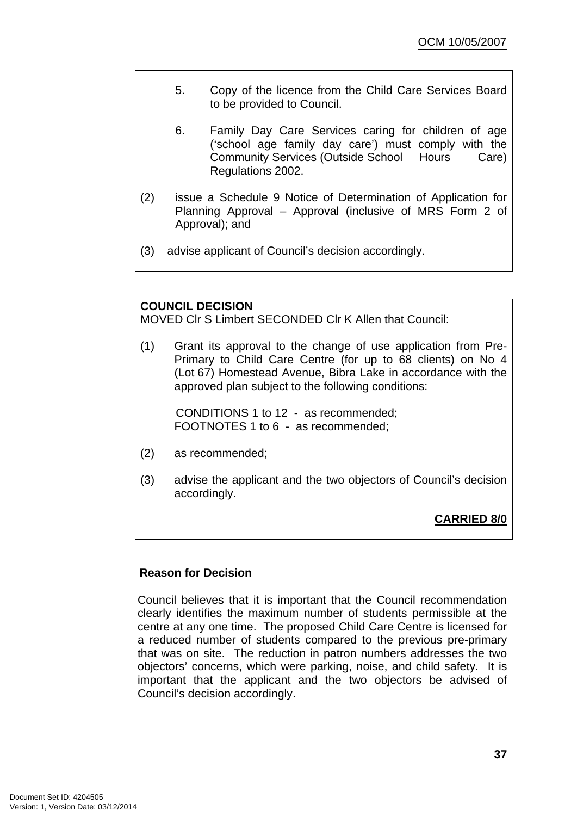- 5. Copy of the licence from the Child Care Services Board to be provided to Council.
- 6. Family Day Care Services caring for children of age ('school age family day care') must comply with the Community Services (Outside School Hours Care) Regulations 2002.
- (2) issue a Schedule 9 Notice of Determination of Application for Planning Approval – Approval (inclusive of MRS Form 2 of Approval); and
- (3) advise applicant of Council's decision accordingly.

## **COUNCIL DECISION**

MOVED Clr S Limbert SECONDED Clr K Allen that Council:

(1) Grant its approval to the change of use application from Pre-Primary to Child Care Centre (for up to 68 clients) on No 4 (Lot 67) Homestead Avenue, Bibra Lake in accordance with the approved plan subject to the following conditions:

CONDITIONS 1 to 12 - as recommended; FOOTNOTES 1 to 6 - as recommended;

- (2) as recommended;
- (3) advise the applicant and the two objectors of Council's decision accordingly.

**CARRIED 8/0**

#### **Reason for Decision**

Council believes that it is important that the Council recommendation clearly identifies the maximum number of students permissible at the centre at any one time. The proposed Child Care Centre is licensed for a reduced number of students compared to the previous pre-primary that was on site. The reduction in patron numbers addresses the two objectors' concerns, which were parking, noise, and child safety. It is important that the applicant and the two objectors be advised of Council's decision accordingly.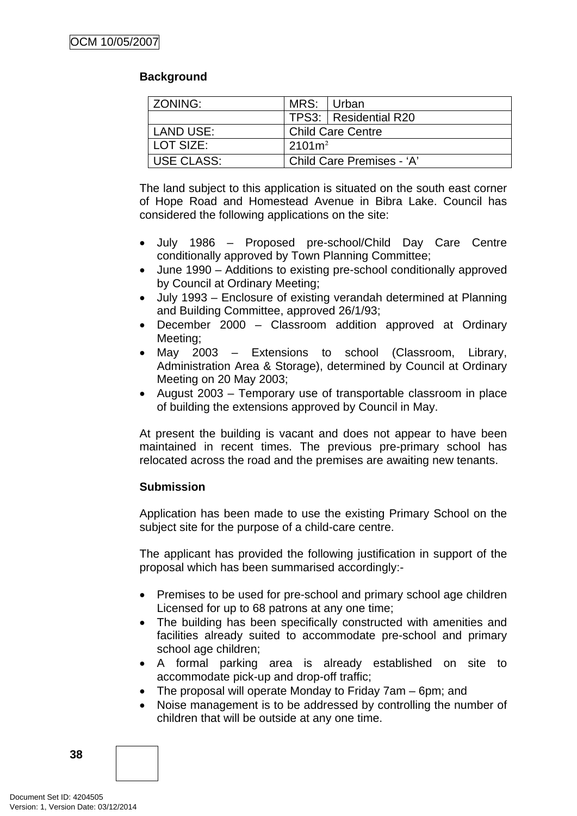## **Background**

| ZONING:      | MRS: Urban               |                           |  |
|--------------|--------------------------|---------------------------|--|
|              |                          | TPS3: Residential R20     |  |
| LAND USE:    | <b>Child Care Centre</b> |                           |  |
| LOT SIZE:    | $2101 \text{m}^2$        |                           |  |
| I USE CLASS: |                          | Child Care Premises - 'A' |  |

The land subject to this application is situated on the south east corner of Hope Road and Homestead Avenue in Bibra Lake. Council has considered the following applications on the site:

- July 1986 Proposed pre-school/Child Day Care Centre conditionally approved by Town Planning Committee;
- June 1990 Additions to existing pre-school conditionally approved by Council at Ordinary Meeting;
- July 1993 Enclosure of existing verandah determined at Planning and Building Committee, approved 26/1/93;
- December 2000 Classroom addition approved at Ordinary Meeting;
- May 2003 Extensions to school (Classroom, Library, Administration Area & Storage), determined by Council at Ordinary Meeting on 20 May 2003;
- August 2003 Temporary use of transportable classroom in place of building the extensions approved by Council in May.

At present the building is vacant and does not appear to have been maintained in recent times. The previous pre-primary school has relocated across the road and the premises are awaiting new tenants.

## **Submission**

Application has been made to use the existing Primary School on the subject site for the purpose of a child-care centre.

The applicant has provided the following justification in support of the proposal which has been summarised accordingly:-

- Premises to be used for pre-school and primary school age children Licensed for up to 68 patrons at any one time;
- The building has been specifically constructed with amenities and facilities already suited to accommodate pre-school and primary school age children;
- A formal parking area is already established on site to accommodate pick-up and drop-off traffic;
- The proposal will operate Monday to Friday 7am 6pm; and
- Noise management is to be addressed by controlling the number of children that will be outside at any one time.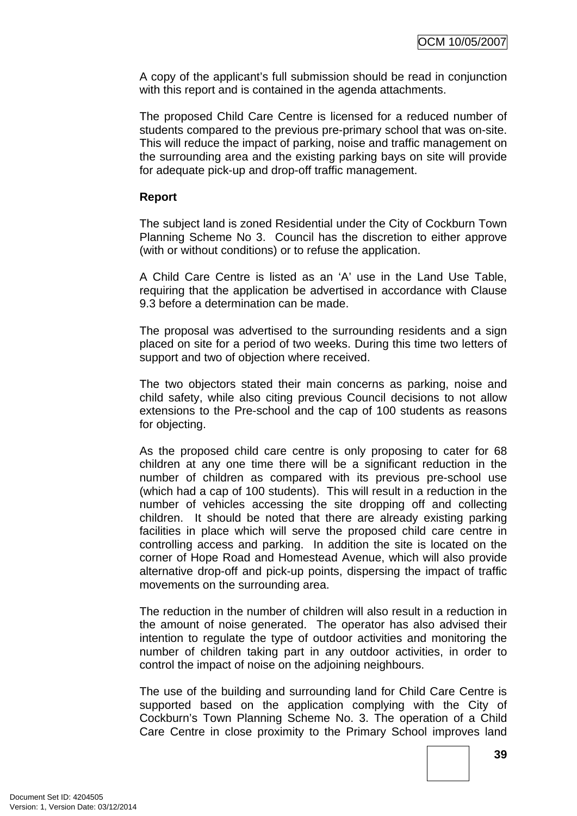A copy of the applicant's full submission should be read in conjunction with this report and is contained in the agenda attachments.

The proposed Child Care Centre is licensed for a reduced number of students compared to the previous pre-primary school that was on-site. This will reduce the impact of parking, noise and traffic management on the surrounding area and the existing parking bays on site will provide for adequate pick-up and drop-off traffic management.

### **Report**

The subject land is zoned Residential under the City of Cockburn Town Planning Scheme No 3. Council has the discretion to either approve (with or without conditions) or to refuse the application.

A Child Care Centre is listed as an 'A' use in the Land Use Table, requiring that the application be advertised in accordance with Clause 9.3 before a determination can be made.

The proposal was advertised to the surrounding residents and a sign placed on site for a period of two weeks. During this time two letters of support and two of objection where received.

The two objectors stated their main concerns as parking, noise and child safety, while also citing previous Council decisions to not allow extensions to the Pre-school and the cap of 100 students as reasons for objecting.

As the proposed child care centre is only proposing to cater for 68 children at any one time there will be a significant reduction in the number of children as compared with its previous pre-school use (which had a cap of 100 students). This will result in a reduction in the number of vehicles accessing the site dropping off and collecting children. It should be noted that there are already existing parking facilities in place which will serve the proposed child care centre in controlling access and parking. In addition the site is located on the corner of Hope Road and Homestead Avenue, which will also provide alternative drop-off and pick-up points, dispersing the impact of traffic movements on the surrounding area.

The reduction in the number of children will also result in a reduction in the amount of noise generated. The operator has also advised their intention to regulate the type of outdoor activities and monitoring the number of children taking part in any outdoor activities, in order to control the impact of noise on the adjoining neighbours.

The use of the building and surrounding land for Child Care Centre is supported based on the application complying with the City of Cockburn's Town Planning Scheme No. 3. The operation of a Child Care Centre in close proximity to the Primary School improves land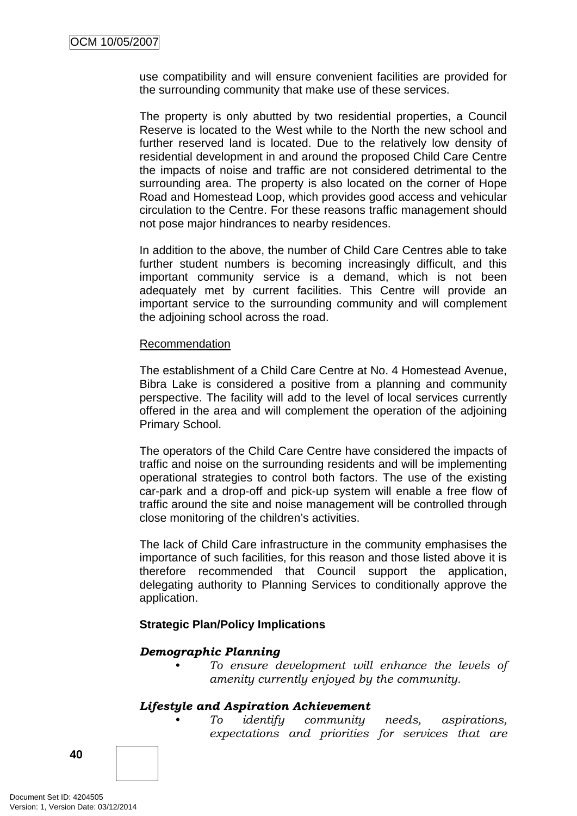use compatibility and will ensure convenient facilities are provided for the surrounding community that make use of these services.

The property is only abutted by two residential properties, a Council Reserve is located to the West while to the North the new school and further reserved land is located. Due to the relatively low density of residential development in and around the proposed Child Care Centre the impacts of noise and traffic are not considered detrimental to the surrounding area. The property is also located on the corner of Hope Road and Homestead Loop, which provides good access and vehicular circulation to the Centre. For these reasons traffic management should not pose major hindrances to nearby residences.

In addition to the above, the number of Child Care Centres able to take further student numbers is becoming increasingly difficult, and this important community service is a demand, which is not been adequately met by current facilities. This Centre will provide an important service to the surrounding community and will complement the adjoining school across the road.

#### Recommendation

The establishment of a Child Care Centre at No. 4 Homestead Avenue, Bibra Lake is considered a positive from a planning and community perspective. The facility will add to the level of local services currently offered in the area and will complement the operation of the adjoining Primary School.

The operators of the Child Care Centre have considered the impacts of traffic and noise on the surrounding residents and will be implementing operational strategies to control both factors. The use of the existing car-park and a drop-off and pick-up system will enable a free flow of traffic around the site and noise management will be controlled through close monitoring of the children's activities.

The lack of Child Care infrastructure in the community emphasises the importance of such facilities, for this reason and those listed above it is therefore recommended that Council support the application, delegating authority to Planning Services to conditionally approve the application.

#### **Strategic Plan/Policy Implications**

#### *Demographic Planning*

*• To ensure development will enhance the levels of amenity currently enjoyed by the community.*

#### *Lifestyle and Aspiration Achievement*

*• To identify community needs, aspirations, expectations and priorities for services that are* 

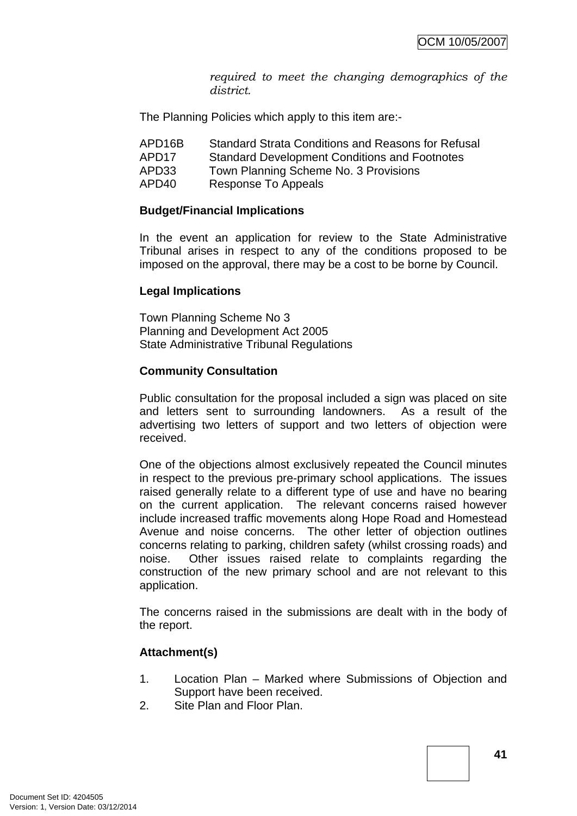*required to meet the changing demographics of the district.* 

The Planning Policies which apply to this item are:-

| APD16B | Standard Strata Conditions and Reasons for Refusal   |
|--------|------------------------------------------------------|
| APD17  | <b>Standard Development Conditions and Footnotes</b> |
| APD33  | Town Planning Scheme No. 3 Provisions                |
| APD40  | Response To Appeals                                  |

#### **Budget/Financial Implications**

In the event an application for review to the State Administrative Tribunal arises in respect to any of the conditions proposed to be imposed on the approval, there may be a cost to be borne by Council.

#### **Legal Implications**

Town Planning Scheme No 3 Planning and Development Act 2005 State Administrative Tribunal Regulations

#### **Community Consultation**

Public consultation for the proposal included a sign was placed on site and letters sent to surrounding landowners. As a result of the advertising two letters of support and two letters of objection were received.

One of the objections almost exclusively repeated the Council minutes in respect to the previous pre-primary school applications. The issues raised generally relate to a different type of use and have no bearing on the current application. The relevant concerns raised however include increased traffic movements along Hope Road and Homestead Avenue and noise concerns. The other letter of objection outlines concerns relating to parking, children safety (whilst crossing roads) and noise. Other issues raised relate to complaints regarding the construction of the new primary school and are not relevant to this application.

The concerns raised in the submissions are dealt with in the body of the report.

#### **Attachment(s)**

- 1. Location Plan Marked where Submissions of Objection and Support have been received.
- 2. Site Plan and Floor Plan.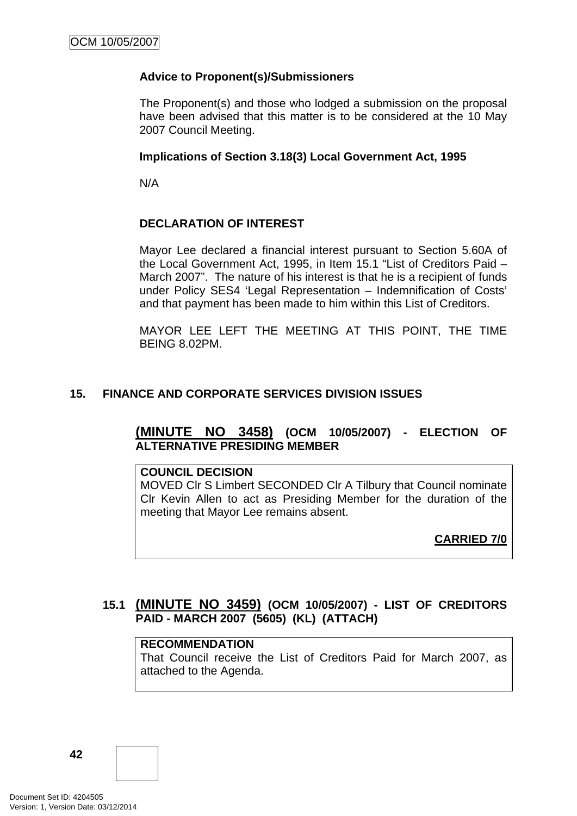### **Advice to Proponent(s)/Submissioners**

The Proponent(s) and those who lodged a submission on the proposal have been advised that this matter is to be considered at the 10 May 2007 Council Meeting.

#### **Implications of Section 3.18(3) Local Government Act, 1995**

N/A

### **DECLARATION OF INTEREST**

Mayor Lee declared a financial interest pursuant to Section 5.60A of the Local Government Act, 1995, in Item 15.1 "List of Creditors Paid – March 2007". The nature of his interest is that he is a recipient of funds under Policy SES4 'Legal Representation – Indemnification of Costs' and that payment has been made to him within this List of Creditors.

MAYOR LEE LEFT THE MEETING AT THIS POINT, THE TIME BEING 8.02PM.

### **15. FINANCE AND CORPORATE SERVICES DIVISION ISSUES**

## **(MINUTE NO 3458) (OCM 10/05/2007) - ELECTION OF ALTERNATIVE PRESIDING MEMBER**

#### **COUNCIL DECISION**

MOVED Clr S Limbert SECONDED Clr A Tilbury that Council nominate Clr Kevin Allen to act as Presiding Member for the duration of the meeting that Mayor Lee remains absent.

**CARRIED 7/0**

## **15.1 (MINUTE NO 3459) (OCM 10/05/2007) - LIST OF CREDITORS PAID - MARCH 2007 (5605) (KL) (ATTACH)**

#### **RECOMMENDATION**

That Council receive the List of Creditors Paid for March 2007, as attached to the Agenda.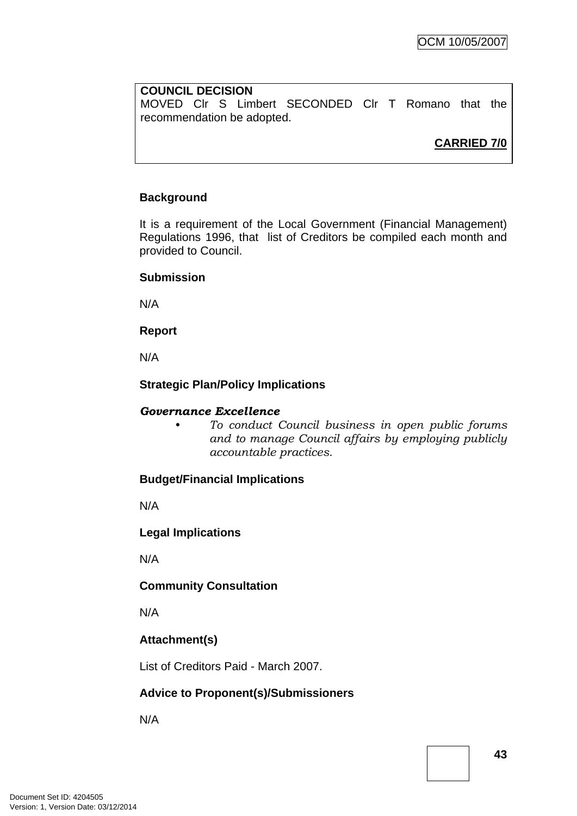#### **COUNCIL DECISION**

MOVED Clr S Limbert SECONDED Clr T Romano that the recommendation be adopted.

**CARRIED 7/0**

### **Background**

It is a requirement of the Local Government (Financial Management) Regulations 1996, that list of Creditors be compiled each month and provided to Council.

#### **Submission**

N/A

**Report**

N/A

### **Strategic Plan/Policy Implications**

#### *Governance Excellence*

*• To conduct Council business in open public forums and to manage Council affairs by employing publicly accountable practices.* 

#### **Budget/Financial Implications**

N/A

**Legal Implications** 

N/A

## **Community Consultation**

N/A

## **Attachment(s)**

List of Creditors Paid - March 2007.

## **Advice to Proponent(s)/Submissioners**

N/A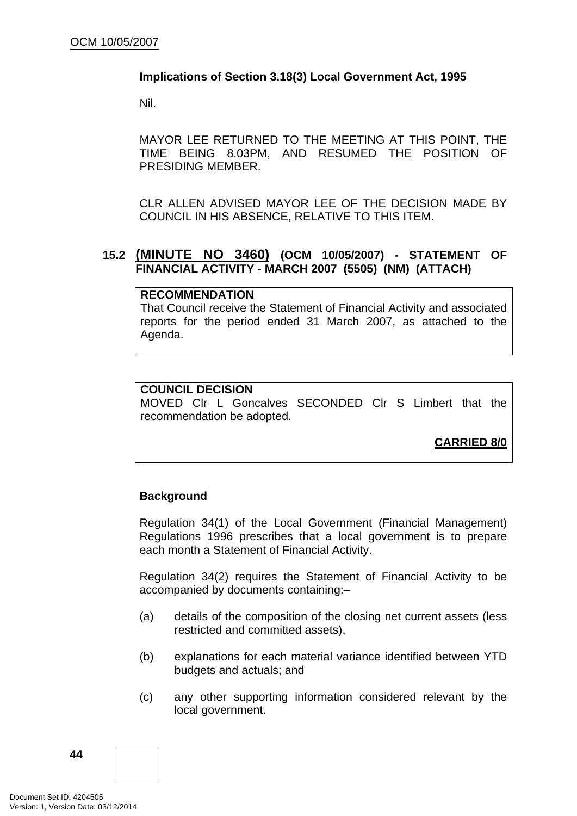#### **Implications of Section 3.18(3) Local Government Act, 1995**

Nil.

MAYOR LEE RETURNED TO THE MEETING AT THIS POINT, THE TIME BEING 8.03PM, AND RESUMED THE POSITION OF PRESIDING MEMBER.

CLR ALLEN ADVISED MAYOR LEE OF THE DECISION MADE BY COUNCIL IN HIS ABSENCE, RELATIVE TO THIS ITEM.

### **15.2 (MINUTE NO 3460) (OCM 10/05/2007) - STATEMENT OF FINANCIAL ACTIVITY - MARCH 2007 (5505) (NM) (ATTACH)**

#### **RECOMMENDATION**

That Council receive the Statement of Financial Activity and associated reports for the period ended 31 March 2007, as attached to the Agenda.

### **COUNCIL DECISION**

MOVED Clr L Goncalves SECONDED Clr S Limbert that the recommendation be adopted.

**CARRIED 8/0**

#### **Background**

Regulation 34(1) of the Local Government (Financial Management) Regulations 1996 prescribes that a local government is to prepare each month a Statement of Financial Activity.

Regulation 34(2) requires the Statement of Financial Activity to be accompanied by documents containing:–

- (a) details of the composition of the closing net current assets (less restricted and committed assets),
- (b) explanations for each material variance identified between YTD budgets and actuals; and
- (c) any other supporting information considered relevant by the local government.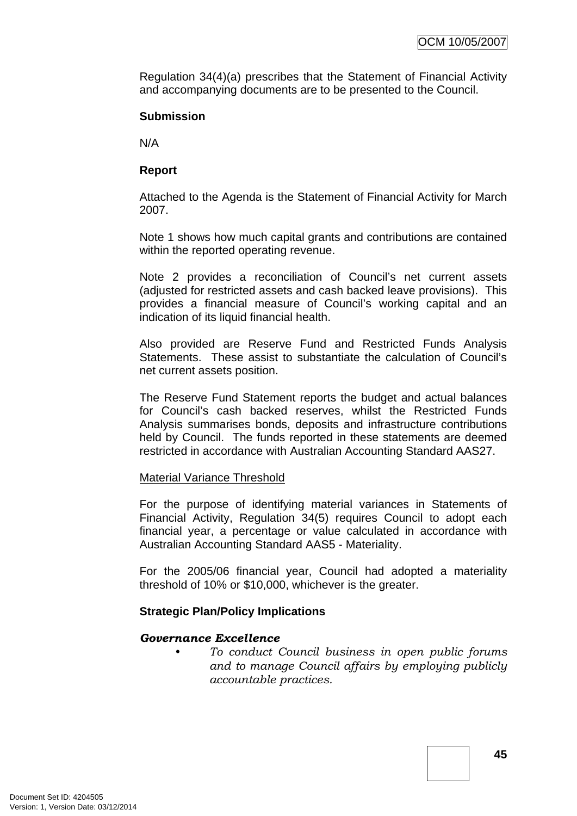Regulation 34(4)(a) prescribes that the Statement of Financial Activity and accompanying documents are to be presented to the Council.

#### **Submission**

N/A

#### **Report**

Attached to the Agenda is the Statement of Financial Activity for March 2007.

Note 1 shows how much capital grants and contributions are contained within the reported operating revenue.

Note 2 provides a reconciliation of Council's net current assets (adjusted for restricted assets and cash backed leave provisions). This provides a financial measure of Council's working capital and an indication of its liquid financial health.

Also provided are Reserve Fund and Restricted Funds Analysis Statements. These assist to substantiate the calculation of Council's net current assets position.

The Reserve Fund Statement reports the budget and actual balances for Council's cash backed reserves, whilst the Restricted Funds Analysis summarises bonds, deposits and infrastructure contributions held by Council. The funds reported in these statements are deemed restricted in accordance with Australian Accounting Standard AAS27.

#### Material Variance Threshold

For the purpose of identifying material variances in Statements of Financial Activity, Regulation 34(5) requires Council to adopt each financial year, a percentage or value calculated in accordance with Australian Accounting Standard AAS5 - Materiality.

For the 2005/06 financial year, Council had adopted a materiality threshold of 10% or \$10,000, whichever is the greater.

#### **Strategic Plan/Policy Implications**

#### *Governance Excellence*

*• To conduct Council business in open public forums and to manage Council affairs by employing publicly accountable practices.*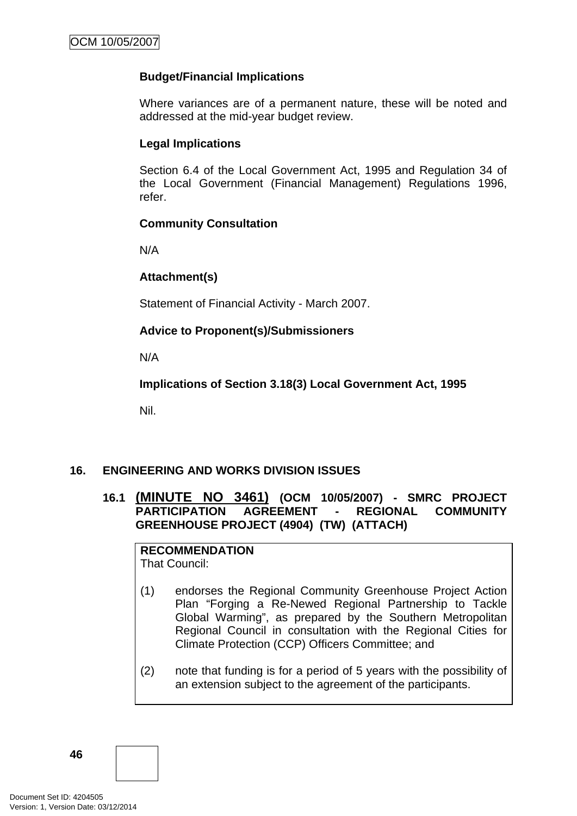### **Budget/Financial Implications**

Where variances are of a permanent nature, these will be noted and addressed at the mid-year budget review.

#### **Legal Implications**

Section 6.4 of the Local Government Act, 1995 and Regulation 34 of the Local Government (Financial Management) Regulations 1996, refer.

#### **Community Consultation**

N/A

### **Attachment(s)**

Statement of Financial Activity - March 2007.

## **Advice to Proponent(s)/Submissioners**

N/A

**Implications of Section 3.18(3) Local Government Act, 1995**

Nil.

## **16. ENGINEERING AND WORKS DIVISION ISSUES**

## **16.1 (MINUTE NO 3461) (OCM 10/05/2007) - SMRC PROJECT PARTICIPATION AGREEMENT - REGIONAL COMMUNITY GREENHOUSE PROJECT (4904) (TW) (ATTACH)**

**RECOMMENDATION**

That Council:

- (1) endorses the Regional Community Greenhouse Project Action Plan "Forging a Re-Newed Regional Partnership to Tackle Global Warming", as prepared by the Southern Metropolitan Regional Council in consultation with the Regional Cities for Climate Protection (CCP) Officers Committee; and
- (2) note that funding is for a period of 5 years with the possibility of an extension subject to the agreement of the participants.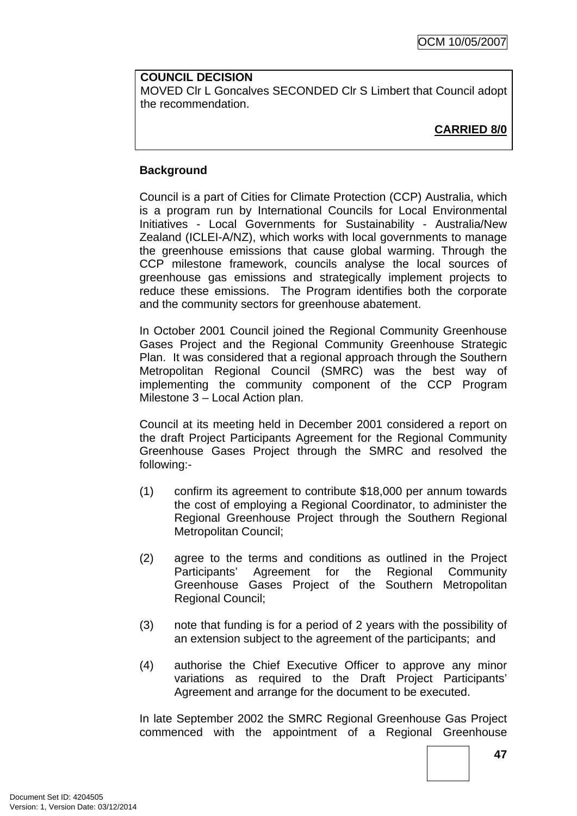**COUNCIL DECISION** MOVED Clr L Goncalves SECONDED Clr S Limbert that Council adopt the recommendation.

## **CARRIED 8/0**

### **Background**

Council is a part of Cities for Climate Protection (CCP) Australia, which is a program run by International Councils for Local Environmental Initiatives - Local Governments for Sustainability - Australia/New Zealand (ICLEI-A/NZ), which works with local governments to manage the greenhouse emissions that cause global warming. Through the CCP milestone framework, councils analyse the local sources of greenhouse gas emissions and strategically implement projects to reduce these emissions. The Program identifies both the corporate and the community sectors for greenhouse abatement.

In October 2001 Council joined the Regional Community Greenhouse Gases Project and the Regional Community Greenhouse Strategic Plan. It was considered that a regional approach through the Southern Metropolitan Regional Council (SMRC) was the best way of implementing the community component of the CCP Program Milestone 3 – Local Action plan.

Council at its meeting held in December 2001 considered a report on the draft Project Participants Agreement for the Regional Community Greenhouse Gases Project through the SMRC and resolved the following:-

- (1) confirm its agreement to contribute \$18,000 per annum towards the cost of employing a Regional Coordinator, to administer the Regional Greenhouse Project through the Southern Regional Metropolitan Council;
- (2) agree to the terms and conditions as outlined in the Project Participants' Agreement for the Regional Community Greenhouse Gases Project of the Southern Metropolitan Regional Council;
- (3) note that funding is for a period of 2 years with the possibility of an extension subject to the agreement of the participants; and
- (4) authorise the Chief Executive Officer to approve any minor variations as required to the Draft Project Participants' Agreement and arrange for the document to be executed.

In late September 2002 the SMRC Regional Greenhouse Gas Project commenced with the appointment of a Regional Greenhouse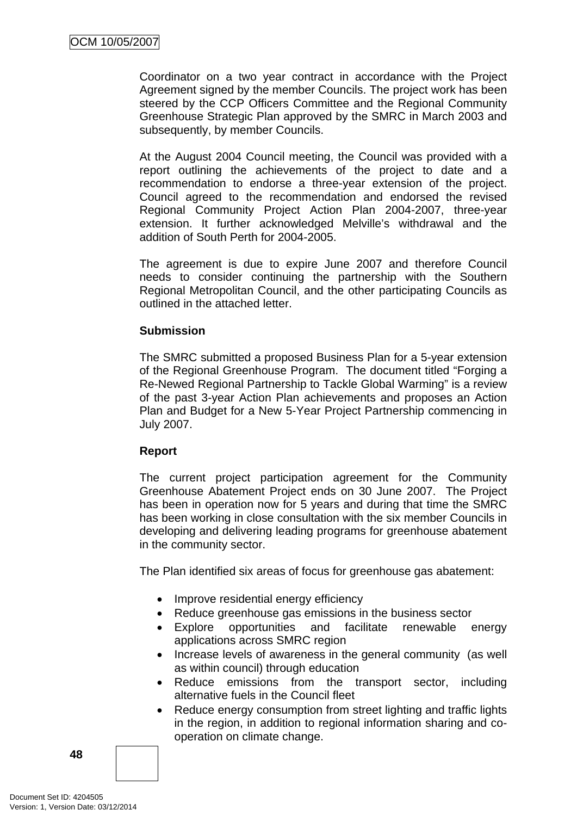Coordinator on a two year contract in accordance with the Project Agreement signed by the member Councils. The project work has been steered by the CCP Officers Committee and the Regional Community Greenhouse Strategic Plan approved by the SMRC in March 2003 and subsequently, by member Councils.

At the August 2004 Council meeting, the Council was provided with a report outlining the achievements of the project to date and a recommendation to endorse a three-year extension of the project. Council agreed to the recommendation and endorsed the revised Regional Community Project Action Plan 2004-2007, three-year extension. It further acknowledged Melville's withdrawal and the addition of South Perth for 2004-2005.

The agreement is due to expire June 2007 and therefore Council needs to consider continuing the partnership with the Southern Regional Metropolitan Council, and the other participating Councils as outlined in the attached letter.

#### **Submission**

The SMRC submitted a proposed Business Plan for a 5-year extension of the Regional Greenhouse Program. The document titled "Forging a Re-Newed Regional Partnership to Tackle Global Warming" is a review of the past 3-year Action Plan achievements and proposes an Action Plan and Budget for a New 5-Year Project Partnership commencing in July 2007.

#### **Report**

The current project participation agreement for the Community Greenhouse Abatement Project ends on 30 June 2007. The Project has been in operation now for 5 years and during that time the SMRC has been working in close consultation with the six member Councils in developing and delivering leading programs for greenhouse abatement in the community sector.

The Plan identified six areas of focus for greenhouse gas abatement:

- Improve residential energy efficiency
- Reduce greenhouse gas emissions in the business sector
- Explore opportunities and facilitate renewable energy applications across SMRC region
- Increase levels of awareness in the general community (as well as within council) through education
- Reduce emissions from the transport sector, including alternative fuels in the Council fleet
- Reduce energy consumption from street lighting and traffic lights in the region, in addition to regional information sharing and cooperation on climate change.

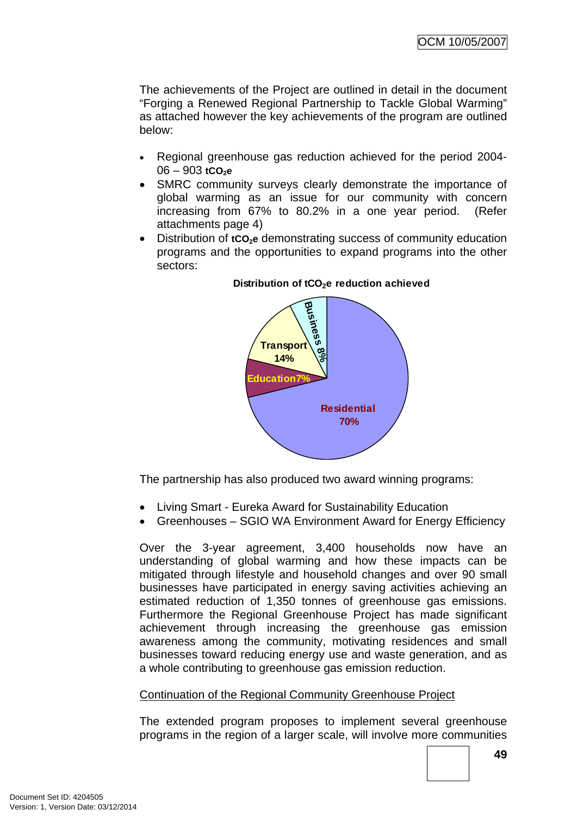The achievements of the Project are outlined in detail in the document "Forging a Renewed Regional Partnership to Tackle Global Warming" as attached however the key achievements of the program are outlined below:

- Regional greenhouse gas reduction achieved for the period 2004-  $06 - 903$  **tCO<sub>2</sub>e**
- SMRC community surveys clearly demonstrate the importance of global warming as an issue for our community with concern increasing from 67% to 80.2% in a one year period. (Refer attachments page 4)
- Distribution of **tCO<sub>2</sub>e** demonstrating success of community education programs and the opportunities to expand programs into the other sectors:



#### Distribution of tCO<sub>2</sub>e reduction achieved

The partnership has also produced two award winning programs:

- Living Smart Eureka Award for Sustainability Education
- Greenhouses SGIO WA Environment Award for Energy Efficiency

Over the 3-year agreement, 3,400 households now have an understanding of global warming and how these impacts can be mitigated through lifestyle and household changes and over 90 small businesses have participated in energy saving activities achieving an estimated reduction of 1,350 tonnes of greenhouse gas emissions. Furthermore the Regional Greenhouse Project has made significant achievement through increasing the greenhouse gas emission awareness among the community, motivating residences and small businesses toward reducing energy use and waste generation, and as a whole contributing to greenhouse gas emission reduction.

## Continuation of the Regional Community Greenhouse Project

The extended program proposes to implement several greenhouse programs in the region of a larger scale, will involve more communities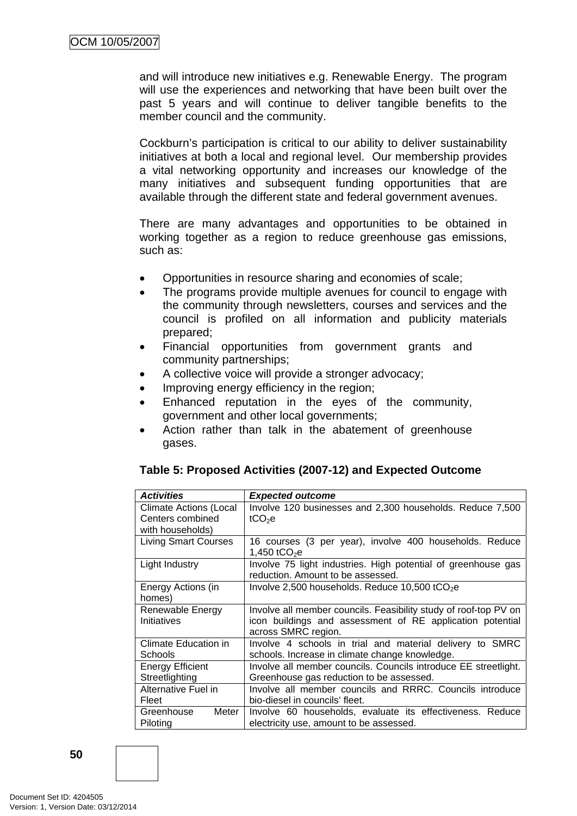and will introduce new initiatives e.g. Renewable Energy. The program will use the experiences and networking that have been built over the past 5 years and will continue to deliver tangible benefits to the member council and the community.

Cockburn's participation is critical to our ability to deliver sustainability initiatives at both a local and regional level. Our membership provides a vital networking opportunity and increases our knowledge of the many initiatives and subsequent funding opportunities that are available through the different state and federal government avenues.

There are many advantages and opportunities to be obtained in working together as a region to reduce greenhouse gas emissions, such as:

- Opportunities in resource sharing and economies of scale;
- The programs provide multiple avenues for council to engage with the community through newsletters, courses and services and the council is profiled on all information and publicity materials prepared;
- Financial opportunities from government grants and community partnerships;
- A collective voice will provide a stronger advocacy;
- Improving energy efficiency in the region;
- Enhanced reputation in the eyes of the community, government and other local governments;
- Action rather than talk in the abatement of greenhouse gases.

#### **Table 5: Proposed Activities (2007-12) and Expected Outcome**

| <b>Activities</b>             | <b>Expected outcome</b>                                          |  |  |
|-------------------------------|------------------------------------------------------------------|--|--|
| <b>Climate Actions (Local</b> | Involve 120 businesses and 2,300 households. Reduce 7,500        |  |  |
| Centers combined              | tCO <sub>2</sub> e                                               |  |  |
| with households)              |                                                                  |  |  |
| <b>Living Smart Courses</b>   | 16 courses (3 per year), involve 400 households. Reduce          |  |  |
|                               | 1,450 tCO <sub>2</sub> e                                         |  |  |
| Light Industry                | Involve 75 light industries. High potential of greenhouse gas    |  |  |
|                               | reduction. Amount to be assessed.                                |  |  |
| Energy Actions (in            | Involve 2,500 households. Reduce 10,500 $tCO2e$                  |  |  |
| homes)                        |                                                                  |  |  |
| Renewable Energy              | Involve all member councils. Feasibility study of roof-top PV on |  |  |
| Initiatives                   | icon buildings and assessment of RE application potential        |  |  |
|                               | across SMRC region.                                              |  |  |
| <b>Climate Education in</b>   | Involve 4 schools in trial and material delivery to SMRC         |  |  |
| Schools                       | schools. Increase in climate change knowledge.                   |  |  |
| <b>Energy Efficient</b>       | Involve all member councils. Councils introduce EE streetlight.  |  |  |
| Streetlighting                | Greenhouse gas reduction to be assessed.                         |  |  |
| Alternative Fuel in           | Involve all member councils and RRRC. Councils introduce         |  |  |
| Fleet                         | bio-diesel in councils' fleet.                                   |  |  |
| Meter I<br>Greenhouse         | Involve 60 households, evaluate its effectiveness. Reduce        |  |  |
| Piloting                      | electricity use, amount to be assessed.                          |  |  |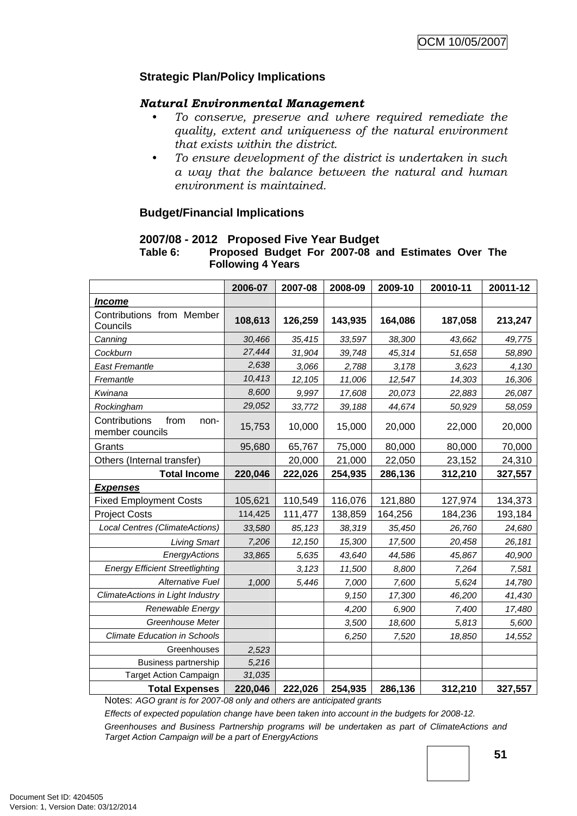### **Strategic Plan/Policy Implications**

#### *Natural Environmental Management*

- *To conserve, preserve and where required remediate the quality, extent and uniqueness of the natural environment that exists within the district.*
- *To ensure development of the district is undertaken in such a way that the balance between the natural and human environment is maintained.*

#### **Budget/Financial Implications**

#### **2007/08 - 2012 Proposed Five Year Budget**

#### **Table 6: Proposed Budget For 2007-08 and Estimates Over The Following 4 Years**

|                                                  | 2006-07 | 2007-08 | 2008-09 | 2009-10 | 20010-11 | 20011-12 |
|--------------------------------------------------|---------|---------|---------|---------|----------|----------|
| <b>Income</b>                                    |         |         |         |         |          |          |
| Contributions from Member<br>Councils            | 108,613 | 126,259 | 143,935 | 164,086 | 187,058  | 213,247  |
| Canning                                          | 30,466  | 35,415  | 33,597  | 38,300  | 43,662   | 49,775   |
| Cockburn                                         | 27,444  | 31,904  | 39,748  | 45,314  | 51,658   | 58,890   |
| East Fremantle                                   | 2,638   | 3,066   | 2,788   | 3,178   | 3,623    | 4,130    |
| Fremantle                                        | 10,413  | 12,105  | 11,006  | 12,547  | 14,303   | 16,306   |
| Kwinana                                          | 8,600   | 9,997   | 17,608  | 20,073  | 22,883   | 26,087   |
| Rockingham                                       | 29,052  | 33,772  | 39,188  | 44,674  | 50,929   | 58,059   |
| Contributions<br>from<br>non-<br>member councils | 15,753  | 10,000  | 15,000  | 20,000  | 22,000   | 20,000   |
| Grants                                           | 95,680  | 65,767  | 75,000  | 80,000  | 80,000   | 70,000   |
| Others (Internal transfer)                       |         | 20,000  | 21,000  | 22,050  | 23,152   | 24,310   |
| <b>Total Income</b>                              | 220,046 | 222,026 | 254,935 | 286,136 | 312,210  | 327,557  |
| <b>Expenses</b>                                  |         |         |         |         |          |          |
| <b>Fixed Employment Costs</b>                    | 105,621 | 110,549 | 116,076 | 121,880 | 127,974  | 134,373  |
| <b>Project Costs</b>                             | 114,425 | 111,477 | 138,859 | 164,256 | 184,236  | 193,184  |
| Local Centres (ClimateActions)                   | 33,580  | 85,123  | 38,319  | 35,450  | 26,760   | 24,680   |
| <b>Living Smart</b>                              | 7,206   | 12,150  | 15,300  | 17,500  | 20,458   | 26,181   |
| EnergyActions                                    | 33,865  | 5,635   | 43,640  | 44,586  | 45,867   | 40,900   |
| <b>Energy Efficient Streetlighting</b>           |         | 3,123   | 11,500  | 8,800   | 7,264    | 7,581    |
| <b>Alternative Fuel</b>                          | 1,000   | 5,446   | 7,000   | 7,600   | 5,624    | 14,780   |
| ClimateActions in Light Industry                 |         |         | 9,150   | 17,300  | 46,200   | 41,430   |
| Renewable Energy                                 |         |         | 4,200   | 6,900   | 7,400    | 17,480   |
| Greenhouse Meter                                 |         |         | 3,500   | 18,600  | 5,813    | 5,600    |
| <b>Climate Education in Schools</b>              |         |         | 6,250   | 7,520   | 18,850   | 14,552   |
| Greenhouses                                      | 2,523   |         |         |         |          |          |
| <b>Business partnership</b>                      | 5,216   |         |         |         |          |          |
| Target Action Campaign                           | 31,035  |         |         |         |          |          |
| <b>Total Expenses</b>                            | 220,046 | 222,026 | 254,935 | 286,136 | 312,210  | 327,557  |

Notes: *AGO grant is for 2007-08 only and others are anticipated grants* 

*Effects of expected population change have been taken into account in the budgets for 2008-12. Greenhouses and Business Partnership programs will be undertaken as part of ClimateActions and Target Action Campaign will be a part of EnergyActions*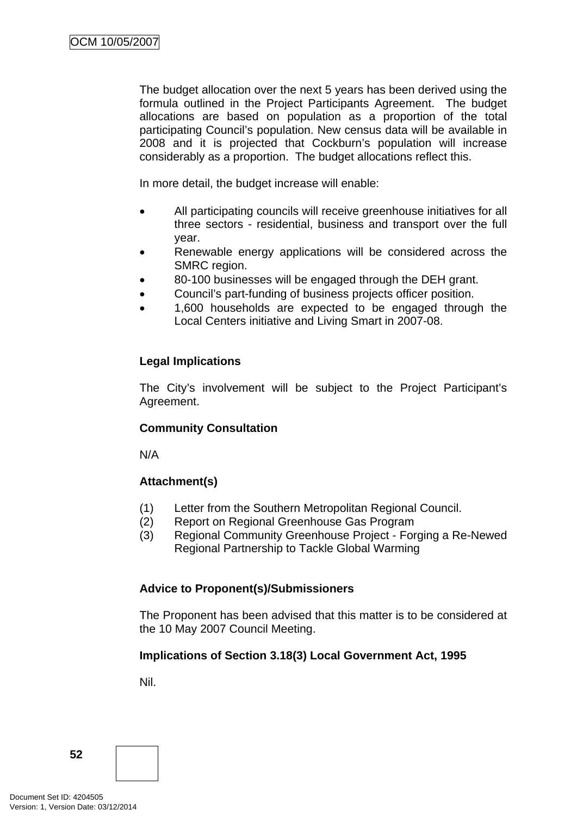The budget allocation over the next 5 years has been derived using the formula outlined in the Project Participants Agreement. The budget allocations are based on population as a proportion of the total participating Council's population. New census data will be available in 2008 and it is projected that Cockburn's population will increase considerably as a proportion. The budget allocations reflect this.

In more detail, the budget increase will enable:

- All participating councils will receive greenhouse initiatives for all three sectors - residential, business and transport over the full year.
- Renewable energy applications will be considered across the SMRC region.
- 80-100 businesses will be engaged through the DEH grant.
- Council's part-funding of business projects officer position.
- 1,600 households are expected to be engaged through the Local Centers initiative and Living Smart in 2007-08.

## **Legal Implications**

The City's involvement will be subject to the Project Participant's Agreement.

## **Community Consultation**

N/A

## **Attachment(s)**

- (1) Letter from the Southern Metropolitan Regional Council.
- (2) Report on Regional Greenhouse Gas Program
- (3) Regional Community Greenhouse Project Forging a Re-Newed Regional Partnership to Tackle Global Warming

## **Advice to Proponent(s)/Submissioners**

The Proponent has been advised that this matter is to be considered at the 10 May 2007 Council Meeting.

## **Implications of Section 3.18(3) Local Government Act, 1995**

Nil.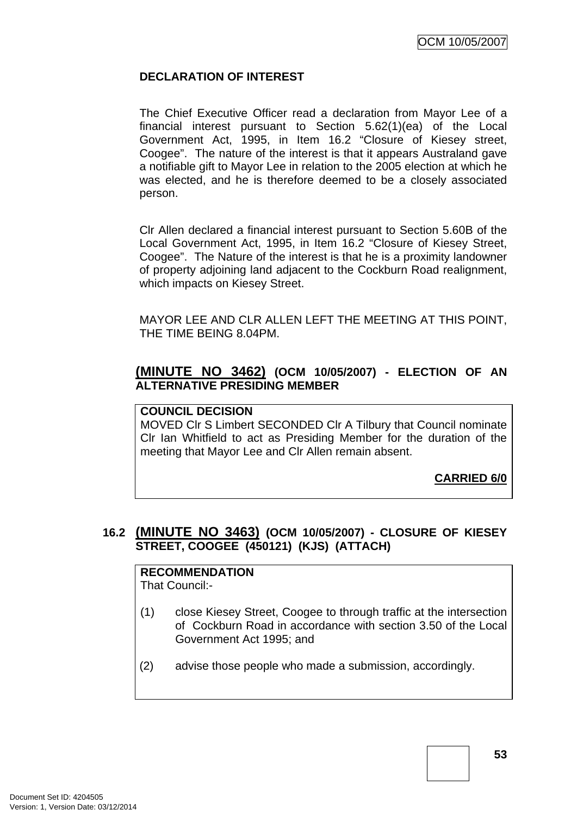### **DECLARATION OF INTEREST**

The Chief Executive Officer read a declaration from Mayor Lee of a financial interest pursuant to Section 5.62(1)(ea) of the Local Government Act, 1995, in Item 16.2 "Closure of Kiesey street, Coogee". The nature of the interest is that it appears Australand gave a notifiable gift to Mayor Lee in relation to the 2005 election at which he was elected, and he is therefore deemed to be a closely associated person.

Clr Allen declared a financial interest pursuant to Section 5.60B of the Local Government Act, 1995, in Item 16.2 "Closure of Kiesey Street, Coogee". The Nature of the interest is that he is a proximity landowner of property adjoining land adjacent to the Cockburn Road realignment, which impacts on Kiesey Street.

MAYOR LEE AND CLR ALLEN LEFT THE MEETING AT THIS POINT, THE TIME BEING 8.04PM.

### **(MINUTE NO 3462) (OCM 10/05/2007) - ELECTION OF AN ALTERNATIVE PRESIDING MEMBER**

#### **COUNCIL DECISION**

MOVED Clr S Limbert SECONDED Clr A Tilbury that Council nominate Clr Ian Whitfield to act as Presiding Member for the duration of the meeting that Mayor Lee and Clr Allen remain absent.

**CARRIED 6/0**

## **16.2 (MINUTE NO 3463) (OCM 10/05/2007) - CLOSURE OF KIESEY STREET, COOGEE (450121) (KJS) (ATTACH)**

#### **RECOMMENDATION** That Council:-

- (1) close Kiesey Street, Coogee to through traffic at the intersection of Cockburn Road in accordance with section 3.50 of the Local Government Act 1995; and
- (2) advise those people who made a submission, accordingly.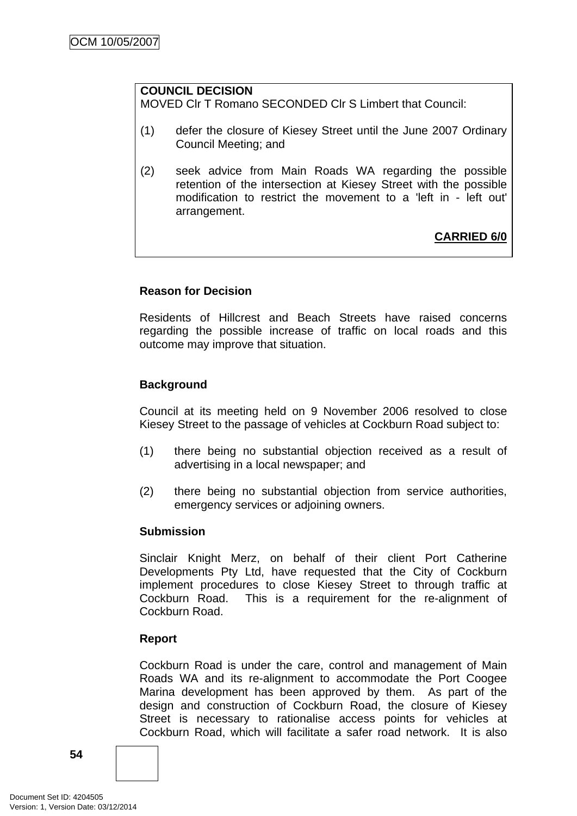## **COUNCIL DECISION**

MOVED Clr T Romano SECONDED Clr S Limbert that Council:

- (1) defer the closure of Kiesey Street until the June 2007 Ordinary Council Meeting; and
- (2) seek advice from Main Roads WA regarding the possible retention of the intersection at Kiesey Street with the possible modification to restrict the movement to a 'left in - left out' arrangement.

**CARRIED 6/0**

### **Reason for Decision**

Residents of Hillcrest and Beach Streets have raised concerns regarding the possible increase of traffic on local roads and this outcome may improve that situation.

### **Background**

Council at its meeting held on 9 November 2006 resolved to close Kiesey Street to the passage of vehicles at Cockburn Road subject to:

- (1) there being no substantial objection received as a result of advertising in a local newspaper; and
- (2) there being no substantial objection from service authorities, emergency services or adjoining owners.

#### **Submission**

Sinclair Knight Merz, on behalf of their client Port Catherine Developments Pty Ltd, have requested that the City of Cockburn implement procedures to close Kiesey Street to through traffic at Cockburn Road. This is a requirement for the re-alignment of Cockburn Road.

#### **Report**

Cockburn Road is under the care, control and management of Main Roads WA and its re-alignment to accommodate the Port Coogee Marina development has been approved by them. As part of the design and construction of Cockburn Road, the closure of Kiesey Street is necessary to rationalise access points for vehicles at Cockburn Road, which will facilitate a safer road network. It is also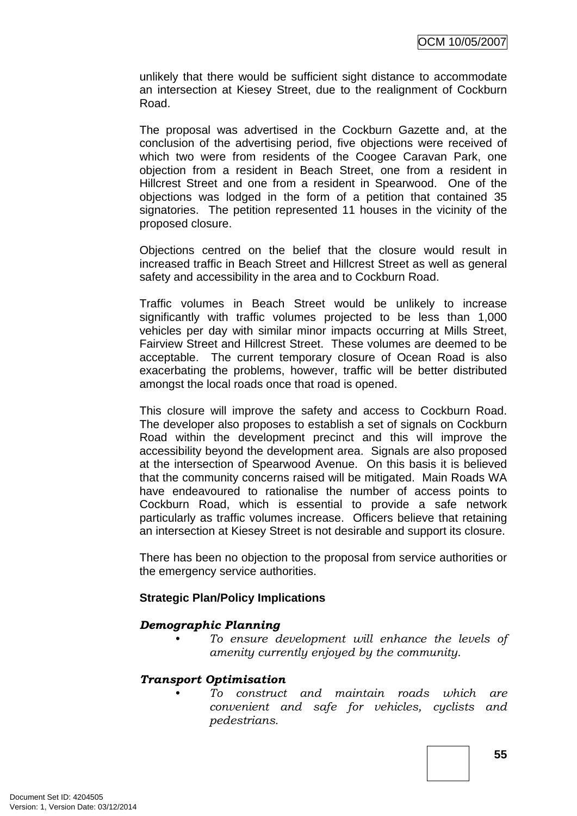unlikely that there would be sufficient sight distance to accommodate an intersection at Kiesey Street, due to the realignment of Cockburn Road.

The proposal was advertised in the Cockburn Gazette and, at the conclusion of the advertising period, five objections were received of which two were from residents of the Coogee Caravan Park, one objection from a resident in Beach Street, one from a resident in Hillcrest Street and one from a resident in Spearwood. One of the objections was lodged in the form of a petition that contained 35 signatories. The petition represented 11 houses in the vicinity of the proposed closure.

Objections centred on the belief that the closure would result in increased traffic in Beach Street and Hillcrest Street as well as general safety and accessibility in the area and to Cockburn Road.

Traffic volumes in Beach Street would be unlikely to increase significantly with traffic volumes projected to be less than 1,000 vehicles per day with similar minor impacts occurring at Mills Street, Fairview Street and Hillcrest Street. These volumes are deemed to be acceptable. The current temporary closure of Ocean Road is also exacerbating the problems, however, traffic will be better distributed amongst the local roads once that road is opened.

This closure will improve the safety and access to Cockburn Road. The developer also proposes to establish a set of signals on Cockburn Road within the development precinct and this will improve the accessibility beyond the development area. Signals are also proposed at the intersection of Spearwood Avenue. On this basis it is believed that the community concerns raised will be mitigated. Main Roads WA have endeavoured to rationalise the number of access points to Cockburn Road, which is essential to provide a safe network particularly as traffic volumes increase. Officers believe that retaining an intersection at Kiesey Street is not desirable and support its closure.

There has been no objection to the proposal from service authorities or the emergency service authorities.

#### **Strategic Plan/Policy Implications**

#### *Demographic Planning*

*• To ensure development will enhance the levels of amenity currently enjoyed by the community.*

#### *Transport Optimisation*

*• To construct and maintain roads which are convenient and safe for vehicles, cyclists and pedestrians.*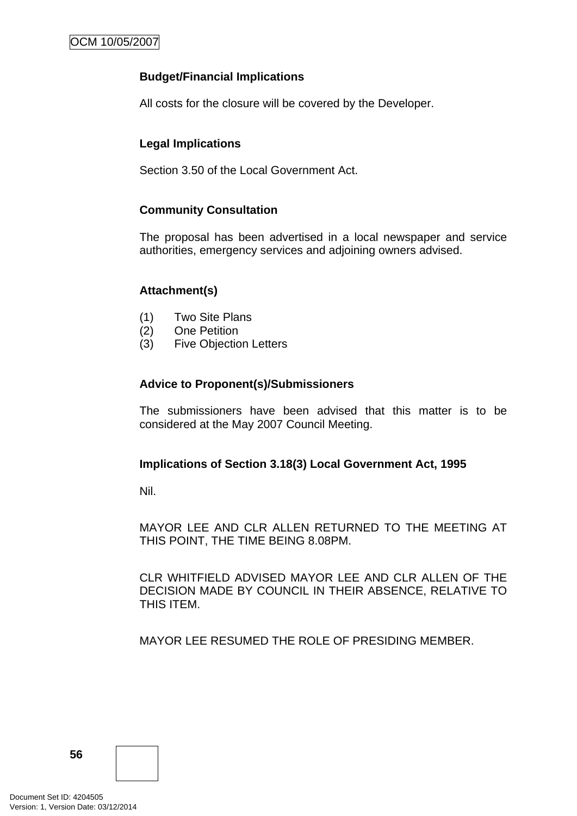### **Budget/Financial Implications**

All costs for the closure will be covered by the Developer.

### **Legal Implications**

Section 3.50 of the Local Government Act.

#### **Community Consultation**

The proposal has been advertised in a local newspaper and service authorities, emergency services and adjoining owners advised.

### **Attachment(s)**

- (1) Two Site Plans
- (2) One Petition
- (3) Five Objection Letters

#### **Advice to Proponent(s)/Submissioners**

The submissioners have been advised that this matter is to be considered at the May 2007 Council Meeting.

#### **Implications of Section 3.18(3) Local Government Act, 1995**

Nil.

MAYOR LEE AND CLR ALLEN RETURNED TO THE MEETING AT THIS POINT, THE TIME BEING 8.08PM.

CLR WHITFIELD ADVISED MAYOR LEE AND CLR ALLEN OF THE DECISION MADE BY COUNCIL IN THEIR ABSENCE, RELATIVE TO THIS ITEM.

MAYOR LEE RESUMED THE ROLE OF PRESIDING MEMBER.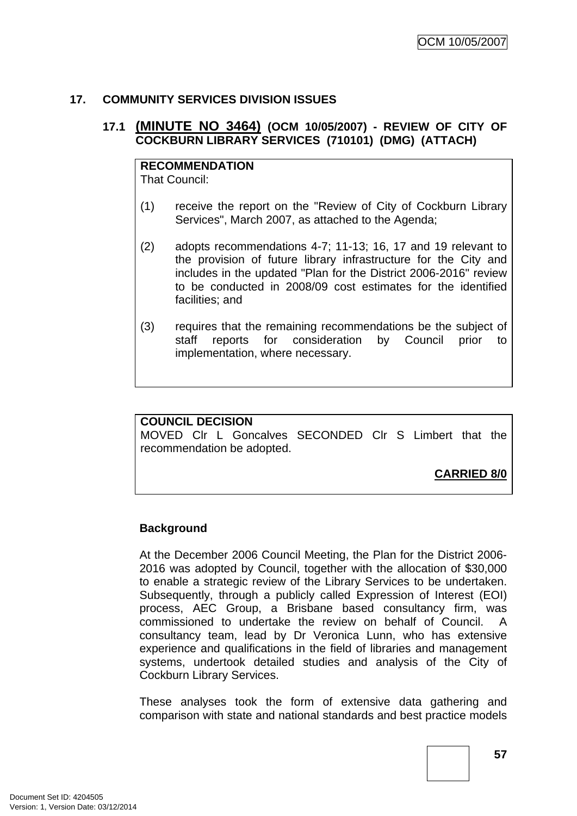## **17. COMMUNITY SERVICES DIVISION ISSUES**

## **17.1 (MINUTE NO 3464) (OCM 10/05/2007) - REVIEW OF CITY OF COCKBURN LIBRARY SERVICES (710101) (DMG) (ATTACH)**

## **RECOMMENDATION**

That Council:

- (1) receive the report on the "Review of City of Cockburn Library Services", March 2007, as attached to the Agenda;
- (2) adopts recommendations 4-7; 11-13; 16, 17 and 19 relevant to the provision of future library infrastructure for the City and includes in the updated "Plan for the District 2006-2016" review to be conducted in 2008/09 cost estimates for the identified facilities; and
- (3) requires that the remaining recommendations be the subject of staff reports for consideration by Council prior to implementation, where necessary.

## **COUNCIL DECISION**

MOVED Clr L Goncalves SECONDED Clr S Limbert that the recommendation be adopted.

**CARRIED 8/0**

#### **Background**

At the December 2006 Council Meeting, the Plan for the District 2006- 2016 was adopted by Council, together with the allocation of \$30,000 to enable a strategic review of the Library Services to be undertaken. Subsequently, through a publicly called Expression of Interest (EOI) process, AEC Group, a Brisbane based consultancy firm, was commissioned to undertake the review on behalf of Council. A consultancy team, lead by Dr Veronica Lunn, who has extensive experience and qualifications in the field of libraries and management systems, undertook detailed studies and analysis of the City of Cockburn Library Services.

These analyses took the form of extensive data gathering and comparison with state and national standards and best practice models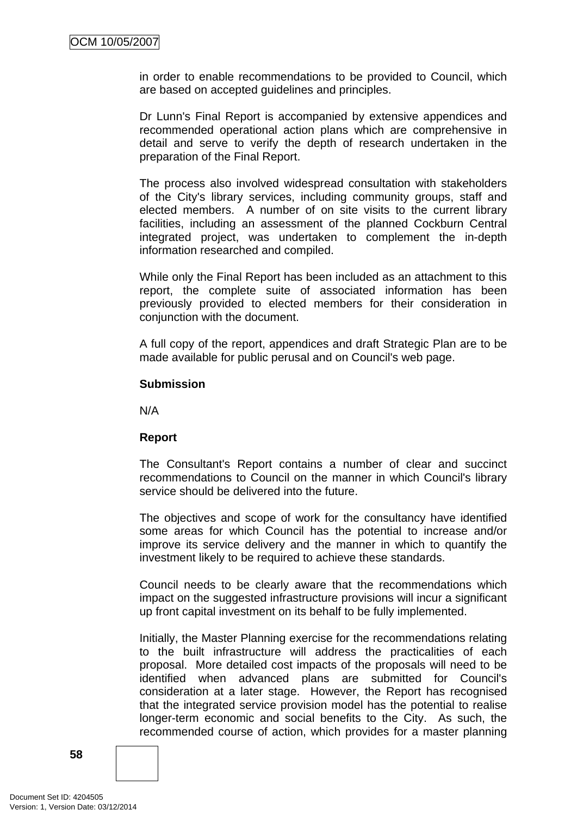in order to enable recommendations to be provided to Council, which are based on accepted guidelines and principles.

Dr Lunn's Final Report is accompanied by extensive appendices and recommended operational action plans which are comprehensive in detail and serve to verify the depth of research undertaken in the preparation of the Final Report.

The process also involved widespread consultation with stakeholders of the City's library services, including community groups, staff and elected members. A number of on site visits to the current library facilities, including an assessment of the planned Cockburn Central integrated project, was undertaken to complement the in-depth information researched and compiled.

While only the Final Report has been included as an attachment to this report, the complete suite of associated information has been previously provided to elected members for their consideration in conjunction with the document.

A full copy of the report, appendices and draft Strategic Plan are to be made available for public perusal and on Council's web page.

#### **Submission**

N/A

#### **Report**

The Consultant's Report contains a number of clear and succinct recommendations to Council on the manner in which Council's library service should be delivered into the future.

The objectives and scope of work for the consultancy have identified some areas for which Council has the potential to increase and/or improve its service delivery and the manner in which to quantify the investment likely to be required to achieve these standards.

Council needs to be clearly aware that the recommendations which impact on the suggested infrastructure provisions will incur a significant up front capital investment on its behalf to be fully implemented.

Initially, the Master Planning exercise for the recommendations relating to the built infrastructure will address the practicalities of each proposal. More detailed cost impacts of the proposals will need to be identified when advanced plans are submitted for Council's consideration at a later stage. However, the Report has recognised that the integrated service provision model has the potential to realise longer-term economic and social benefits to the City. As such, the recommended course of action, which provides for a master planning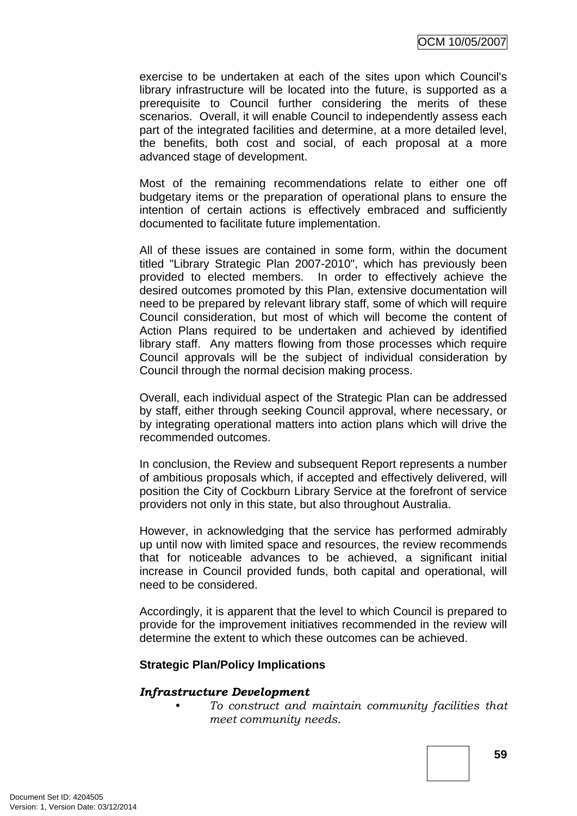OCM 10/05/2007

exercise to be undertaken at each of the sites upon which Council's library infrastructure will be located into the future, is supported as a prerequisite to Council further considering the merits of these scenarios. Overall, it will enable Council to independently assess each part of the integrated facilities and determine, at a more detailed level, the benefits, both cost and social, of each proposal at a more advanced stage of development.

Most of the remaining recommendations relate to either one off budgetary items or the preparation of operational plans to ensure the intention of certain actions is effectively embraced and sufficiently documented to facilitate future implementation.

All of these issues are contained in some form, within the document titled "Library Strategic Plan 2007-2010", which has previously been provided to elected members. In order to effectively achieve the desired outcomes promoted by this Plan, extensive documentation will need to be prepared by relevant library staff, some of which will require Council consideration, but most of which will become the content of Action Plans required to be undertaken and achieved by identified library staff. Any matters flowing from those processes which require Council approvals will be the subject of individual consideration by Council through the normal decision making process.

Overall, each individual aspect of the Strategic Plan can be addressed by staff, either through seeking Council approval, where necessary, or by integrating operational matters into action plans which will drive the recommended outcomes.

In conclusion, the Review and subsequent Report represents a number of ambitious proposals which, if accepted and effectively delivered, will position the City of Cockburn Library Service at the forefront of service providers not only in this state, but also throughout Australia.

However, in acknowledging that the service has performed admirably up until now with limited space and resources, the review recommends that for noticeable advances to be achieved, a significant initial increase in Council provided funds, both capital and operational, will need to be considered.

Accordingly, it is apparent that the level to which Council is prepared to provide for the improvement initiatives recommended in the review will determine the extent to which these outcomes can be achieved.

#### **Strategic Plan/Policy Implications**

#### *Infrastructure Development*

*• To construct and maintain community facilities that meet community needs.*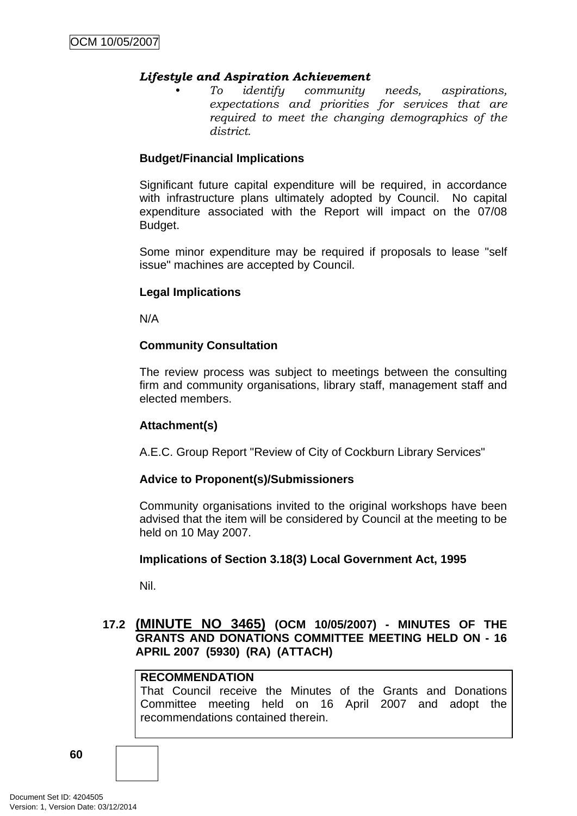#### *Lifestyle and Aspiration Achievement*

*• To identify community needs, aspirations, expectations and priorities for services that are required to meet the changing demographics of the district.* 

#### **Budget/Financial Implications**

Significant future capital expenditure will be required, in accordance with infrastructure plans ultimately adopted by Council. No capital expenditure associated with the Report will impact on the 07/08 Budget.

Some minor expenditure may be required if proposals to lease "self issue" machines are accepted by Council.

#### **Legal Implications**

N/A

#### **Community Consultation**

The review process was subject to meetings between the consulting firm and community organisations, library staff, management staff and elected members.

#### **Attachment(s)**

A.E.C. Group Report "Review of City of Cockburn Library Services"

#### **Advice to Proponent(s)/Submissioners**

Community organisations invited to the original workshops have been advised that the item will be considered by Council at the meeting to be held on 10 May 2007.

#### **Implications of Section 3.18(3) Local Government Act, 1995**

Nil.

### **17.2 (MINUTE NO 3465) (OCM 10/05/2007) - MINUTES OF THE GRANTS AND DONATIONS COMMITTEE MEETING HELD ON - 16 APRIL 2007 (5930) (RA) (ATTACH)**

#### **RECOMMENDATION**

That Council receive the Minutes of the Grants and Donations Committee meeting held on 16 April 2007 and adopt the recommendations contained therein.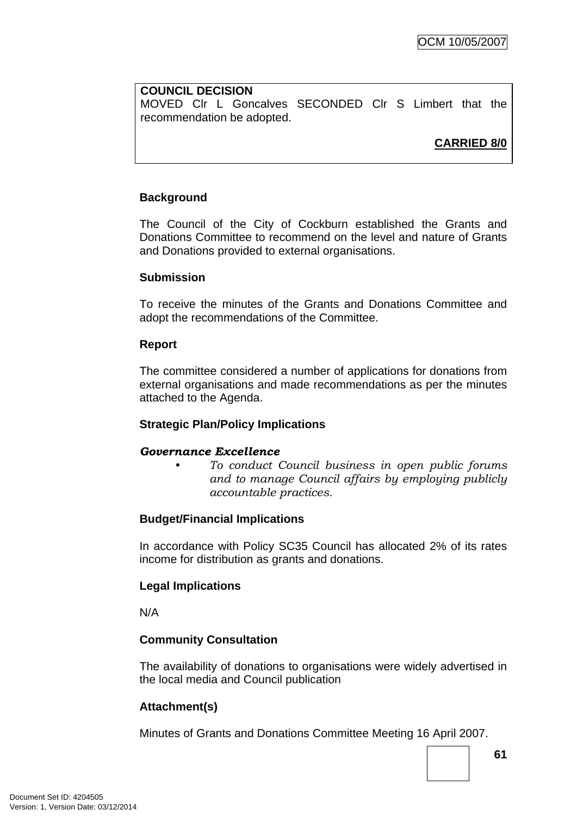#### **COUNCIL DECISION**

MOVED Clr L Goncalves SECONDED Clr S Limbert that the recommendation be adopted.

**CARRIED 8/0**

## **Background**

The Council of the City of Cockburn established the Grants and Donations Committee to recommend on the level and nature of Grants and Donations provided to external organisations.

### **Submission**

To receive the minutes of the Grants and Donations Committee and adopt the recommendations of the Committee.

### **Report**

The committee considered a number of applications for donations from external organisations and made recommendations as per the minutes attached to the Agenda.

## **Strategic Plan/Policy Implications**

## *Governance Excellence*

*• To conduct Council business in open public forums and to manage Council affairs by employing publicly accountable practices.* 

## **Budget/Financial Implications**

In accordance with Policy SC35 Council has allocated 2% of its rates income for distribution as grants and donations.

## **Legal Implications**

N/A

## **Community Consultation**

The availability of donations to organisations were widely advertised in the local media and Council publication

## **Attachment(s)**

Minutes of Grants and Donations Committee Meeting 16 April 2007.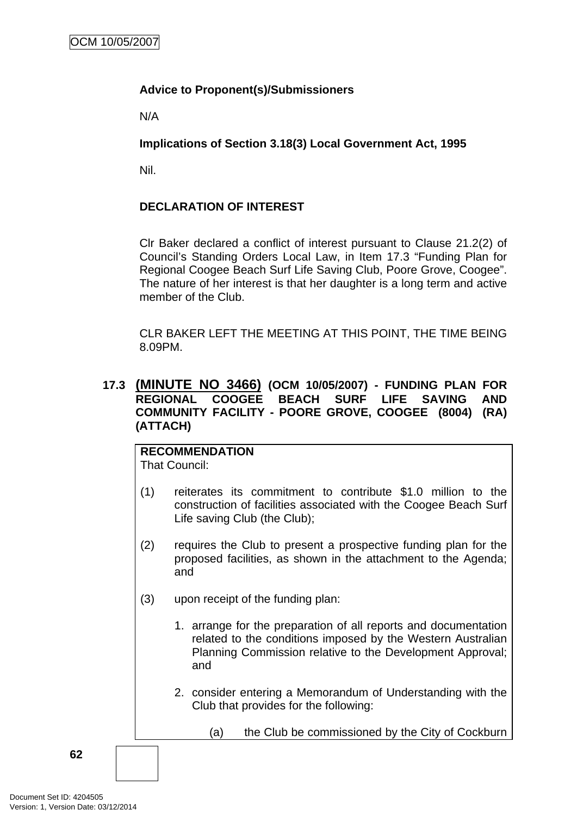## **Advice to Proponent(s)/Submissioners**

N/A

### **Implications of Section 3.18(3) Local Government Act, 1995**

Nil.

## **DECLARATION OF INTEREST**

Clr Baker declared a conflict of interest pursuant to Clause 21.2(2) of Council's Standing Orders Local Law, in Item 17.3 "Funding Plan for Regional Coogee Beach Surf Life Saving Club, Poore Grove, Coogee". The nature of her interest is that her daughter is a long term and active member of the Club.

CLR BAKER LEFT THE MEETING AT THIS POINT, THE TIME BEING 8.09PM.

### **17.3 (MINUTE NO 3466) (OCM 10/05/2007) - FUNDING PLAN FOR REGIONAL COOGEE BEACH SURF LIFE SAVING AND COMMUNITY FACILITY - POORE GROVE, COOGEE (8004) (RA) (ATTACH)**

#### **RECOMMENDATION** That Council:

- (1) reiterates its commitment to contribute \$1.0 million to the construction of facilities associated with the Coogee Beach Surf Life saving Club (the Club);
- (2) requires the Club to present a prospective funding plan for the proposed facilities, as shown in the attachment to the Agenda; and
- (3) upon receipt of the funding plan:
	- 1. arrange for the preparation of all reports and documentation related to the conditions imposed by the Western Australian Planning Commission relative to the Development Approval; and
	- 2. consider entering a Memorandum of Understanding with the Club that provides for the following:
		- (a) the Club be commissioned by the City of Cockburn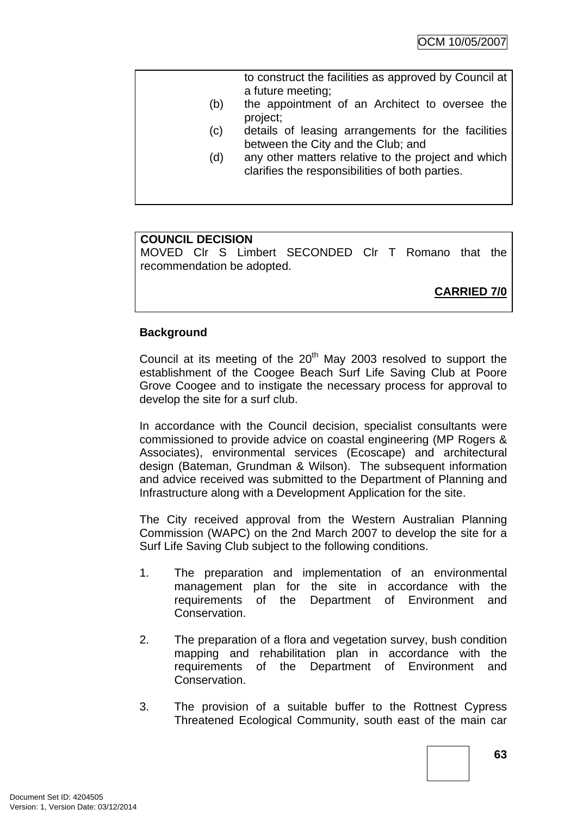|     | to construct the facilities as approved by Council at<br>a future meeting;                             |
|-----|--------------------------------------------------------------------------------------------------------|
| (b) | the appointment of an Architect to oversee the<br>project;                                             |
| (c) | details of leasing arrangements for the facilities<br>between the City and the Club; and               |
| (d) | any other matters relative to the project and which<br>clarifies the responsibilities of both parties. |
|     |                                                                                                        |

### **COUNCIL DECISION**

MOVED Clr S Limbert SECONDED Clr T Romano that the recommendation be adopted.

**CARRIED 7/0**

### **Background**

Council at its meeting of the  $20<sup>th</sup>$  May 2003 resolved to support the establishment of the Coogee Beach Surf Life Saving Club at Poore Grove Coogee and to instigate the necessary process for approval to develop the site for a surf club.

In accordance with the Council decision, specialist consultants were commissioned to provide advice on coastal engineering (MP Rogers & Associates), environmental services (Ecoscape) and architectural design (Bateman, Grundman & Wilson). The subsequent information and advice received was submitted to the Department of Planning and Infrastructure along with a Development Application for the site.

The City received approval from the Western Australian Planning Commission (WAPC) on the 2nd March 2007 to develop the site for a Surf Life Saving Club subject to the following conditions.

- 1. The preparation and implementation of an environmental management plan for the site in accordance with the requirements of the Department of Environment and Conservation.
- 2. The preparation of a flora and vegetation survey, bush condition mapping and rehabilitation plan in accordance with the requirements of the Department of Environment and Conservation.
- 3. The provision of a suitable buffer to the Rottnest Cypress Threatened Ecological Community, south east of the main car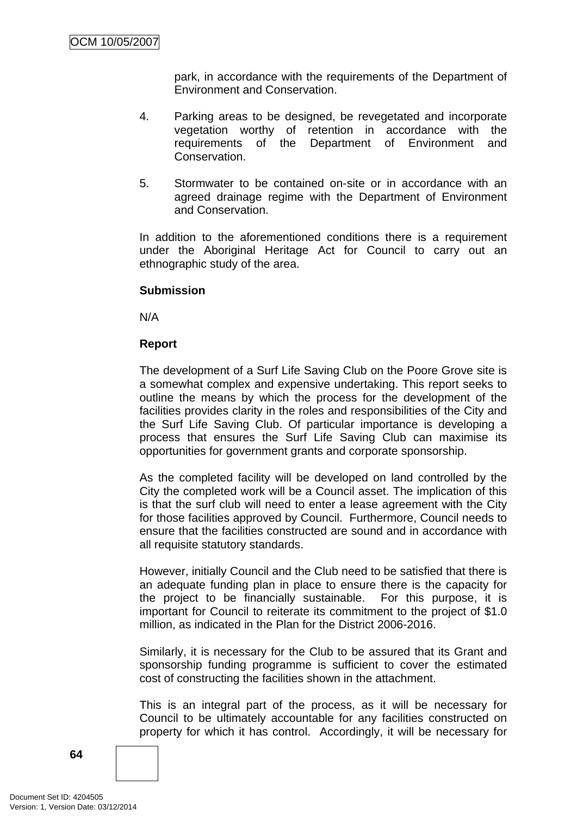park, in accordance with the requirements of the Department of Environment and Conservation.

- 4. Parking areas to be designed, be revegetated and incorporate vegetation worthy of retention in accordance with the requirements of the Department of Environment and Conservation.
- 5. Stormwater to be contained on-site or in accordance with an agreed drainage regime with the Department of Environment and Conservation.

In addition to the aforementioned conditions there is a requirement under the Aboriginal Heritage Act for Council to carry out an ethnographic study of the area.

#### **Submission**

N/A

#### **Report**

The development of a Surf Life Saving Club on the Poore Grove site is a somewhat complex and expensive undertaking. This report seeks to outline the means by which the process for the development of the facilities provides clarity in the roles and responsibilities of the City and the Surf Life Saving Club. Of particular importance is developing a process that ensures the Surf Life Saving Club can maximise its opportunities for government grants and corporate sponsorship.

As the completed facility will be developed on land controlled by the City the completed work will be a Council asset. The implication of this is that the surf club will need to enter a lease agreement with the City for those facilities approved by Council. Furthermore, Council needs to ensure that the facilities constructed are sound and in accordance with all requisite statutory standards.

However, initially Council and the Club need to be satisfied that there is an adequate funding plan in place to ensure there is the capacity for the project to be financially sustainable. For this purpose, it is important for Council to reiterate its commitment to the project of \$1.0 million, as indicated in the Plan for the District 2006-2016.

Similarly, it is necessary for the Club to be assured that its Grant and sponsorship funding programme is sufficient to cover the estimated cost of constructing the facilities shown in the attachment.

This is an integral part of the process, as it will be necessary for Council to be ultimately accountable for any facilities constructed on property for which it has control. Accordingly, it will be necessary for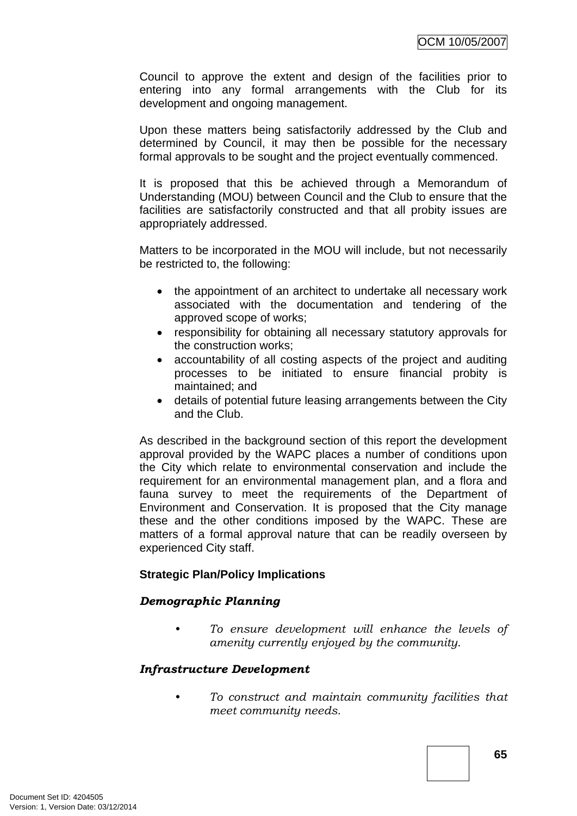Council to approve the extent and design of the facilities prior to entering into any formal arrangements with the Club for its development and ongoing management.

Upon these matters being satisfactorily addressed by the Club and determined by Council, it may then be possible for the necessary formal approvals to be sought and the project eventually commenced.

It is proposed that this be achieved through a Memorandum of Understanding (MOU) between Council and the Club to ensure that the facilities are satisfactorily constructed and that all probity issues are appropriately addressed.

Matters to be incorporated in the MOU will include, but not necessarily be restricted to, the following:

- the appointment of an architect to undertake all necessary work associated with the documentation and tendering of the approved scope of works;
- responsibility for obtaining all necessary statutory approvals for the construction works;
- accountability of all costing aspects of the project and auditing processes to be initiated to ensure financial probity is maintained; and
- details of potential future leasing arrangements between the City and the Club.

As described in the background section of this report the development approval provided by the WAPC places a number of conditions upon the City which relate to environmental conservation and include the requirement for an environmental management plan, and a flora and fauna survey to meet the requirements of the Department of Environment and Conservation. It is proposed that the City manage these and the other conditions imposed by the WAPC. These are matters of a formal approval nature that can be readily overseen by experienced City staff.

#### **Strategic Plan/Policy Implications**

#### *Demographic Planning*

*• To ensure development will enhance the levels of amenity currently enjoyed by the community.*

## *Infrastructure Development*

*• To construct and maintain community facilities that meet community needs.*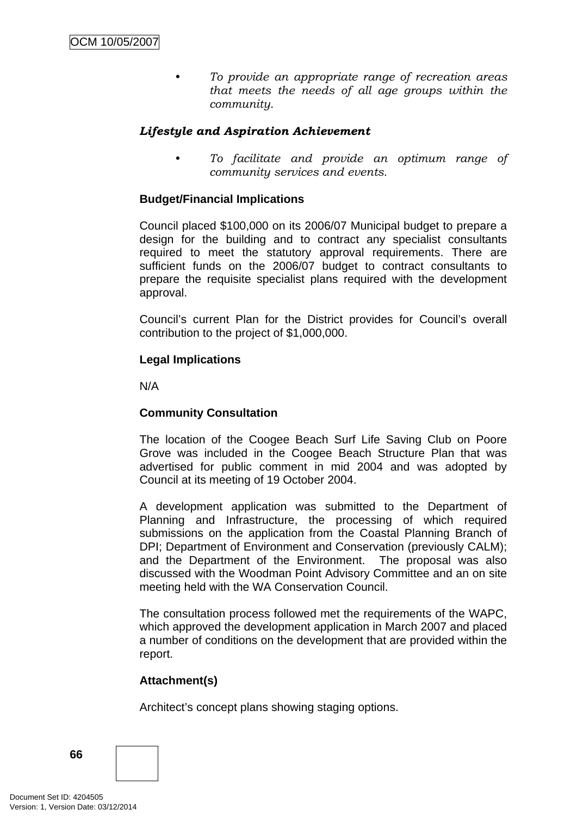*• To provide an appropriate range of recreation areas that meets the needs of all age groups within the community.* 

### *Lifestyle and Aspiration Achievement*

*• To facilitate and provide an optimum range of community services and events.* 

#### **Budget/Financial Implications**

Council placed \$100,000 on its 2006/07 Municipal budget to prepare a design for the building and to contract any specialist consultants required to meet the statutory approval requirements. There are sufficient funds on the 2006/07 budget to contract consultants to prepare the requisite specialist plans required with the development approval.

Council's current Plan for the District provides for Council's overall contribution to the project of \$1,000,000.

#### **Legal Implications**

N/A

#### **Community Consultation**

The location of the Coogee Beach Surf Life Saving Club on Poore Grove was included in the Coogee Beach Structure Plan that was advertised for public comment in mid 2004 and was adopted by Council at its meeting of 19 October 2004.

A development application was submitted to the Department of Planning and Infrastructure, the processing of which required submissions on the application from the Coastal Planning Branch of DPI; Department of Environment and Conservation (previously CALM); and the Department of the Environment. The proposal was also discussed with the Woodman Point Advisory Committee and an on site meeting held with the WA Conservation Council.

The consultation process followed met the requirements of the WAPC, which approved the development application in March 2007 and placed a number of conditions on the development that are provided within the report.

#### **Attachment(s)**

Architect's concept plans showing staging options.

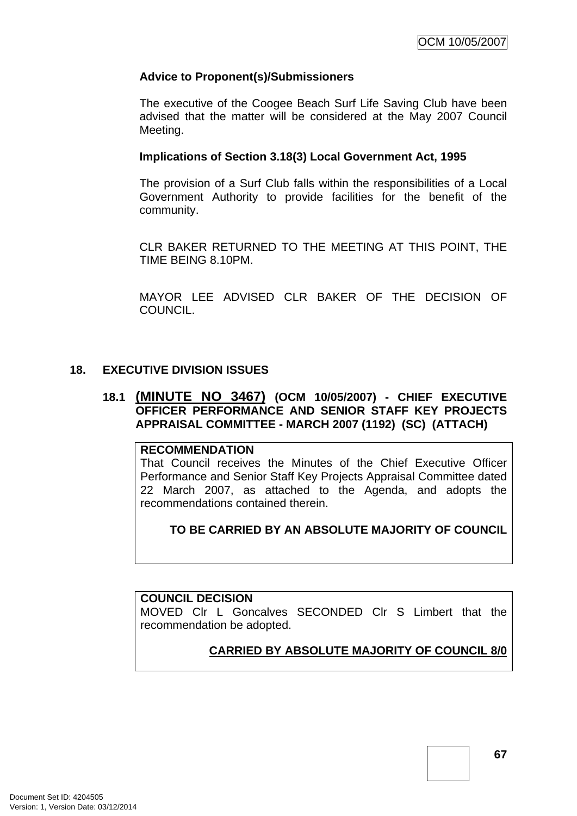#### **Advice to Proponent(s)/Submissioners**

The executive of the Coogee Beach Surf Life Saving Club have been advised that the matter will be considered at the May 2007 Council Meeting.

#### **Implications of Section 3.18(3) Local Government Act, 1995**

The provision of a Surf Club falls within the responsibilities of a Local Government Authority to provide facilities for the benefit of the community.

CLR BAKER RETURNED TO THE MEETING AT THIS POINT, THE TIME BEING 8.10PM.

MAYOR LEE ADVISED CLR BAKER OF THE DECISION OF COUNCIL.

#### **18. EXECUTIVE DIVISION ISSUES**

#### **18.1 (MINUTE NO 3467) (OCM 10/05/2007) - CHIEF EXECUTIVE OFFICER PERFORMANCE AND SENIOR STAFF KEY PROJECTS APPRAISAL COMMITTEE - MARCH 2007 (1192) (SC) (ATTACH)**

#### **RECOMMENDATION**

That Council receives the Minutes of the Chief Executive Officer Performance and Senior Staff Key Projects Appraisal Committee dated 22 March 2007, as attached to the Agenda, and adopts the recommendations contained therein.

**TO BE CARRIED BY AN ABSOLUTE MAJORITY OF COUNCIL**

#### **COUNCIL DECISION**

MOVED Clr L Goncalves SECONDED Clr S Limbert that the recommendation be adopted.

## **CARRIED BY ABSOLUTE MAJORITY OF COUNCIL 8/0**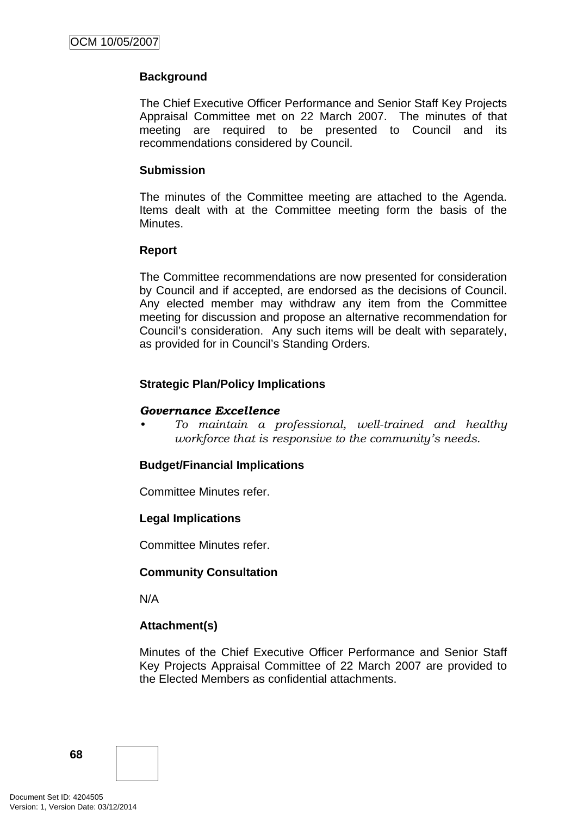### **Background**

The Chief Executive Officer Performance and Senior Staff Key Projects Appraisal Committee met on 22 March 2007. The minutes of that meeting are required to be presented to Council and its recommendations considered by Council.

#### **Submission**

The minutes of the Committee meeting are attached to the Agenda. Items dealt with at the Committee meeting form the basis of the Minutes.

#### **Report**

The Committee recommendations are now presented for consideration by Council and if accepted, are endorsed as the decisions of Council. Any elected member may withdraw any item from the Committee meeting for discussion and propose an alternative recommendation for Council's consideration. Any such items will be dealt with separately, as provided for in Council's Standing Orders.

#### **Strategic Plan/Policy Implications**

#### *Governance Excellence*

*• To maintain a professional, well-trained and healthy workforce that is responsive to the community's needs.* 

#### **Budget/Financial Implications**

Committee Minutes refer.

#### **Legal Implications**

Committee Minutes refer.

#### **Community Consultation**

N/A

#### **Attachment(s)**

Minutes of the Chief Executive Officer Performance and Senior Staff Key Projects Appraisal Committee of 22 March 2007 are provided to the Elected Members as confidential attachments.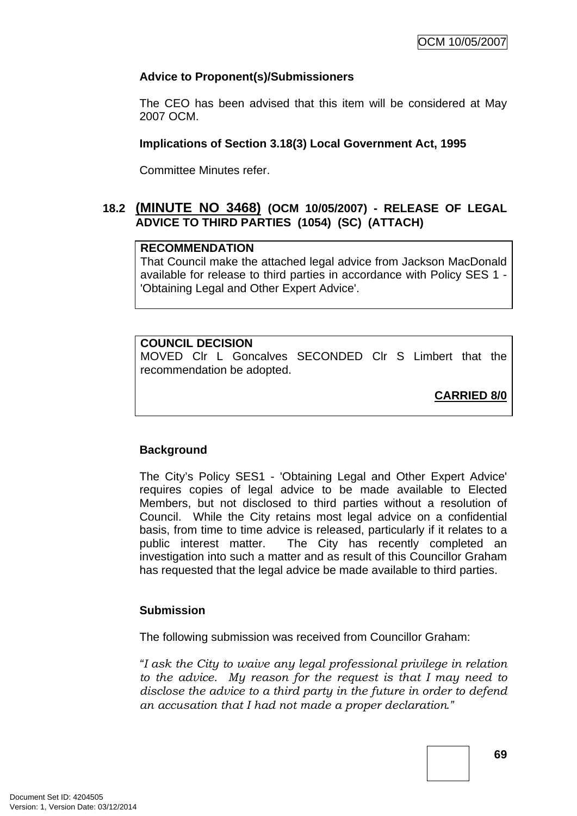## **Advice to Proponent(s)/Submissioners**

The CEO has been advised that this item will be considered at May 2007 OCM.

#### **Implications of Section 3.18(3) Local Government Act, 1995**

Committee Minutes refer.

## **18.2 (MINUTE NO 3468) (OCM 10/05/2007) - RELEASE OF LEGAL ADVICE TO THIRD PARTIES (1054) (SC) (ATTACH)**

#### **RECOMMENDATION**

That Council make the attached legal advice from Jackson MacDonald available for release to third parties in accordance with Policy SES 1 - 'Obtaining Legal and Other Expert Advice'.

## **COUNCIL DECISION**

MOVED Clr L Goncalves SECONDED Clr S Limbert that the recommendation be adopted.

**CARRIED 8/0**

### **Background**

The City's Policy SES1 - 'Obtaining Legal and Other Expert Advice' requires copies of legal advice to be made available to Elected Members, but not disclosed to third parties without a resolution of Council. While the City retains most legal advice on a confidential basis, from time to time advice is released, particularly if it relates to a public interest matter. The City has recently completed an investigation into such a matter and as result of this Councillor Graham has requested that the legal advice be made available to third parties.

### **Submission**

The following submission was received from Councillor Graham:

*"I ask the City to waive any legal professional privilege in relation to the advice. My reason for the request is that I may need to disclose the advice to a third party in the future in order to defend an accusation that I had not made a proper declaration."*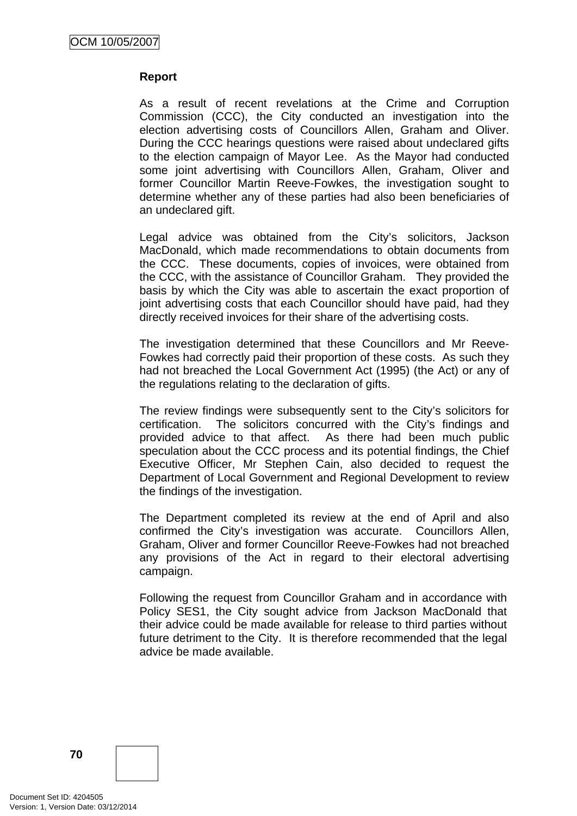### **Report**

As a result of recent revelations at the Crime and Corruption Commission (CCC), the City conducted an investigation into the election advertising costs of Councillors Allen, Graham and Oliver. During the CCC hearings questions were raised about undeclared gifts to the election campaign of Mayor Lee. As the Mayor had conducted some joint advertising with Councillors Allen, Graham, Oliver and former Councillor Martin Reeve-Fowkes, the investigation sought to determine whether any of these parties had also been beneficiaries of an undeclared gift.

Legal advice was obtained from the City's solicitors, Jackson MacDonald, which made recommendations to obtain documents from the CCC. These documents, copies of invoices, were obtained from the CCC, with the assistance of Councillor Graham. They provided the basis by which the City was able to ascertain the exact proportion of joint advertising costs that each Councillor should have paid, had they directly received invoices for their share of the advertising costs.

The investigation determined that these Councillors and Mr Reeve-Fowkes had correctly paid their proportion of these costs. As such they had not breached the Local Government Act (1995) (the Act) or any of the regulations relating to the declaration of gifts.

The review findings were subsequently sent to the City's solicitors for certification. The solicitors concurred with the City's findings and provided advice to that affect. As there had been much public speculation about the CCC process and its potential findings, the Chief Executive Officer, Mr Stephen Cain, also decided to request the Department of Local Government and Regional Development to review the findings of the investigation.

The Department completed its review at the end of April and also confirmed the City's investigation was accurate. Councillors Allen, Graham, Oliver and former Councillor Reeve-Fowkes had not breached any provisions of the Act in regard to their electoral advertising campaign.

Following the request from Councillor Graham and in accordance with Policy SES1, the City sought advice from Jackson MacDonald that their advice could be made available for release to third parties without future detriment to the City. It is therefore recommended that the legal advice be made available.

**70**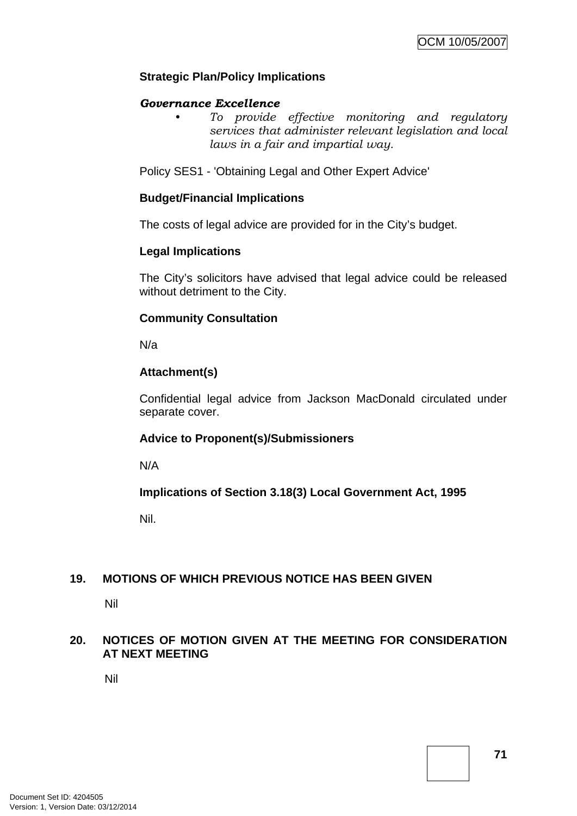## **Strategic Plan/Policy Implications**

#### *Governance Excellence*

*• To provide effective monitoring and regulatory services that administer relevant legislation and local laws in a fair and impartial way.* 

Policy SES1 - 'Obtaining Legal and Other Expert Advice'

### **Budget/Financial Implications**

The costs of legal advice are provided for in the City's budget.

### **Legal Implications**

The City's solicitors have advised that legal advice could be released without detriment to the City.

## **Community Consultation**

N/a

## **Attachment(s)**

Confidential legal advice from Jackson MacDonald circulated under separate cover.

# **Advice to Proponent(s)/Submissioners**

N/A

**Implications of Section 3.18(3) Local Government Act, 1995**

Nil.

### **19. MOTIONS OF WHICH PREVIOUS NOTICE HAS BEEN GIVEN**

Nil

## **20. NOTICES OF MOTION GIVEN AT THE MEETING FOR CONSIDERATION AT NEXT MEETING**

Nil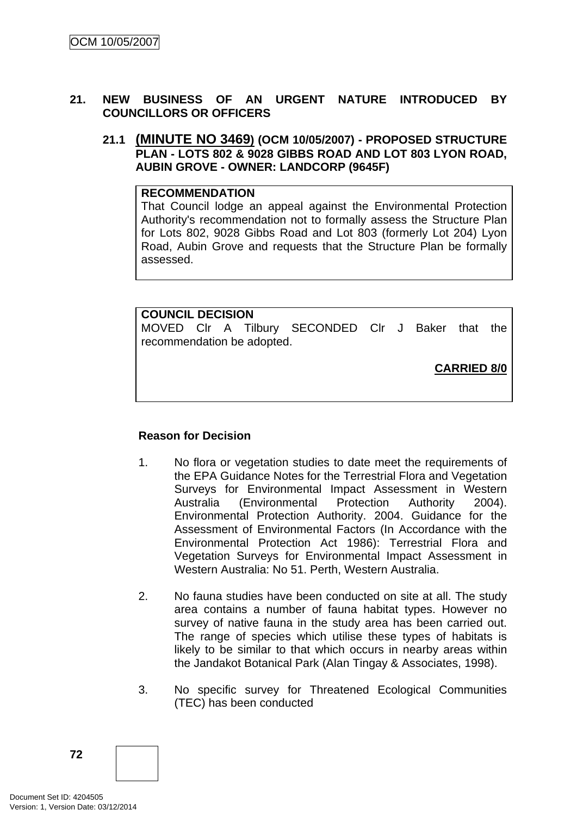## **21. NEW BUSINESS OF AN URGENT NATURE INTRODUCED BY COUNCILLORS OR OFFICERS**

**21.1 (MINUTE NO 3469) (OCM 10/05/2007) - PROPOSED STRUCTURE PLAN - LOTS 802 & 9028 GIBBS ROAD AND LOT 803 LYON ROAD, AUBIN GROVE - OWNER: LANDCORP (9645F)** 

#### **RECOMMENDATION**

That Council lodge an appeal against the Environmental Protection Authority's recommendation not to formally assess the Structure Plan for Lots 802, 9028 Gibbs Road and Lot 803 (formerly Lot 204) Lyon Road, Aubin Grove and requests that the Structure Plan be formally assessed.

#### **COUNCIL DECISION**

MOVED Clr A Tilbury SECONDED Clr J Baker that the recommendation be adopted.

**CARRIED 8/0**

### **Reason for Decision**

- 1. No flora or vegetation studies to date meet the requirements of the EPA Guidance Notes for the Terrestrial Flora and Vegetation Surveys for Environmental Impact Assessment in Western Australia (Environmental Protection Authority 2004). Environmental Protection Authority. 2004. Guidance for the Assessment of Environmental Factors (In Accordance with the Environmental Protection Act 1986): Terrestrial Flora and Vegetation Surveys for Environmental Impact Assessment in Western Australia: No 51. Perth, Western Australia.
- 2. No fauna studies have been conducted on site at all. The study area contains a number of fauna habitat types. However no survey of native fauna in the study area has been carried out. The range of species which utilise these types of habitats is likely to be similar to that which occurs in nearby areas within the Jandakot Botanical Park (Alan Tingay & Associates, 1998).
- 3. No specific survey for Threatened Ecological Communities (TEC) has been conducted

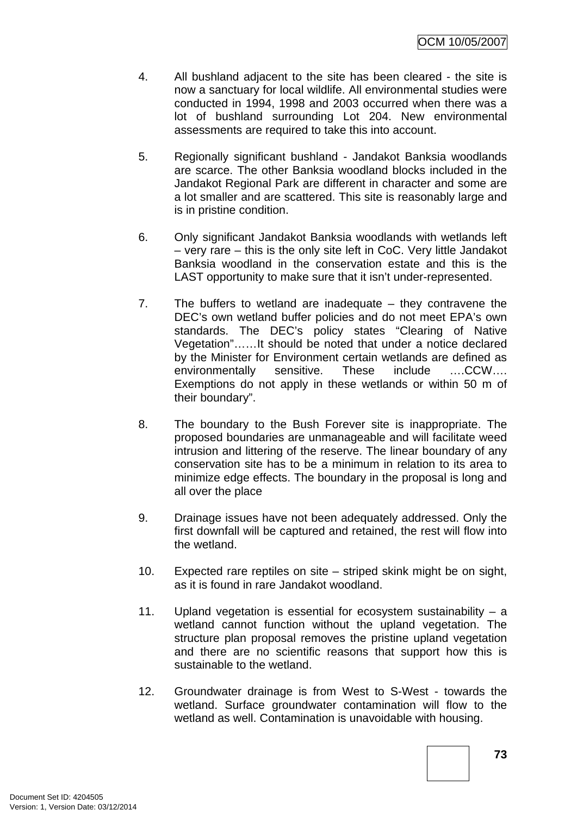- 4. All bushland adjacent to the site has been cleared the site is now a sanctuary for local wildlife. All environmental studies were conducted in 1994, 1998 and 2003 occurred when there was a lot of bushland surrounding Lot 204. New environmental assessments are required to take this into account.
- 5. Regionally significant bushland Jandakot Banksia woodlands are scarce. The other Banksia woodland blocks included in the Jandakot Regional Park are different in character and some are a lot smaller and are scattered. This site is reasonably large and is in pristine condition.
- 6. Only significant Jandakot Banksia woodlands with wetlands left – very rare – this is the only site left in CoC. Very little Jandakot Banksia woodland in the conservation estate and this is the LAST opportunity to make sure that it isn't under-represented.
- 7. The buffers to wetland are inadequate they contravene the DEC's own wetland buffer policies and do not meet EPA's own standards. The DEC's policy states "Clearing of Native Vegetation"……It should be noted that under a notice declared by the Minister for Environment certain wetlands are defined as environmentally sensitive. These include ….CCW…. Exemptions do not apply in these wetlands or within 50 m of their boundary".
- 8. The boundary to the Bush Forever site is inappropriate. The proposed boundaries are unmanageable and will facilitate weed intrusion and littering of the reserve. The linear boundary of any conservation site has to be a minimum in relation to its area to minimize edge effects. The boundary in the proposal is long and all over the place
- 9. Drainage issues have not been adequately addressed. Only the first downfall will be captured and retained, the rest will flow into the wetland.
- 10. Expected rare reptiles on site striped skink might be on sight, as it is found in rare Jandakot woodland.
- 11. Upland vegetation is essential for ecosystem sustainability a wetland cannot function without the upland vegetation. The structure plan proposal removes the pristine upland vegetation and there are no scientific reasons that support how this is sustainable to the wetland.
- 12. Groundwater drainage is from West to S-West towards the wetland. Surface groundwater contamination will flow to the wetland as well. Contamination is unavoidable with housing.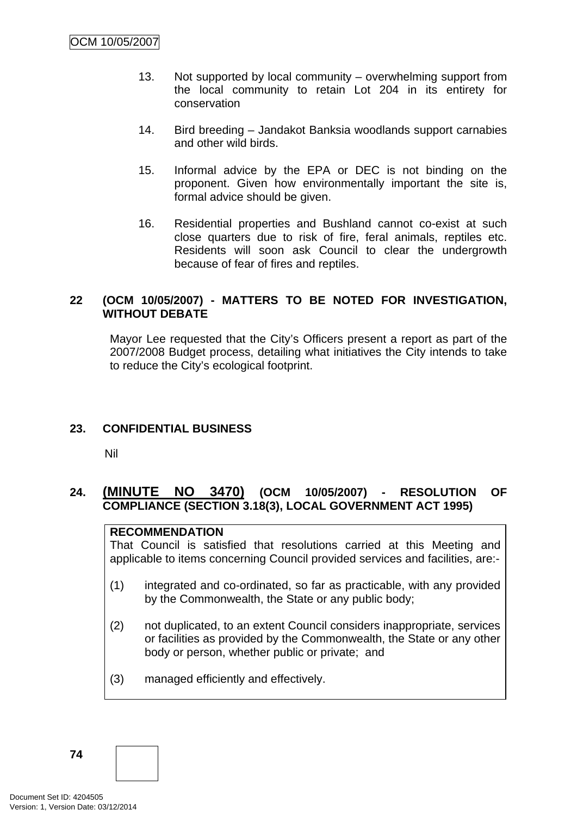- 13. Not supported by local community overwhelming support from the local community to retain Lot 204 in its entirety for conservation
- 14. Bird breeding Jandakot Banksia woodlands support carnabies and other wild birds.
- 15. Informal advice by the EPA or DEC is not binding on the proponent. Given how environmentally important the site is, formal advice should be given.
- 16. Residential properties and Bushland cannot co-exist at such close quarters due to risk of fire, feral animals, reptiles etc. Residents will soon ask Council to clear the undergrowth because of fear of fires and reptiles.

### **22 (OCM 10/05/2007) - MATTERS TO BE NOTED FOR INVESTIGATION, WITHOUT DEBATE**

Mayor Lee requested that the City's Officers present a report as part of the 2007/2008 Budget process, detailing what initiatives the City intends to take to reduce the City's ecological footprint.

# **23. CONFIDENTIAL BUSINESS**

Nil

# **24. (MINUTE NO 3470) (OCM 10/05/2007) - RESOLUTION OF COMPLIANCE (SECTION 3.18(3), LOCAL GOVERNMENT ACT 1995)**

### **RECOMMENDATION**

That Council is satisfied that resolutions carried at this Meeting and applicable to items concerning Council provided services and facilities, are:-

- (1) integrated and co-ordinated, so far as practicable, with any provided by the Commonwealth, the State or any public body;
- (2) not duplicated, to an extent Council considers inappropriate, services or facilities as provided by the Commonwealth, the State or any other body or person, whether public or private; and
- (3) managed efficiently and effectively.